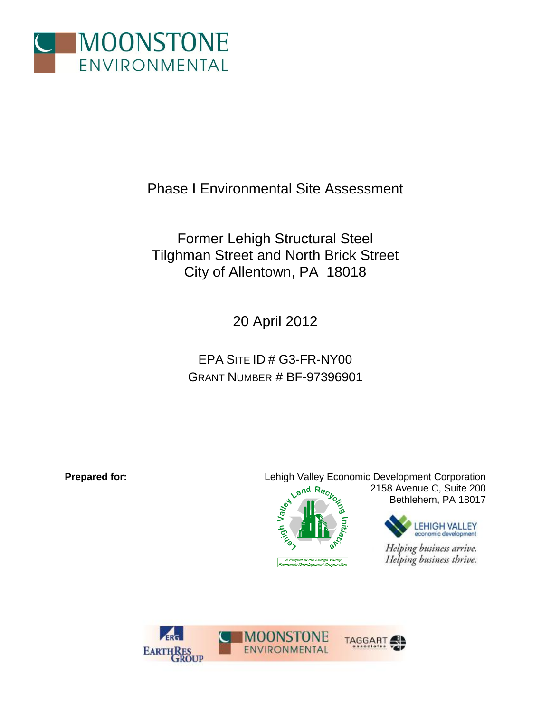

Phase I Environmental Site Assessment

Former Lehigh Structural Steel Tilghman Street and North Brick Street City of Allentown, PA 18018

20 April 2012

EPA SITE ID # G3-FR-NY00 GRANT NUMBER # BF-97396901

**Prepared for:** Lehigh Valley Economic Development Corporation Land Rec<sub>L</sub> 2158 Avenue C, Suite 200 Valley Bethlehem, PA 18017**LEHIGH VALLEY** economic development izel

Helping business arrive. Helping business thrive.



A Project of the Lehigh Valley<br>Economic Development Corporati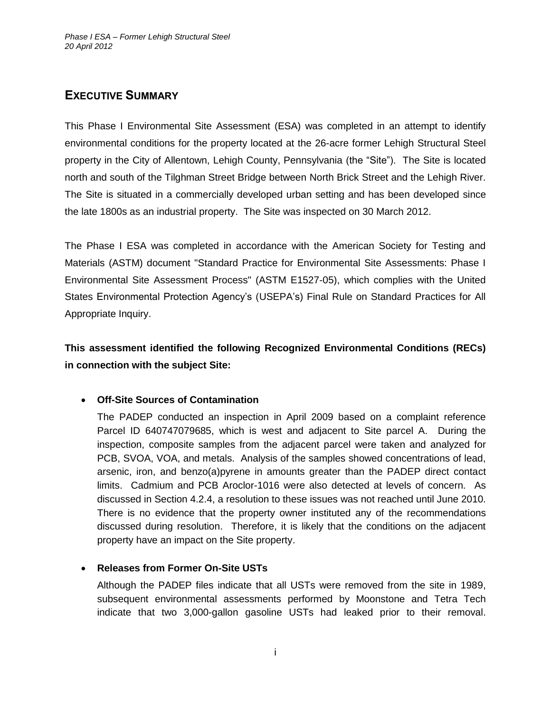# <span id="page-1-0"></span>**EXECUTIVE SUMMARY**

This Phase I Environmental Site Assessment (ESA) was completed in an attempt to identify environmental conditions for the property located at the 26-acre former Lehigh Structural Steel property in the City of Allentown, Lehigh County, Pennsylvania (the "Site"). The Site is located north and south of the Tilghman Street Bridge between North Brick Street and the Lehigh River. The Site is situated in a commercially developed urban setting and has been developed since the late 1800s as an industrial property. The Site was inspected on 30 March 2012.

The Phase I ESA was completed in accordance with the American Society for Testing and Materials (ASTM) document "Standard Practice for Environmental Site Assessments: Phase I Environmental Site Assessment Process" (ASTM E1527-05), which complies with the United States Environmental Protection Agency's (USEPA's) Final Rule on Standard Practices for All Appropriate Inquiry.

# **This assessment identified the following Recognized Environmental Conditions (RECs) in connection with the subject Site:**

# **Off-Site Sources of Contamination**

The PADEP conducted an inspection in April 2009 based on a complaint reference Parcel ID 640747079685, which is west and adjacent to Site parcel A. During the inspection, composite samples from the adjacent parcel were taken and analyzed for PCB, SVOA, VOA, and metals. Analysis of the samples showed concentrations of lead, arsenic, iron, and benzo(a)pyrene in amounts greater than the PADEP direct contact limits. Cadmium and PCB Aroclor-1016 were also detected at levels of concern. As discussed in Section 4.2.4, a resolution to these issues was not reached until June 2010. There is no evidence that the property owner instituted any of the recommendations discussed during resolution. Therefore, it is likely that the conditions on the adjacent property have an impact on the Site property.

# **Releases from Former On-Site USTs**

Although the PADEP files indicate that all USTs were removed from the site in 1989, subsequent environmental assessments performed by Moonstone and Tetra Tech indicate that two 3,000-gallon gasoline USTs had leaked prior to their removal.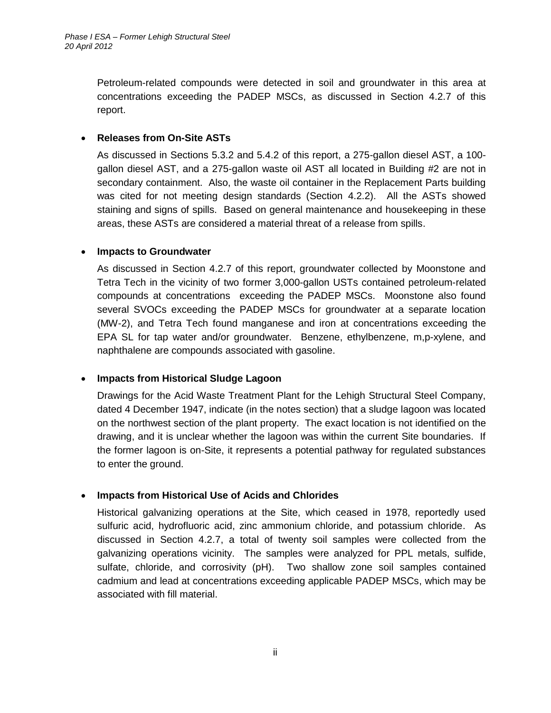Petroleum-related compounds were detected in soil and groundwater in this area at concentrations exceeding the PADEP MSCs, as discussed in Section 4.2.7 of this report.

### **Releases from On-Site ASTs**

As discussed in Sections 5.3.2 and 5.4.2 of this report, a 275-gallon diesel AST, a 100 gallon diesel AST, and a 275-gallon waste oil AST all located in Building #2 are not in secondary containment. Also, the waste oil container in the Replacement Parts building was cited for not meeting design standards (Section 4.2.2). All the ASTs showed staining and signs of spills. Based on general maintenance and housekeeping in these areas, these ASTs are considered a material threat of a release from spills.

#### **Impacts to Groundwater**

As discussed in Section 4.2.7 of this report, groundwater collected by Moonstone and Tetra Tech in the vicinity of two former 3,000-gallon USTs contained petroleum-related compounds at concentrations exceeding the PADEP MSCs. Moonstone also found several SVOCs exceeding the PADEP MSCs for groundwater at a separate location (MW-2), and Tetra Tech found manganese and iron at concentrations exceeding the EPA SL for tap water and/or groundwater. Benzene, ethylbenzene, m,p-xylene, and naphthalene are compounds associated with gasoline.

# **Impacts from Historical Sludge Lagoon**

Drawings for the Acid Waste Treatment Plant for the Lehigh Structural Steel Company, dated 4 December 1947, indicate (in the notes section) that a sludge lagoon was located on the northwest section of the plant property. The exact location is not identified on the drawing, and it is unclear whether the lagoon was within the current Site boundaries. If the former lagoon is on-Site, it represents a potential pathway for regulated substances to enter the ground.

# **Impacts from Historical Use of Acids and Chlorides**

Historical galvanizing operations at the Site, which ceased in 1978, reportedly used sulfuric acid, hydrofluoric acid, zinc ammonium chloride, and potassium chloride. As discussed in Section 4.2.7, a total of twenty soil samples were collected from the galvanizing operations vicinity. The samples were analyzed for PPL metals, sulfide, sulfate, chloride, and corrosivity (pH). Two shallow zone soil samples contained cadmium and lead at concentrations exceeding applicable PADEP MSCs, which may be associated with fill material.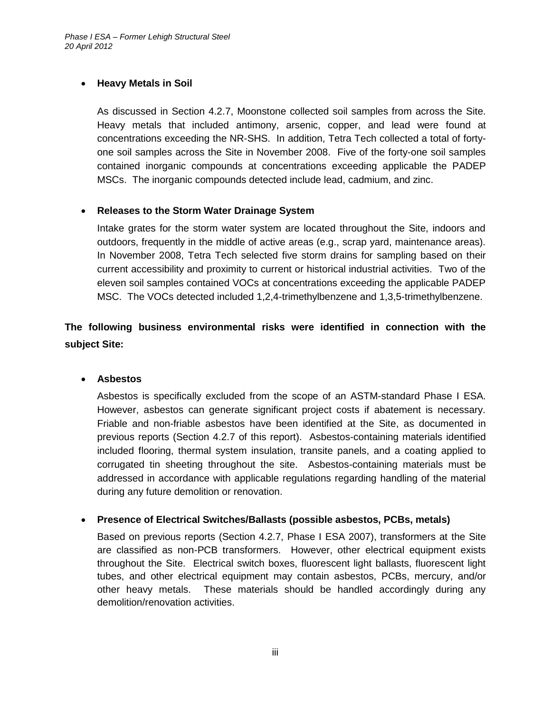### **Heavy Metals in Soil**

As discussed in Section 4.2.7, Moonstone collected soil samples from across the Site. Heavy metals that included antimony, arsenic, copper, and lead were found at concentrations exceeding the NR-SHS. In addition, Tetra Tech collected a total of fortyone soil samples across the Site in November 2008. Five of the forty-one soil samples contained inorganic compounds at concentrations exceeding applicable the PADEP MSCs. The inorganic compounds detected include lead, cadmium, and zinc.

### **Releases to the Storm Water Drainage System**

Intake grates for the storm water system are located throughout the Site, indoors and outdoors, frequently in the middle of active areas (e.g., scrap yard, maintenance areas). In November 2008, Tetra Tech selected five storm drains for sampling based on their current accessibility and proximity to current or historical industrial activities. Two of the eleven soil samples contained VOCs at concentrations exceeding the applicable PADEP MSC. The VOCs detected included 1,2,4-trimethylbenzene and 1,3,5-trimethylbenzene.

**The following business environmental risks were identified in connection with the subject Site:**

**Asbestos**

Asbestos is specifically excluded from the scope of an ASTM-standard Phase I ESA. However, asbestos can generate significant project costs if abatement is necessary. Friable and non-friable asbestos have been identified at the Site, as documented in previous reports (Section 4.2.7 of this report). Asbestos-containing materials identified included flooring, thermal system insulation, transite panels, and a coating applied to corrugated tin sheeting throughout the site. Asbestos-containing materials must be addressed in accordance with applicable regulations regarding handling of the material during any future demolition or renovation.

**Presence of Electrical Switches/Ballasts (possible asbestos, PCBs, metals)**

Based on previous reports (Section 4.2.7, Phase I ESA 2007), transformers at the Site are classified as non-PCB transformers. However, other electrical equipment exists throughout the Site. Electrical switch boxes, fluorescent light ballasts, fluorescent light tubes, and other electrical equipment may contain asbestos, PCBs, mercury, and/or other heavy metals. These materials should be handled accordingly during any demolition/renovation activities.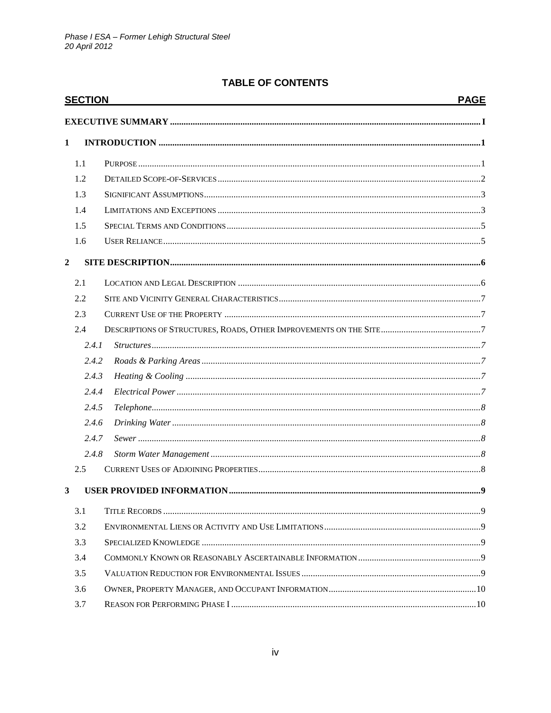| <b>SECTION</b> |  | <b>PAGE</b>                                                          |
|----------------|--|----------------------------------------------------------------------|
|                |  |                                                                      |
|                |  |                                                                      |
| 1.1            |  |                                                                      |
| 1.2            |  |                                                                      |
| 1.3            |  |                                                                      |
| 1.4            |  |                                                                      |
| 1.5            |  |                                                                      |
| 1.6            |  |                                                                      |
|                |  |                                                                      |
| 2.1            |  |                                                                      |
| 2.2            |  |                                                                      |
| 2.3            |  |                                                                      |
| 2.4            |  |                                                                      |
|                |  |                                                                      |
|                |  |                                                                      |
|                |  |                                                                      |
|                |  |                                                                      |
|                |  |                                                                      |
|                |  |                                                                      |
|                |  |                                                                      |
|                |  |                                                                      |
| 2.5            |  |                                                                      |
|                |  |                                                                      |
| 3.1            |  |                                                                      |
| 3.2            |  |                                                                      |
| 3.3            |  |                                                                      |
| 3.4            |  |                                                                      |
| 3.5            |  |                                                                      |
| 3.6            |  |                                                                      |
| 3.7            |  |                                                                      |
|                |  | 2.4.1<br>2.4.2<br>2.4.3<br>2.4.4<br>2.4.5<br>2.4.6<br>2.4.7<br>2.4.8 |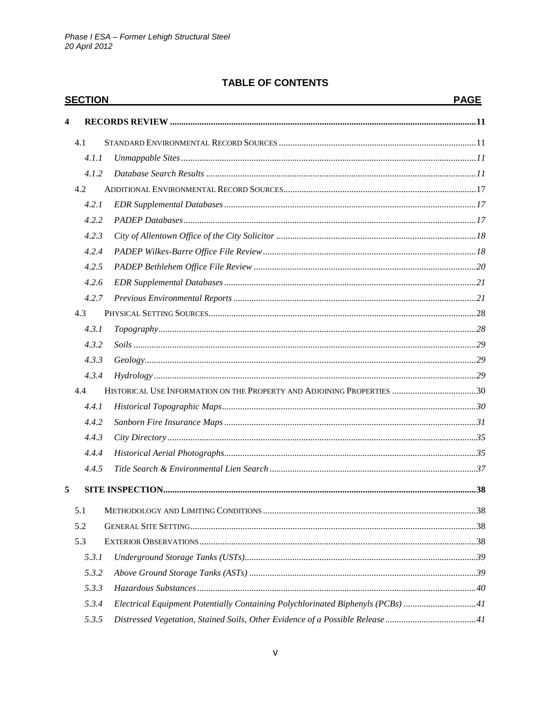| <b>SECTION</b> |                                                                                 | <b>PAGE</b> |
|----------------|---------------------------------------------------------------------------------|-------------|
| 4              |                                                                                 |             |
| 4.1            |                                                                                 |             |
| 4.1.1          |                                                                                 |             |
| 4.1.2          |                                                                                 |             |
| 4.2            |                                                                                 |             |
| 4.2.1          |                                                                                 |             |
| 4.2.2          |                                                                                 |             |
| 4.2.3          |                                                                                 |             |
| 4.2.4          |                                                                                 |             |
| 4.2.5          |                                                                                 |             |
| 4.2.6          |                                                                                 |             |
| 4.2.7          |                                                                                 |             |
| 4.3            |                                                                                 |             |
| 4.3.1          |                                                                                 |             |
| 4.3.2          |                                                                                 |             |
| 4.3.3          |                                                                                 |             |
| 4.3.4          |                                                                                 |             |
| 4.4            |                                                                                 |             |
| 4.4.1          |                                                                                 |             |
| 4.4.2          |                                                                                 |             |
| 4.4.3          |                                                                                 |             |
| 4.4.4          |                                                                                 |             |
| 4.4.5          |                                                                                 |             |
| 5              |                                                                                 |             |
| 5.1            |                                                                                 |             |
| 5.2            |                                                                                 |             |
| 5.3            |                                                                                 |             |
| 5.3.1          |                                                                                 |             |
| 5.3.2          |                                                                                 |             |
| 5.3.3          |                                                                                 |             |
| 5.3.4          | Electrical Equipment Potentially Containing Polychlorinated Biphenyls (PCBs) 11 |             |
| 5.3.5          |                                                                                 |             |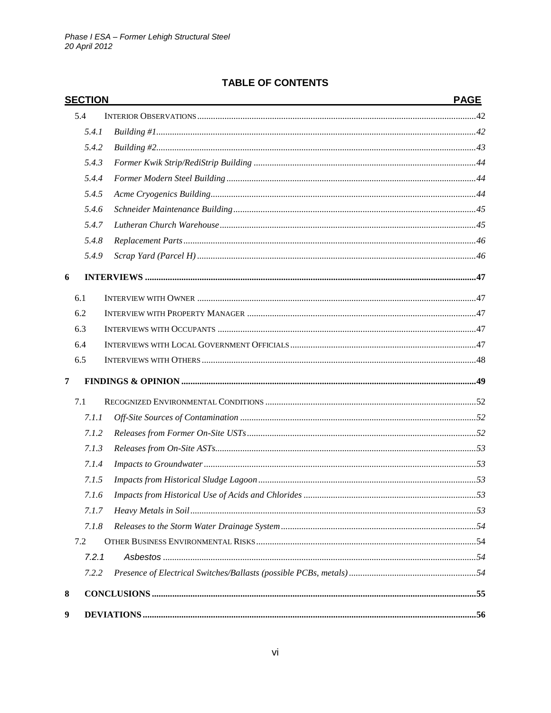|                | <b>SECTION</b> | <b>PAGE</b> |
|----------------|----------------|-------------|
|                | 5.4            |             |
|                | 5.4.1          |             |
|                | 5.4.2          |             |
|                | 5.4.3          |             |
|                | 5.4.4          |             |
|                | 5.4.5          |             |
|                | 5.4.6          |             |
|                | 5.4.7          |             |
|                | 5.4.8          |             |
|                | 5.4.9          |             |
| 6              |                |             |
|                | 6.1            |             |
|                | 6.2            |             |
|                | 6.3            |             |
|                | 6.4            |             |
|                | 6.5            |             |
| $\overline{7}$ |                |             |
|                | 7.1            |             |
|                | 7.1.1          |             |
|                | 7.1.2          |             |
|                | 7.1.3          |             |
|                | 7.1.4          |             |
|                | 7.1.5          |             |
|                | 7.1.6          |             |
|                | 7.1.7          |             |
|                | 7.1.8          |             |
|                | 7.2            |             |
|                | 7.2.1          |             |
|                | 7.2.2          |             |
| 8              |                |             |
| 9              |                |             |
|                |                |             |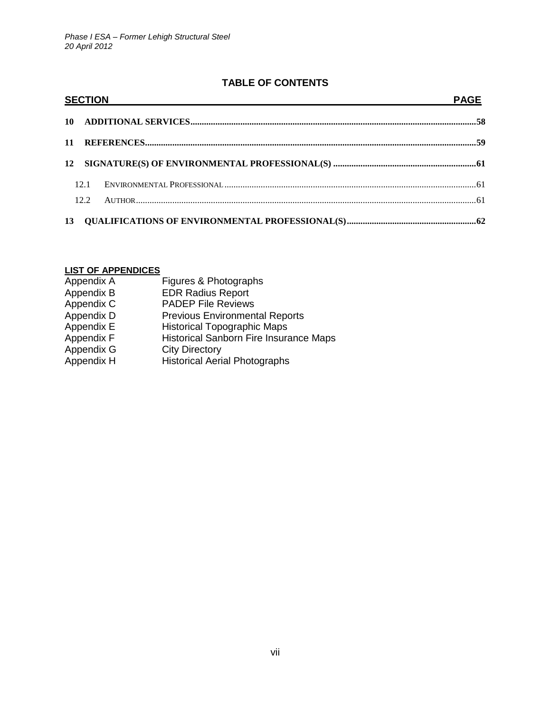| <b>SECTION</b> |  | <b>PAGE</b> |
|----------------|--|-------------|
|                |  |             |
|                |  |             |
|                |  |             |
| 12.1           |  |             |
| 12.2           |  |             |
|                |  |             |

#### **LIST OF APPENDICES**

| Appendix A | Figures & Photographs                         |
|------------|-----------------------------------------------|
| Appendix B | <b>EDR Radius Report</b>                      |
| Appendix C | <b>PADEP File Reviews</b>                     |
| Appendix D | <b>Previous Environmental Reports</b>         |
| Appendix E | <b>Historical Topographic Maps</b>            |
| Appendix F | <b>Historical Sanborn Fire Insurance Maps</b> |
| Appendix G | <b>City Directory</b>                         |
| Appendix H | <b>Historical Aerial Photographs</b>          |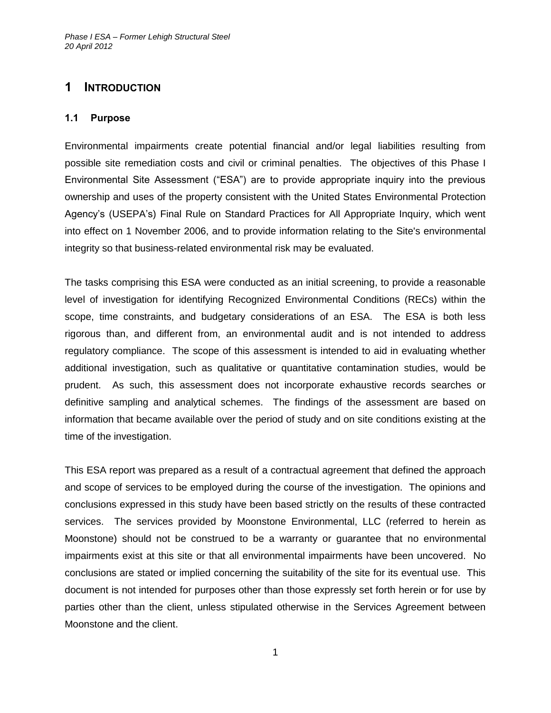# <span id="page-8-0"></span>**1 INTRODUCTION**

### <span id="page-8-1"></span>**1.1 Purpose**

Environmental impairments create potential financial and/or legal liabilities resulting from possible site remediation costs and civil or criminal penalties. The objectives of this Phase I Environmental Site Assessment ("ESA") are to provide appropriate inquiry into the previous ownership and uses of the property consistent with the United States Environmental Protection Agency's (USEPA's) Final Rule on Standard Practices for All Appropriate Inquiry, which went into effect on 1 November 2006, and to provide information relating to the Site's environmental integrity so that business-related environmental risk may be evaluated.

The tasks comprising this ESA were conducted as an initial screening, to provide a reasonable level of investigation for identifying Recognized Environmental Conditions (RECs) within the scope, time constraints, and budgetary considerations of an ESA. The ESA is both less rigorous than, and different from, an environmental audit and is not intended to address regulatory compliance. The scope of this assessment is intended to aid in evaluating whether additional investigation, such as qualitative or quantitative contamination studies, would be prudent. As such, this assessment does not incorporate exhaustive records searches or definitive sampling and analytical schemes. The findings of the assessment are based on information that became available over the period of study and on site conditions existing at the time of the investigation.

This ESA report was prepared as a result of a contractual agreement that defined the approach and scope of services to be employed during the course of the investigation. The opinions and conclusions expressed in this study have been based strictly on the results of these contracted services. The services provided by Moonstone Environmental, LLC (referred to herein as Moonstone) should not be construed to be a warranty or guarantee that no environmental impairments exist at this site or that all environmental impairments have been uncovered. No conclusions are stated or implied concerning the suitability of the site for its eventual use. This document is not intended for purposes other than those expressly set forth herein or for use by parties other than the client, unless stipulated otherwise in the Services Agreement between Moonstone and the client.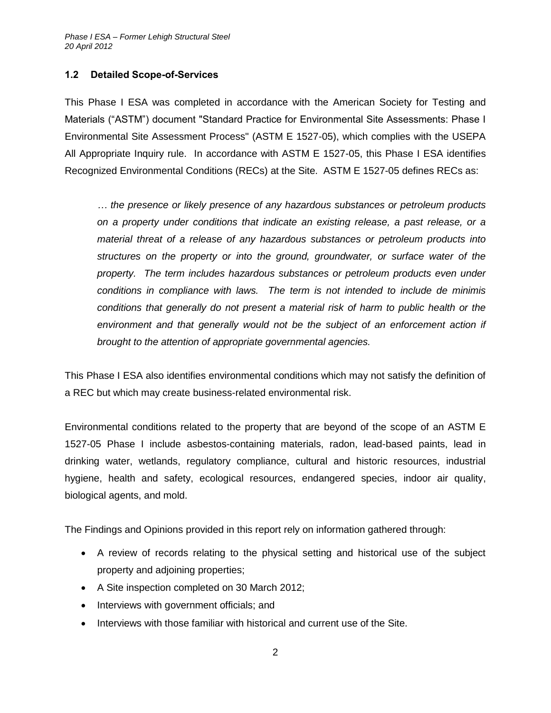#### <span id="page-9-0"></span>**1.2 Detailed Scope-of-Services**

This Phase I ESA was completed in accordance with the American Society for Testing and Materials ("ASTM") document "Standard Practice for Environmental Site Assessments: Phase I Environmental Site Assessment Process" (ASTM E 1527-05), which complies with the USEPA All Appropriate Inquiry rule. In accordance with ASTM E 1527-05, this Phase I ESA identifies Recognized Environmental Conditions (RECs) at the Site. ASTM E 1527-05 defines RECs as:

*… the presence or likely presence of any hazardous substances or petroleum products on a property under conditions that indicate an existing release, a past release, or a material threat of a release of any hazardous substances or petroleum products into structures on the property or into the ground, groundwater, or surface water of the property. The term includes hazardous substances or petroleum products even under conditions in compliance with laws. The term is not intended to include de minimis conditions that generally do not present a material risk of harm to public health or the*  environment and that generally would not be the subject of an enforcement action if *brought to the attention of appropriate governmental agencies.*

This Phase I ESA also identifies environmental conditions which may not satisfy the definition of a REC but which may create business-related environmental risk.

Environmental conditions related to the property that are beyond of the scope of an ASTM E 1527-05 Phase I include asbestos-containing materials, radon, lead-based paints, lead in drinking water, wetlands, regulatory compliance, cultural and historic resources, industrial hygiene, health and safety, ecological resources, endangered species, indoor air quality, biological agents, and mold.

The Findings and Opinions provided in this report rely on information gathered through:

- A review of records relating to the physical setting and historical use of the subject property and adjoining properties;
- A Site inspection completed on 30 March 2012;
- Interviews with government officials; and
- Interviews with those familiar with historical and current use of the Site.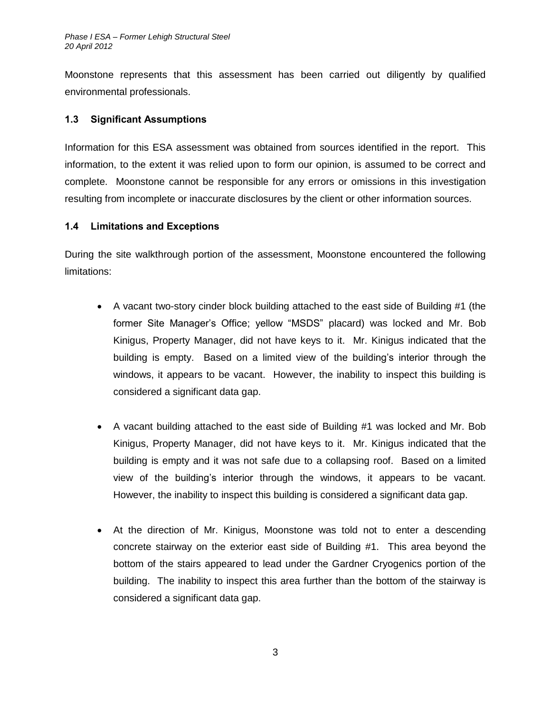Moonstone represents that this assessment has been carried out diligently by qualified environmental professionals.

### <span id="page-10-0"></span>**1.3 Significant Assumptions**

Information for this ESA assessment was obtained from sources identified in the report. This information, to the extent it was relied upon to form our opinion, is assumed to be correct and complete. Moonstone cannot be responsible for any errors or omissions in this investigation resulting from incomplete or inaccurate disclosures by the client or other information sources.

#### <span id="page-10-1"></span>**1.4 Limitations and Exceptions**

During the site walkthrough portion of the assessment, Moonstone encountered the following limitations:

- A vacant two-story cinder block building attached to the east side of Building #1 (the former Site Manager's Office; yellow "MSDS" placard) was locked and Mr. Bob Kinigus, Property Manager, did not have keys to it. Mr. Kinigus indicated that the building is empty. Based on a limited view of the building's interior through the windows, it appears to be vacant. However, the inability to inspect this building is considered a significant data gap.
- A vacant building attached to the east side of Building #1 was locked and Mr. Bob Kinigus, Property Manager, did not have keys to it. Mr. Kinigus indicated that the building is empty and it was not safe due to a collapsing roof. Based on a limited view of the building's interior through the windows, it appears to be vacant. However, the inability to inspect this building is considered a significant data gap.
- At the direction of Mr. Kinigus, Moonstone was told not to enter a descending concrete stairway on the exterior east side of Building #1. This area beyond the bottom of the stairs appeared to lead under the Gardner Cryogenics portion of the building. The inability to inspect this area further than the bottom of the stairway is considered a significant data gap.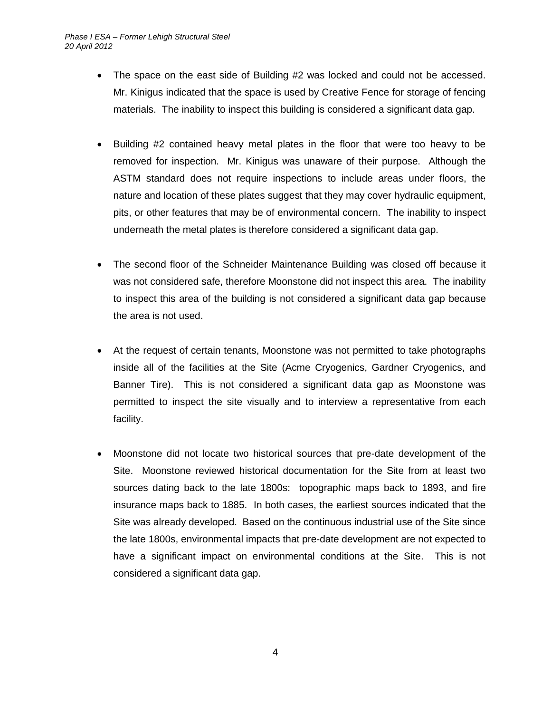- The space on the east side of Building #2 was locked and could not be accessed. Mr. Kinigus indicated that the space is used by Creative Fence for storage of fencing materials. The inability to inspect this building is considered a significant data gap.
- Building #2 contained heavy metal plates in the floor that were too heavy to be removed for inspection. Mr. Kinigus was unaware of their purpose. Although the ASTM standard does not require inspections to include areas under floors, the nature and location of these plates suggest that they may cover hydraulic equipment, pits, or other features that may be of environmental concern. The inability to inspect underneath the metal plates is therefore considered a significant data gap.
- The second floor of the Schneider Maintenance Building was closed off because it was not considered safe, therefore Moonstone did not inspect this area. The inability to inspect this area of the building is not considered a significant data gap because the area is not used.
- At the request of certain tenants, Moonstone was not permitted to take photographs inside all of the facilities at the Site (Acme Cryogenics, Gardner Cryogenics, and Banner Tire). This is not considered a significant data gap as Moonstone was permitted to inspect the site visually and to interview a representative from each facility.
- Moonstone did not locate two historical sources that pre-date development of the Site. Moonstone reviewed historical documentation for the Site from at least two sources dating back to the late 1800s: topographic maps back to 1893, and fire insurance maps back to 1885. In both cases, the earliest sources indicated that the Site was already developed. Based on the continuous industrial use of the Site since the late 1800s, environmental impacts that pre-date development are not expected to have a significant impact on environmental conditions at the Site. This is not considered a significant data gap.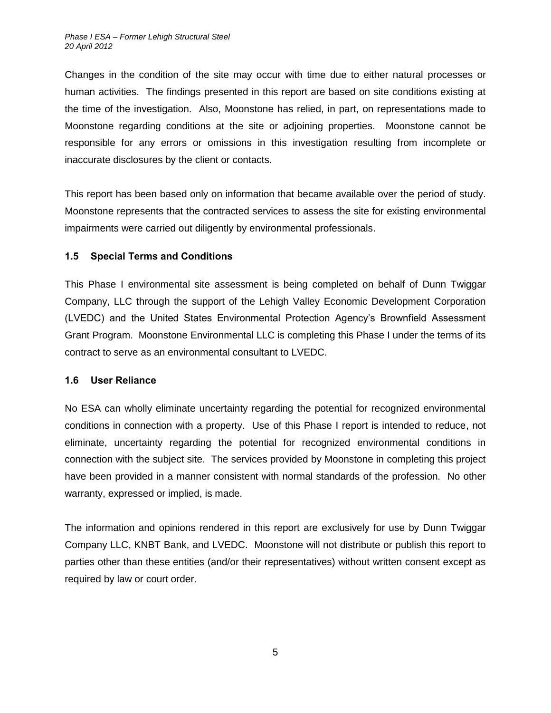Changes in the condition of the site may occur with time due to either natural processes or human activities. The findings presented in this report are based on site conditions existing at the time of the investigation. Also, Moonstone has relied, in part, on representations made to Moonstone regarding conditions at the site or adjoining properties. Moonstone cannot be responsible for any errors or omissions in this investigation resulting from incomplete or inaccurate disclosures by the client or contacts.

This report has been based only on information that became available over the period of study. Moonstone represents that the contracted services to assess the site for existing environmental impairments were carried out diligently by environmental professionals.

#### <span id="page-12-0"></span>**1.5 Special Terms and Conditions**

This Phase I environmental site assessment is being completed on behalf of Dunn Twiggar Company, LLC through the support of the Lehigh Valley Economic Development Corporation (LVEDC) and the United States Environmental Protection Agency's Brownfield Assessment Grant Program. Moonstone Environmental LLC is completing this Phase I under the terms of its contract to serve as an environmental consultant to LVEDC.

#### <span id="page-12-1"></span>**1.6 User Reliance**

No ESA can wholly eliminate uncertainty regarding the potential for recognized environmental conditions in connection with a property. Use of this Phase I report is intended to reduce, not eliminate, uncertainty regarding the potential for recognized environmental conditions in connection with the subject site. The services provided by Moonstone in completing this project have been provided in a manner consistent with normal standards of the profession. No other warranty, expressed or implied, is made.

The information and opinions rendered in this report are exclusively for use by Dunn Twiggar Company LLC, KNBT Bank, and LVEDC. Moonstone will not distribute or publish this report to parties other than these entities (and/or their representatives) without written consent except as required by law or court order.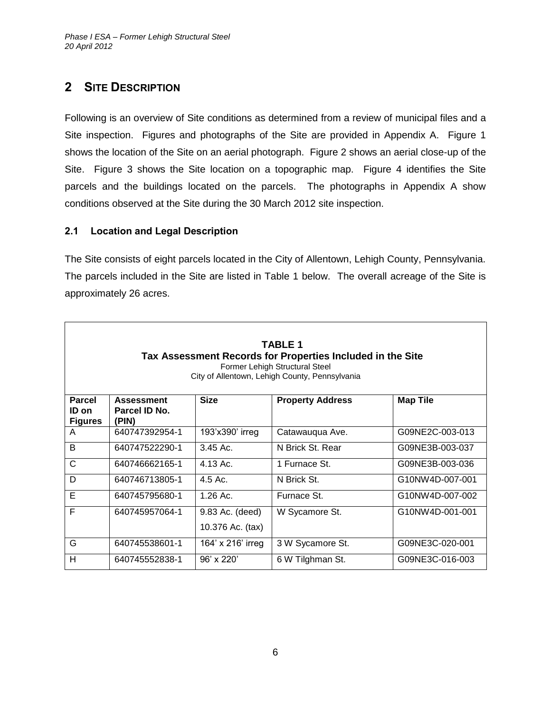# <span id="page-13-0"></span>**2 SITE DESCRIPTION**

Following is an overview of Site conditions as determined from a review of municipal files and a Site inspection. Figures and photographs of the Site are provided in Appendix A. Figure 1 shows the location of the Site on an aerial photograph. Figure 2 shows an aerial close-up of the Site. Figure 3 shows the Site location on a topographic map. Figure 4 identifies the Site parcels and the buildings located on the parcels. The photographs in Appendix A show conditions observed at the Site during the 30 March 2012 site inspection.

### <span id="page-13-1"></span>**2.1 Location and Legal Description**

The Site consists of eight parcels located in the City of Allentown, Lehigh County, Pennsylvania. The parcels included in the Site are listed in Table 1 below. The overall acreage of the Site is approximately 26 acres.

| <b>TABLE 1</b><br>Tax Assessment Records for Properties Included in the Site<br>Former Lehigh Structural Steel<br>City of Allentown, Lehigh County, Pennsylvania |                                             |                                     |                         |                 |
|------------------------------------------------------------------------------------------------------------------------------------------------------------------|---------------------------------------------|-------------------------------------|-------------------------|-----------------|
| <b>Parcel</b><br>ID on<br><b>Figures</b>                                                                                                                         | <b>Assessment</b><br>Parcel ID No.<br>(PIN) | <b>Size</b>                         | <b>Property Address</b> | <b>Map Tile</b> |
| A                                                                                                                                                                | 640747392954-1                              | 193'x390' irreg                     | Catawauqua Ave.         | G09NE2C-003-013 |
| B                                                                                                                                                                | 640747522290-1                              | $3.45$ Ac.                          | N Brick St. Rear        | G09NE3B-003-037 |
| C                                                                                                                                                                | 640746662165-1                              | 4.13 Ac.                            | 1 Furnace St.           | G09NE3B-003-036 |
| D                                                                                                                                                                | 640746713805-1                              | $4.5$ Ac.                           | N Brick St.             | G10NW4D-007-001 |
| E                                                                                                                                                                | 640745795680-1                              | $1.26$ Ac.                          | Furnace St.             | G10NW4D-007-002 |
| F                                                                                                                                                                | 640745957064-1                              | 9.83 Ac. (deed)<br>10.376 Ac. (tax) | W Sycamore St.          | G10NW4D-001-001 |
| G                                                                                                                                                                | 640745538601-1                              | 164' x 216' irreg                   | 3 W Sycamore St.        | G09NE3C-020-001 |
| н                                                                                                                                                                | 640745552838-1                              | $96'$ x 220'                        | 6 W Tilghman St.        | G09NE3C-016-003 |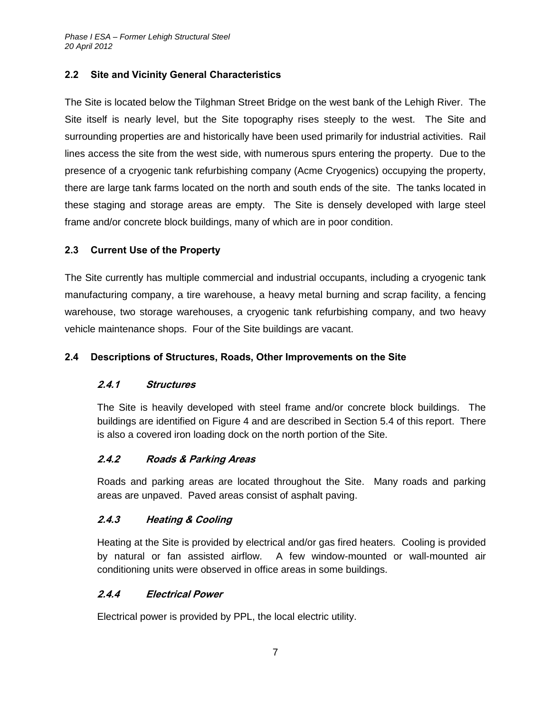### <span id="page-14-0"></span>**2.2 Site and Vicinity General Characteristics**

The Site is located below the Tilghman Street Bridge on the west bank of the Lehigh River. The Site itself is nearly level, but the Site topography rises steeply to the west. The Site and surrounding properties are and historically have been used primarily for industrial activities. Rail lines access the site from the west side, with numerous spurs entering the property. Due to the presence of a cryogenic tank refurbishing company (Acme Cryogenics) occupying the property, there are large tank farms located on the north and south ends of the site. The tanks located in these staging and storage areas are empty. The Site is densely developed with large steel frame and/or concrete block buildings, many of which are in poor condition.

### <span id="page-14-1"></span>**2.3 Current Use of the Property**

The Site currently has multiple commercial and industrial occupants, including a cryogenic tank manufacturing company, a tire warehouse, a heavy metal burning and scrap facility, a fencing warehouse, two storage warehouses, a cryogenic tank refurbishing company, and two heavy vehicle maintenance shops. Four of the Site buildings are vacant.

#### <span id="page-14-3"></span><span id="page-14-2"></span>**2.4 Descriptions of Structures, Roads, Other Improvements on the Site**

#### **2.4.1 Structures**

The Site is heavily developed with steel frame and/or concrete block buildings. The buildings are identified on Figure 4 and are described in Section 5.4 of this report. There is also a covered iron loading dock on the north portion of the Site.

#### <span id="page-14-4"></span>**2.4.2 Roads & Parking Areas**

Roads and parking areas are located throughout the Site. Many roads and parking areas are unpaved. Paved areas consist of asphalt paving.

# <span id="page-14-5"></span>**2.4.3 Heating & Cooling**

Heating at the Site is provided by electrical and/or gas fired heaters. Cooling is provided by natural or fan assisted airflow. A few window-mounted or wall-mounted air conditioning units were observed in office areas in some buildings.

#### <span id="page-14-6"></span>**2.4.4 Electrical Power**

Electrical power is provided by PPL, the local electric utility.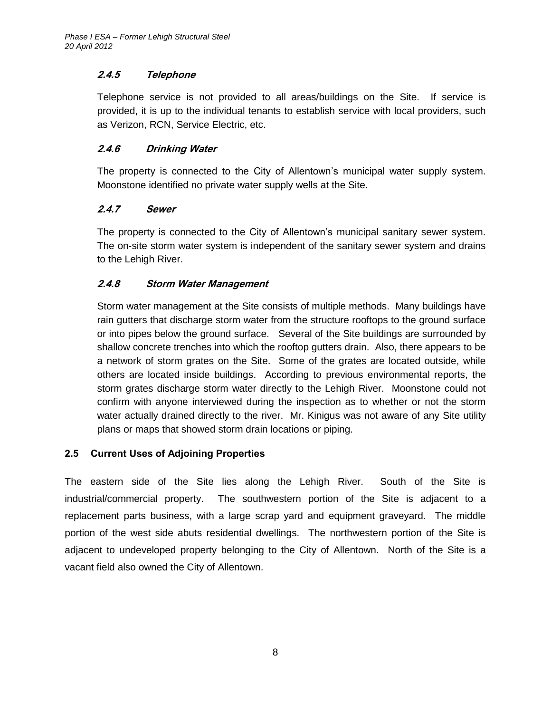# <span id="page-15-0"></span>**2.4.5 Telephone**

Telephone service is not provided to all areas/buildings on the Site. If service is provided, it is up to the individual tenants to establish service with local providers, such as Verizon, RCN, Service Electric, etc.

### <span id="page-15-1"></span>**2.4.6 Drinking Water**

The property is connected to the City of Allentown's municipal water supply system. Moonstone identified no private water supply wells at the Site.

### <span id="page-15-2"></span>**2.4.7 Sewer**

The property is connected to the City of Allentown's municipal sanitary sewer system. The on-site storm water system is independent of the sanitary sewer system and drains to the Lehigh River.

### <span id="page-15-3"></span>**2.4.8 Storm Water Management**

Storm water management at the Site consists of multiple methods. Many buildings have rain gutters that discharge storm water from the structure rooftops to the ground surface or into pipes below the ground surface. Several of the Site buildings are surrounded by shallow concrete trenches into which the rooftop gutters drain. Also, there appears to be a network of storm grates on the Site. Some of the grates are located outside, while others are located inside buildings. According to previous environmental reports, the storm grates discharge storm water directly to the Lehigh River. Moonstone could not confirm with anyone interviewed during the inspection as to whether or not the storm water actually drained directly to the river. Mr. Kinigus was not aware of any Site utility plans or maps that showed storm drain locations or piping.

# <span id="page-15-4"></span>**2.5 Current Uses of Adjoining Properties**

The eastern side of the Site lies along the Lehigh River. South of the Site is industrial/commercial property. The southwestern portion of the Site is adjacent to a replacement parts business, with a large scrap yard and equipment graveyard. The middle portion of the west side abuts residential dwellings. The northwestern portion of the Site is adjacent to undeveloped property belonging to the City of Allentown. North of the Site is a vacant field also owned the City of Allentown.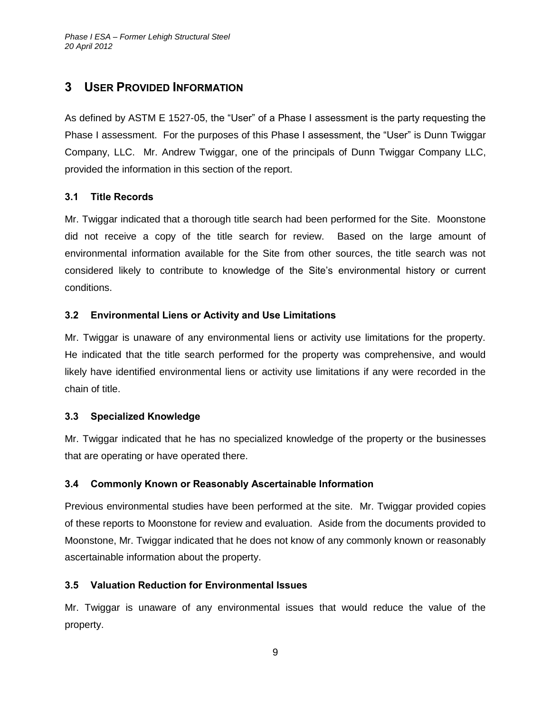# <span id="page-16-0"></span>**3 USER PROVIDED INFORMATION**

As defined by ASTM E 1527-05, the "User" of a Phase I assessment is the party requesting the Phase I assessment. For the purposes of this Phase I assessment, the "User" is Dunn Twiggar Company, LLC. Mr. Andrew Twiggar, one of the principals of Dunn Twiggar Company LLC, provided the information in this section of the report.

### <span id="page-16-1"></span>**3.1 Title Records**

Mr. Twiggar indicated that a thorough title search had been performed for the Site. Moonstone did not receive a copy of the title search for review. Based on the large amount of environmental information available for the Site from other sources, the title search was not considered likely to contribute to knowledge of the Site's environmental history or current conditions.

# <span id="page-16-2"></span>**3.2 Environmental Liens or Activity and Use Limitations**

Mr. Twiggar is unaware of any environmental liens or activity use limitations for the property. He indicated that the title search performed for the property was comprehensive, and would likely have identified environmental liens or activity use limitations if any were recorded in the chain of title.

#### <span id="page-16-3"></span>**3.3 Specialized Knowledge**

Mr. Twiggar indicated that he has no specialized knowledge of the property or the businesses that are operating or have operated there.

#### <span id="page-16-4"></span>**3.4 Commonly Known or Reasonably Ascertainable Information**

Previous environmental studies have been performed at the site. Mr. Twiggar provided copies of these reports to Moonstone for review and evaluation. Aside from the documents provided to Moonstone, Mr. Twiggar indicated that he does not know of any commonly known or reasonably ascertainable information about the property.

# <span id="page-16-5"></span>**3.5 Valuation Reduction for Environmental Issues**

Mr. Twiggar is unaware of any environmental issues that would reduce the value of the property.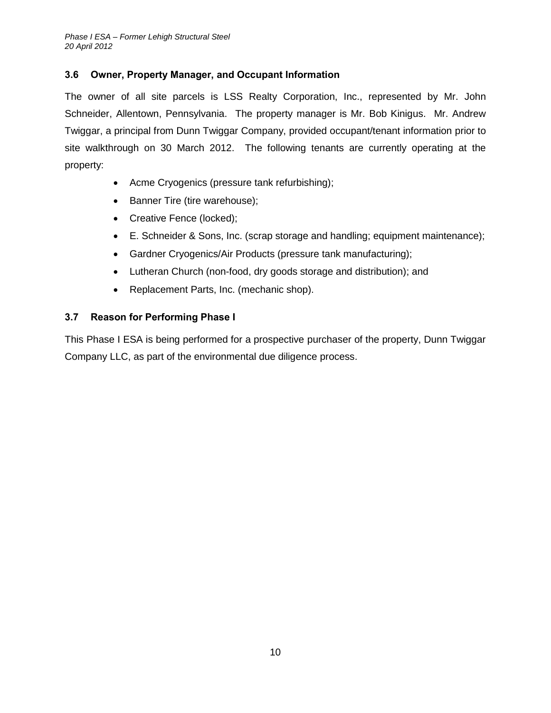# <span id="page-17-0"></span>**3.6 Owner, Property Manager, and Occupant Information**

The owner of all site parcels is LSS Realty Corporation, Inc., represented by Mr. John Schneider, Allentown, Pennsylvania. The property manager is Mr. Bob Kinigus. Mr. Andrew Twiggar, a principal from Dunn Twiggar Company, provided occupant/tenant information prior to site walkthrough on 30 March 2012. The following tenants are currently operating at the property:

- Acme Cryogenics (pressure tank refurbishing);
- Banner Tire (tire warehouse);
- Creative Fence (locked);
- E. Schneider & Sons, Inc. (scrap storage and handling; equipment maintenance);
- Gardner Cryogenics/Air Products (pressure tank manufacturing);
- Lutheran Church (non-food, dry goods storage and distribution); and
- Replacement Parts, Inc. (mechanic shop).

# <span id="page-17-1"></span>**3.7 Reason for Performing Phase I**

This Phase I ESA is being performed for a prospective purchaser of the property, Dunn Twiggar Company LLC, as part of the environmental due diligence process.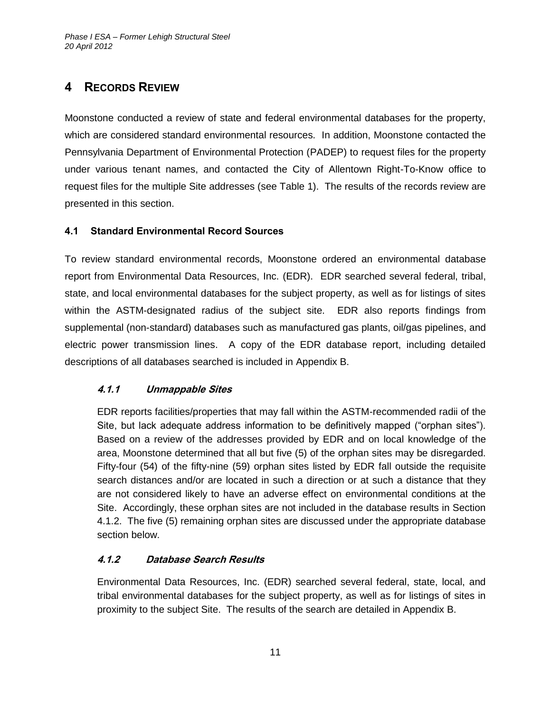# <span id="page-18-0"></span>**4 RECORDS REVIEW**

Moonstone conducted a review of state and federal environmental databases for the property, which are considered standard environmental resources. In addition, Moonstone contacted the Pennsylvania Department of Environmental Protection (PADEP) to request files for the property under various tenant names, and contacted the City of Allentown Right-To-Know office to request files for the multiple Site addresses (see Table 1). The results of the records review are presented in this section.

# <span id="page-18-1"></span>**4.1 Standard Environmental Record Sources**

To review standard environmental records, Moonstone ordered an environmental database report from Environmental Data Resources, Inc. (EDR). EDR searched several federal, tribal, state, and local environmental databases for the subject property, as well as for listings of sites within the ASTM-designated radius of the subject site. EDR also reports findings from supplemental (non-standard) databases such as manufactured gas plants, oil/gas pipelines, and electric power transmission lines. A copy of the EDR database report, including detailed descriptions of all databases searched is included in Appendix B.

# <span id="page-18-2"></span>**4.1.1 Unmappable Sites**

EDR reports facilities/properties that may fall within the ASTM-recommended radii of the Site, but lack adequate address information to be definitively mapped ("orphan sites"). Based on a review of the addresses provided by EDR and on local knowledge of the area, Moonstone determined that all but five (5) of the orphan sites may be disregarded. Fifty-four (54) of the fifty-nine (59) orphan sites listed by EDR fall outside the requisite search distances and/or are located in such a direction or at such a distance that they are not considered likely to have an adverse effect on environmental conditions at the Site. Accordingly, these orphan sites are not included in the database results in Section 4.1.2. The five (5) remaining orphan sites are discussed under the appropriate database section below.

# <span id="page-18-3"></span>**4.1.2 Database Search Results**

Environmental Data Resources, Inc. (EDR) searched several federal, state, local, and tribal environmental databases for the subject property, as well as for listings of sites in proximity to the subject Site. The results of the search are detailed in Appendix B.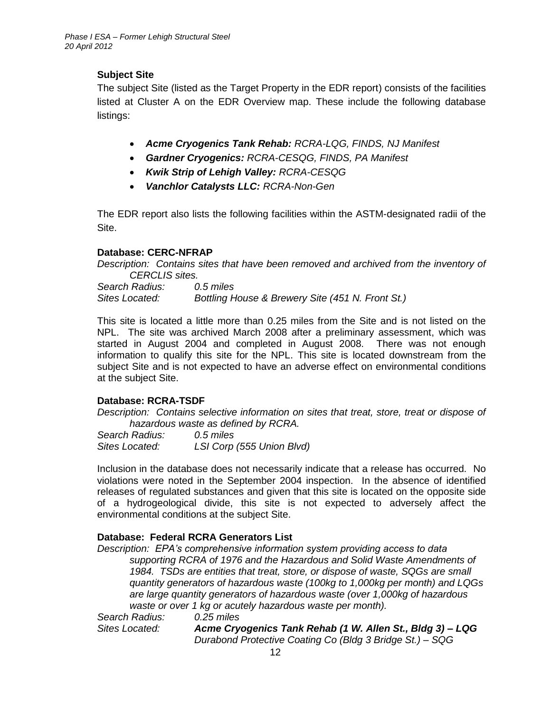# **Subject Site**

The subject Site (listed as the Target Property in the EDR report) consists of the facilities listed at Cluster A on the EDR Overview map. These include the following database listings:

- *Acme Cryogenics Tank Rehab: RCRA-LQG, FINDS, NJ Manifest*
- *Gardner Cryogenics: RCRA-CESQG, FINDS, PA Manifest*
- *Kwik Strip of Lehigh Valley: RCRA-CESQG*
- *Vanchlor Catalysts LLC: RCRA-Non-Gen*

The EDR report also lists the following facilities within the ASTM-designated radii of the Site.

#### **Database: CERC-NFRAP**

*Description: Contains sites that have been removed and archived from the inventory of CERCLIS sites.*

*Search Radius: 0.5 miles Sites Located: Bottling House & Brewery Site (451 N. Front St.)*

This site is located a little more than 0.25 miles from the Site and is not listed on the NPL. The site was archived March 2008 after a preliminary assessment, which was started in August 2004 and completed in August 2008. There was not enough information to qualify this site for the NPL. This site is located downstream from the subject Site and is not expected to have an adverse effect on environmental conditions at the subject Site.

#### **Database: RCRA-TSDF**

*Description: Contains selective information on sites that treat, store, treat or dispose of hazardous waste as defined by RCRA.*

| Search Radius: | 0.5 miles                 |
|----------------|---------------------------|
| Sites Located: | LSI Corp (555 Union Blvd) |

Inclusion in the database does not necessarily indicate that a release has occurred. No violations were noted in the September 2004 inspection. In the absence of identified releases of regulated substances and given that this site is located on the opposite side of a hydrogeological divide, this site is not expected to adversely affect the environmental conditions at the subject Site.

#### **Database: Federal RCRA Generators List**

*Description: EPA's comprehensive information system providing access to data supporting RCRA of 1976 and the Hazardous and Solid Waste Amendments of 1984. TSDs are entities that treat, store, or dispose of waste, SQGs are small quantity generators of hazardous waste (100kg to 1,000kg per month) and LQGs are large quantity generators of hazardous waste (over 1,000kg of hazardous waste or over 1 kg or acutely hazardous waste per month).*

*Search Radius: 0.25 miles*

*Sites Located: Acme Cryogenics Tank Rehab (1 W. Allen St., Bldg 3) – LQG Durabond Protective Coating Co (Bldg 3 Bridge St.) – SQG*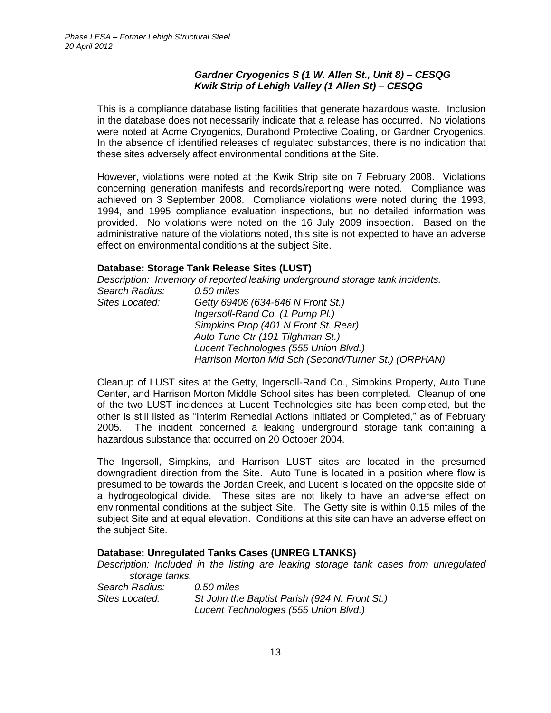#### *Gardner Cryogenics S (1 W. Allen St., Unit 8) – CESQG Kwik Strip of Lehigh Valley (1 Allen St) – CESQG*

This is a compliance database listing facilities that generate hazardous waste. Inclusion in the database does not necessarily indicate that a release has occurred. No violations were noted at Acme Cryogenics, Durabond Protective Coating, or Gardner Cryogenics. In the absence of identified releases of regulated substances, there is no indication that these sites adversely affect environmental conditions at the Site.

However, violations were noted at the Kwik Strip site on 7 February 2008. Violations concerning generation manifests and records/reporting were noted. Compliance was achieved on 3 September 2008. Compliance violations were noted during the 1993, 1994, and 1995 compliance evaluation inspections, but no detailed information was provided. No violations were noted on the 16 July 2009 inspection. Based on the administrative nature of the violations noted, this site is not expected to have an adverse effect on environmental conditions at the subject Site.

#### **Database: Storage Tank Release Sites (LUST)**

|                | Description: Inventory of reported leaking underground storage tank incidents. |
|----------------|--------------------------------------------------------------------------------|
| Search Radius: | $0.50$ miles                                                                   |
| Sites Located: | Getty 69406 (634-646 N Front St.)                                              |
|                | Ingersoll-Rand Co. (1 Pump Pl.)                                                |
|                | Simpkins Prop (401 N Front St. Rear)                                           |
|                | Auto Tune Ctr (191 Tilghman St.)                                               |
|                | Lucent Technologies (555 Union Blvd.)                                          |
|                | Harrison Morton Mid Sch (Second/Turner St.) (ORPHAN)                           |
|                |                                                                                |

Cleanup of LUST sites at the Getty, Ingersoll-Rand Co., Simpkins Property, Auto Tune Center, and Harrison Morton Middle School sites has been completed. Cleanup of one of the two LUST incidences at Lucent Technologies site has been completed, but the other is still listed as "Interim Remedial Actions Initiated or Completed," as of February 2005. The incident concerned a leaking underground storage tank containing a hazardous substance that occurred on 20 October 2004.

The Ingersoll, Simpkins, and Harrison LUST sites are located in the presumed downgradient direction from the Site. Auto Tune is located in a position where flow is presumed to be towards the Jordan Creek, and Lucent is located on the opposite side of a hydrogeological divide. These sites are not likely to have an adverse effect on environmental conditions at the subject Site. The Getty site is within 0.15 miles of the subject Site and at equal elevation. Conditions at this site can have an adverse effect on the subject Site.

#### **Database: Unregulated Tanks Cases (UNREG LTANKS)**

*Description: Included in the listing are leaking storage tank cases from unregulated storage tanks.*

*Search Radius: 0.50 miles Sites Located: St John the Baptist Parish (924 N. Front St.) Lucent Technologies (555 Union Blvd.)*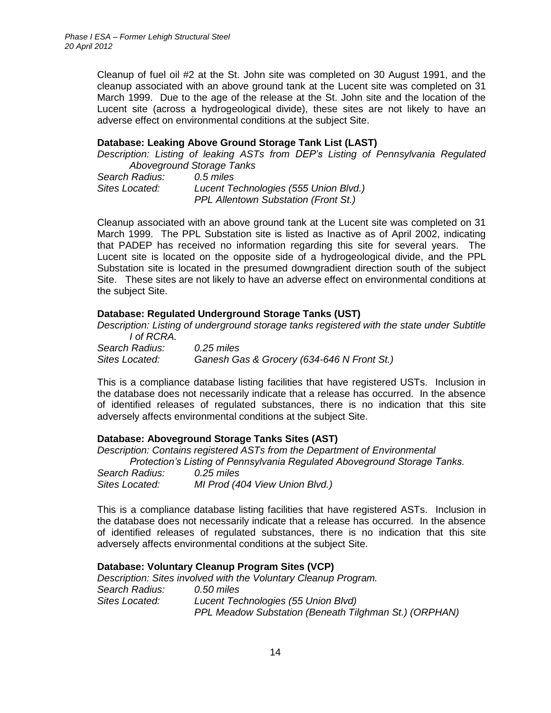Cleanup of fuel oil #2 at the St. John site was completed on 30 August 1991, and the cleanup associated with an above ground tank at the Lucent site was completed on 31 March 1999. Due to the age of the release at the St. John site and the location of the Lucent site (across a hydrogeological divide), these sites are not likely to have an adverse effect on environmental conditions at the subject Site.

#### **Database: Leaking Above Ground Storage Tank List (LAST)**

*Description: Listing of leaking ASTs from DEP's Listing of Pennsylvania Regulated Aboveground Storage Tanks*

| Search Radius: | 0.5 miles                                   |
|----------------|---------------------------------------------|
| Sites Located: | Lucent Technologies (555 Union Blvd.)       |
|                | <b>PPL Allentown Substation (Front St.)</b> |

Cleanup associated with an above ground tank at the Lucent site was completed on 31 March 1999. The PPL Substation site is listed as Inactive as of April 2002, indicating that PADEP has received no information regarding this site for several years. The Lucent site is located on the opposite side of a hydrogeological divide, and the PPL Substation site is located in the presumed downgradient direction south of the subject Site. These sites are not likely to have an adverse effect on environmental conditions at the subject Site.

#### **Database: Regulated Underground Storage Tanks (UST)**

*Description: Listing of underground storage tanks registered with the state under Subtitle I of RCRA.*

| .              |                                            |
|----------------|--------------------------------------------|
| Search Radius: | $0.25$ miles                               |
| Sites Located: | Ganesh Gas & Grocery (634-646 N Front St.) |

This is a compliance database listing facilities that have registered USTs. Inclusion in the database does not necessarily indicate that a release has occurred. In the absence of identified releases of regulated substances, there is no indication that this site adversely affects environmental conditions at the subject Site.

#### **Database: Aboveground Storage Tanks Sites (AST)**

*Description: Contains registered ASTs from the Department of Environmental* 

*Protection's Listing of Pennsylvania Regulated Aboveground Storage Tanks.*

| Search Radius: | $0.25$ miles                   |
|----------------|--------------------------------|
| Sites Located: | MI Prod (404 View Union Blvd.) |

This is a compliance database listing facilities that have registered ASTs. Inclusion in the database does not necessarily indicate that a release has occurred. In the absence of identified releases of regulated substances, there is no indication that this site adversely affects environmental conditions at the subject Site.

#### **Database: Voluntary Cleanup Program Sites (VCP)**

*Description: Sites involved with the Voluntary Cleanup Program. Search Radius: 0.50 miles Sites Located: Lucent Technologies (55 Union Blvd) PPL Meadow Substation (Beneath Tilghman St.) (ORPHAN)*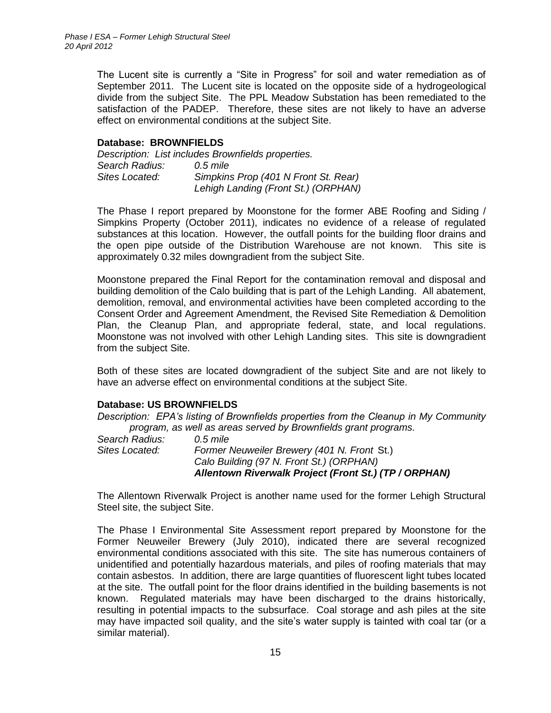The Lucent site is currently a "Site in Progress" for soil and water remediation as of September 2011. The Lucent site is located on the opposite side of a hydrogeological divide from the subject Site. The PPL Meadow Substation has been remediated to the satisfaction of the PADEP. Therefore, these sites are not likely to have an adverse effect on environmental conditions at the subject Site.

#### **Database: BROWNFIELDS**

|                | Description: List includes Brownfields properties. |
|----------------|----------------------------------------------------|
| Search Radius: | 0.5 mile                                           |
| Sites Located: | Simpkins Prop (401 N Front St. Rear)               |
|                | Lehigh Landing (Front St.) (ORPHAN)                |

The Phase I report prepared by Moonstone for the former ABE Roofing and Siding / Simpkins Property (October 2011), indicates no evidence of a release of regulated substances at this location. However, the outfall points for the building floor drains and the open pipe outside of the Distribution Warehouse are not known. This site is approximately 0.32 miles downgradient from the subject Site.

Moonstone prepared the Final Report for the contamination removal and disposal and building demolition of the Calo building that is part of the Lehigh Landing. All abatement, demolition, removal, and environmental activities have been completed according to the Consent Order and Agreement Amendment, the Revised Site Remediation & Demolition Plan, the Cleanup Plan, and appropriate federal, state, and local regulations. Moonstone was not involved with other Lehigh Landing sites. This site is downgradient from the subject Site.

Both of these sites are located downgradient of the subject Site and are not likely to have an adverse effect on environmental conditions at the subject Site.

#### **Database: US BROWNFIELDS**

*Description: EPA's listing of Brownfields properties from the Cleanup in My Community program, as well as areas served by Brownfields grant programs.*

|                | Allentown Riverwalk Project (Front St.) (TP / ORPHAN) |
|----------------|-------------------------------------------------------|
|                | Calo Building (97 N. Front St.) (ORPHAN)              |
| Sites Located: | Former Neuweiler Brewery (401 N. Front St.)           |
| Search Radius: | 0.5 mile                                              |

The Allentown Riverwalk Project is another name used for the former Lehigh Structural Steel site, the subject Site.

The Phase I Environmental Site Assessment report prepared by Moonstone for the Former Neuweiler Brewery (July 2010), indicated there are several recognized environmental conditions associated with this site. The site has numerous containers of unidentified and potentially hazardous materials, and piles of roofing materials that may contain asbestos. In addition, there are large quantities of fluorescent light tubes located at the site. The outfall point for the floor drains identified in the building basements is not known. Regulated materials may have been discharged to the drains historically, resulting in potential impacts to the subsurface. Coal storage and ash piles at the site may have impacted soil quality, and the site's water supply is tainted with coal tar (or a similar material).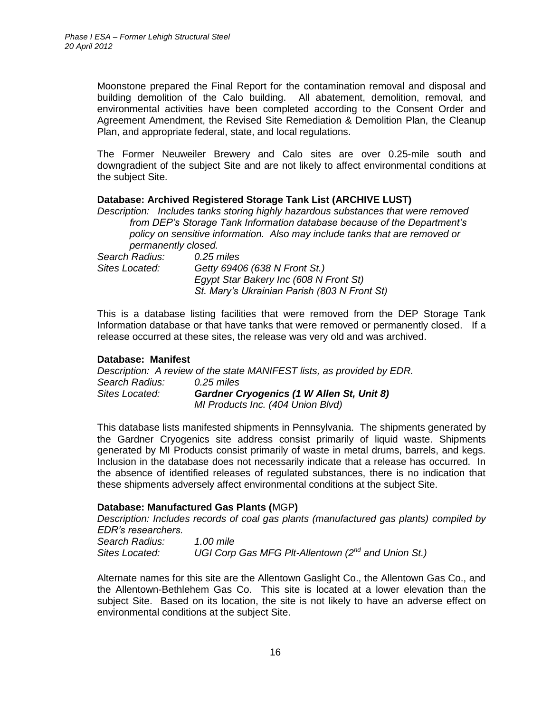Moonstone prepared the Final Report for the contamination removal and disposal and building demolition of the Calo building. All abatement, demolition, removal, and environmental activities have been completed according to the Consent Order and Agreement Amendment, the Revised Site Remediation & Demolition Plan, the Cleanup Plan, and appropriate federal, state, and local regulations.

The Former Neuweiler Brewery and Calo sites are over 0.25-mile south and downgradient of the subject Site and are not likely to affect environmental conditions at the subject Site.

#### **Database: Archived Registered Storage Tank List (ARCHIVE LUST)**

*Description: Includes tanks storing highly hazardous substances that were removed from DEP's Storage Tank Information database because of the Department's policy on sensitive information. Also may include tanks that are removed or permanently closed.*

| Search Radius: | $0.25$ miles                                 |
|----------------|----------------------------------------------|
| Sites Located: | Getty 69406 (638 N Front St.)                |
|                | Egypt Star Bakery Inc (608 N Front St)       |
|                | St. Mary's Ukrainian Parish (803 N Front St) |

This is a database listing facilities that were removed from the DEP Storage Tank Information database or that have tanks that were removed or permanently closed. If a release occurred at these sites, the release was very old and was archived.

#### **Database: Manifest**

*Description: A review of the state MANIFEST lists, as provided by EDR. Search Radius: 0.25 miles Sites Located: Gardner Cryogenics (1 W Allen St, Unit 8) MI Products Inc. (404 Union Blvd)*

This database lists manifested shipments in Pennsylvania. The shipments generated by the Gardner Cryogenics site address consist primarily of liquid waste. Shipments generated by MI Products consist primarily of waste in metal drums, barrels, and kegs. Inclusion in the database does not necessarily indicate that a release has occurred. In the absence of identified releases of regulated substances, there is no indication that these shipments adversely affect environmental conditions at the subject Site.

#### **Database: Manufactured Gas Plants (**MGP**)**

*Description: Includes records of coal gas plants (manufactured gas plants) compiled by EDR's researchers.* 

| Search Radius: | 1.00 mile                                               |
|----------------|---------------------------------------------------------|
| Sites Located: | UGI Corp Gas MFG PIt-Allentown $(2^{nd}$ and Union St.) |

Alternate names for this site are the Allentown Gaslight Co., the Allentown Gas Co., and the Allentown-Bethlehem Gas Co. This site is located at a lower elevation than the subject Site. Based on its location, the site is not likely to have an adverse effect on environmental conditions at the subject Site.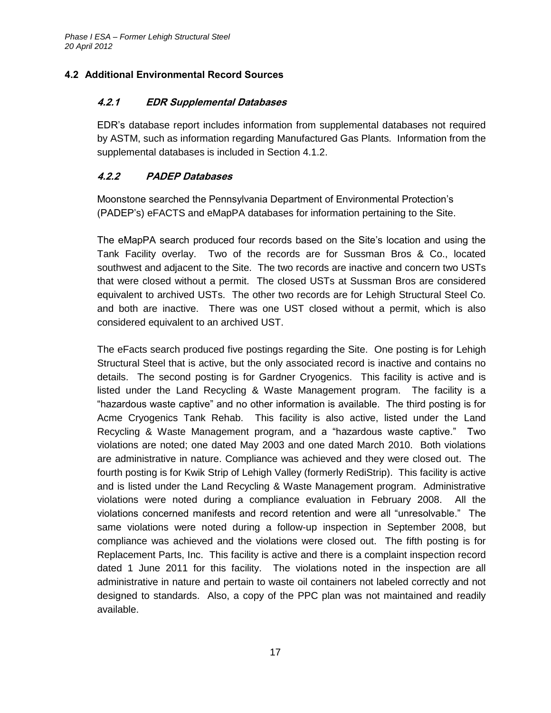# <span id="page-24-1"></span><span id="page-24-0"></span>**4.2 Additional Environmental Record Sources**

# **4.2.1 EDR Supplemental Databases**

EDR's database report includes information from supplemental databases not required by ASTM, such as information regarding Manufactured Gas Plants. Information from the supplemental databases is included in Section 4.1.2.

# <span id="page-24-2"></span>**4.2.2 PADEP Databases**

Moonstone searched the Pennsylvania Department of Environmental Protection's (PADEP's) eFACTS and eMapPA databases for information pertaining to the Site.

The eMapPA search produced four records based on the Site's location and using the Tank Facility overlay. Two of the records are for Sussman Bros & Co., located southwest and adjacent to the Site. The two records are inactive and concern two USTs that were closed without a permit. The closed USTs at Sussman Bros are considered equivalent to archived USTs. The other two records are for Lehigh Structural Steel Co. and both are inactive. There was one UST closed without a permit, which is also considered equivalent to an archived UST.

The eFacts search produced five postings regarding the Site. One posting is for Lehigh Structural Steel that is active, but the only associated record is inactive and contains no details. The second posting is for Gardner Cryogenics. This facility is active and is listed under the Land Recycling & Waste Management program. The facility is a "hazardous waste captive" and no other information is available. The third posting is for Acme Cryogenics Tank Rehab. This facility is also active, listed under the Land Recycling & Waste Management program, and a "hazardous waste captive." Two violations are noted; one dated May 2003 and one dated March 2010. Both violations are administrative in nature. Compliance was achieved and they were closed out. The fourth posting is for Kwik Strip of Lehigh Valley (formerly RediStrip). This facility is active and is listed under the Land Recycling & Waste Management program. Administrative violations were noted during a compliance evaluation in February 2008. All the violations concerned manifests and record retention and were all "unresolvable." The same violations were noted during a follow-up inspection in September 2008, but compliance was achieved and the violations were closed out. The fifth posting is for Replacement Parts, Inc. This facility is active and there is a complaint inspection record dated 1 June 2011 for this facility. The violations noted in the inspection are all administrative in nature and pertain to waste oil containers not labeled correctly and not designed to standards. Also, a copy of the PPC plan was not maintained and readily available.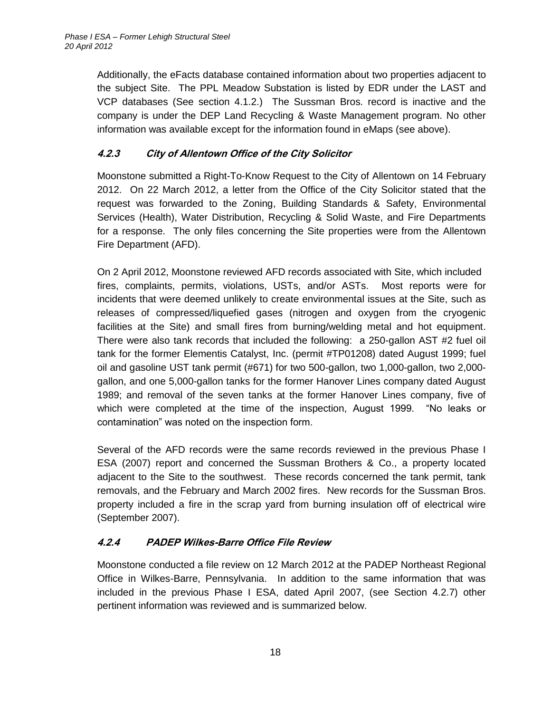Additionally, the eFacts database contained information about two properties adjacent to the subject Site. The PPL Meadow Substation is listed by EDR under the LAST and VCP databases (See section 4.1.2.) The Sussman Bros. record is inactive and the company is under the DEP Land Recycling & Waste Management program. No other information was available except for the information found in eMaps (see above).

# <span id="page-25-0"></span>**4.2.3 City of Allentown Office of the City Solicitor**

Moonstone submitted a Right-To-Know Request to the City of Allentown on 14 February 2012. On 22 March 2012, a letter from the Office of the City Solicitor stated that the request was forwarded to the Zoning, Building Standards & Safety, Environmental Services (Health), Water Distribution, Recycling & Solid Waste, and Fire Departments for a response. The only files concerning the Site properties were from the Allentown Fire Department (AFD).

On 2 April 2012, Moonstone reviewed AFD records associated with Site, which included fires, complaints, permits, violations, USTs, and/or ASTs. Most reports were for incidents that were deemed unlikely to create environmental issues at the Site, such as releases of compressed/liquefied gases (nitrogen and oxygen from the cryogenic facilities at the Site) and small fires from burning/welding metal and hot equipment. There were also tank records that included the following: a 250-gallon AST #2 fuel oil tank for the former Elementis Catalyst, Inc. (permit #TP01208) dated August 1999; fuel oil and gasoline UST tank permit (#671) for two 500-gallon, two 1,000-gallon, two 2,000 gallon, and one 5,000-gallon tanks for the former Hanover Lines company dated August 1989; and removal of the seven tanks at the former Hanover Lines company, five of which were completed at the time of the inspection, August 1999. "No leaks or contamination" was noted on the inspection form.

Several of the AFD records were the same records reviewed in the previous Phase I ESA (2007) report and concerned the Sussman Brothers & Co., a property located adjacent to the Site to the southwest. These records concerned the tank permit, tank removals, and the February and March 2002 fires. New records for the Sussman Bros. property included a fire in the scrap yard from burning insulation off of electrical wire (September 2007).

# <span id="page-25-1"></span>**4.2.4 PADEP Wilkes-Barre Office File Review**

Moonstone conducted a file review on 12 March 2012 at the PADEP Northeast Regional Office in Wilkes-Barre, Pennsylvania. In addition to the same information that was included in the previous Phase I ESA, dated April 2007, (see Section 4.2.7) other pertinent information was reviewed and is summarized below.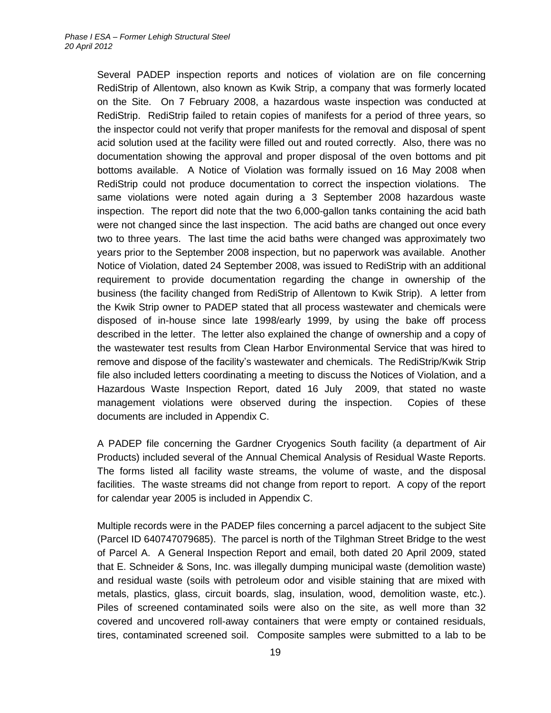Several PADEP inspection reports and notices of violation are on file concerning RediStrip of Allentown, also known as Kwik Strip, a company that was formerly located on the Site. On 7 February 2008, a hazardous waste inspection was conducted at RediStrip. RediStrip failed to retain copies of manifests for a period of three years, so the inspector could not verify that proper manifests for the removal and disposal of spent acid solution used at the facility were filled out and routed correctly. Also, there was no documentation showing the approval and proper disposal of the oven bottoms and pit bottoms available. A Notice of Violation was formally issued on 16 May 2008 when RediStrip could not produce documentation to correct the inspection violations. The same violations were noted again during a 3 September 2008 hazardous waste inspection. The report did note that the two 6,000-gallon tanks containing the acid bath were not changed since the last inspection. The acid baths are changed out once every two to three years. The last time the acid baths were changed was approximately two years prior to the September 2008 inspection, but no paperwork was available. Another Notice of Violation, dated 24 September 2008, was issued to RediStrip with an additional requirement to provide documentation regarding the change in ownership of the business (the facility changed from RediStrip of Allentown to Kwik Strip). A letter from the Kwik Strip owner to PADEP stated that all process wastewater and chemicals were disposed of in-house since late 1998/early 1999, by using the bake off process described in the letter. The letter also explained the change of ownership and a copy of the wastewater test results from Clean Harbor Environmental Service that was hired to remove and dispose of the facility's wastewater and chemicals. The RediStrip/Kwik Strip file also included letters coordinating a meeting to discuss the Notices of Violation, and a Hazardous Waste Inspection Report, dated 16 July 2009, that stated no waste management violations were observed during the inspection. Copies of these documents are included in Appendix C.

A PADEP file concerning the Gardner Cryogenics South facility (a department of Air Products) included several of the Annual Chemical Analysis of Residual Waste Reports. The forms listed all facility waste streams, the volume of waste, and the disposal facilities. The waste streams did not change from report to report. A copy of the report for calendar year 2005 is included in Appendix C.

Multiple records were in the PADEP files concerning a parcel adjacent to the subject Site (Parcel ID 640747079685). The parcel is north of the Tilghman Street Bridge to the west of Parcel A. A General Inspection Report and email, both dated 20 April 2009, stated that E. Schneider & Sons, Inc. was illegally dumping municipal waste (demolition waste) and residual waste (soils with petroleum odor and visible staining that are mixed with metals, plastics, glass, circuit boards, slag, insulation, wood, demolition waste, etc.). Piles of screened contaminated soils were also on the site, as well more than 32 covered and uncovered roll-away containers that were empty or contained residuals, tires, contaminated screened soil. Composite samples were submitted to a lab to be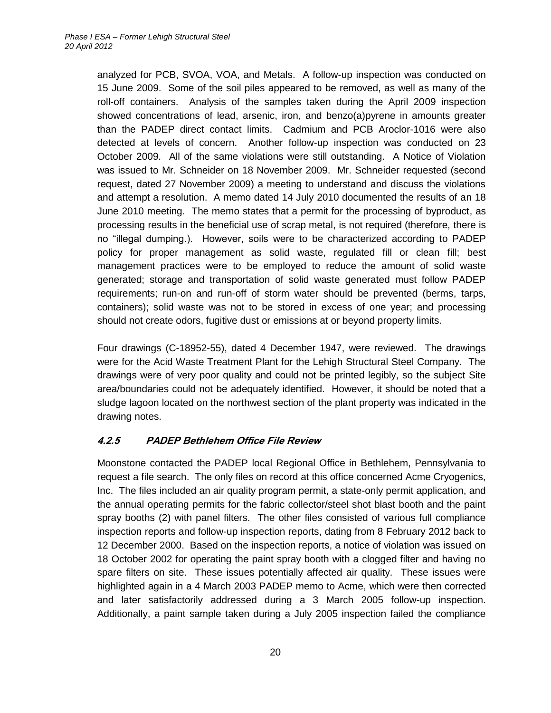analyzed for PCB, SVOA, VOA, and Metals. A follow-up inspection was conducted on 15 June 2009. Some of the soil piles appeared to be removed, as well as many of the roll-off containers. Analysis of the samples taken during the April 2009 inspection showed concentrations of lead, arsenic, iron, and benzo(a)pyrene in amounts greater than the PADEP direct contact limits. Cadmium and PCB Aroclor-1016 were also detected at levels of concern. Another follow-up inspection was conducted on 23 October 2009. All of the same violations were still outstanding. A Notice of Violation was issued to Mr. Schneider on 18 November 2009. Mr. Schneider requested (second request, dated 27 November 2009) a meeting to understand and discuss the violations and attempt a resolution. A memo dated 14 July 2010 documented the results of an 18 June 2010 meeting. The memo states that a permit for the processing of byproduct, as processing results in the beneficial use of scrap metal, is not required (therefore, there is no "illegal dumping.). However, soils were to be characterized according to PADEP policy for proper management as solid waste, regulated fill or clean fill; best management practices were to be employed to reduce the amount of solid waste generated; storage and transportation of solid waste generated must follow PADEP requirements; run-on and run-off of storm water should be prevented (berms, tarps, containers); solid waste was not to be stored in excess of one year; and processing should not create odors, fugitive dust or emissions at or beyond property limits.

Four drawings (C-18952-55), dated 4 December 1947, were reviewed. The drawings were for the Acid Waste Treatment Plant for the Lehigh Structural Steel Company. The drawings were of very poor quality and could not be printed legibly, so the subject Site area/boundaries could not be adequately identified. However, it should be noted that a sludge lagoon located on the northwest section of the plant property was indicated in the drawing notes.

# <span id="page-27-0"></span>**4.2.5 PADEP Bethlehem Office File Review**

Moonstone contacted the PADEP local Regional Office in Bethlehem, Pennsylvania to request a file search. The only files on record at this office concerned Acme Cryogenics, Inc. The files included an air quality program permit, a state-only permit application, and the annual operating permits for the fabric collector/steel shot blast booth and the paint spray booths (2) with panel filters. The other files consisted of various full compliance inspection reports and follow-up inspection reports, dating from 8 February 2012 back to 12 December 2000. Based on the inspection reports, a notice of violation was issued on 18 October 2002 for operating the paint spray booth with a clogged filter and having no spare filters on site. These issues potentially affected air quality. These issues were highlighted again in a 4 March 2003 PADEP memo to Acme, which were then corrected and later satisfactorily addressed during a 3 March 2005 follow-up inspection. Additionally, a paint sample taken during a July 2005 inspection failed the compliance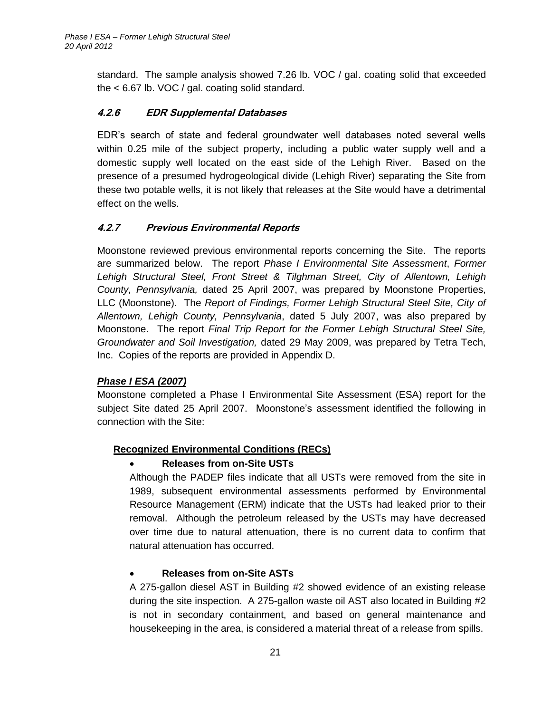standard. The sample analysis showed 7.26 lb. VOC / gal. coating solid that exceeded the < 6.67 lb. VOC / gal. coating solid standard.

### <span id="page-28-0"></span>**4.2.6 EDR Supplemental Databases**

EDR's search of state and federal groundwater well databases noted several wells within 0.25 mile of the subject property, including a public water supply well and a domestic supply well located on the east side of the Lehigh River. Based on the presence of a presumed hydrogeological divide (Lehigh River) separating the Site from these two potable wells, it is not likely that releases at the Site would have a detrimental effect on the wells.

# <span id="page-28-1"></span>**4.2.7 Previous Environmental Reports**

Moonstone reviewed previous environmental reports concerning the Site. The reports are summarized below. The report *Phase I Environmental Site Assessment*, *Former Lehigh Structural Steel, Front Street & Tilghman Street, City of Allentown, Lehigh County, Pennsylvania,* dated 25 April 2007, was prepared by Moonstone Properties, LLC (Moonstone). The *Report of Findings, Former Lehigh Structural Steel Site, City of Allentown, Lehigh County, Pennsylvania*, dated 5 July 2007, was also prepared by Moonstone. The report *Final Trip Report for the Former Lehigh Structural Steel Site, Groundwater and Soil Investigation,* dated 29 May 2009, was prepared by Tetra Tech, Inc. Copies of the reports are provided in Appendix D.

# *Phase I ESA (2007)*

Moonstone completed a Phase I Environmental Site Assessment (ESA) report for the subject Site dated 25 April 2007. Moonstone's assessment identified the following in connection with the Site:

#### **Recognized Environmental Conditions (RECs)**

#### **Releases from on-Site USTs**

Although the PADEP files indicate that all USTs were removed from the site in 1989, subsequent environmental assessments performed by Environmental Resource Management (ERM) indicate that the USTs had leaked prior to their removal. Although the petroleum released by the USTs may have decreased over time due to natural attenuation, there is no current data to confirm that natural attenuation has occurred.

#### **Releases from on-Site ASTs**

A 275-gallon diesel AST in Building #2 showed evidence of an existing release during the site inspection. A 275-gallon waste oil AST also located in Building #2 is not in secondary containment, and based on general maintenance and housekeeping in the area, is considered a material threat of a release from spills.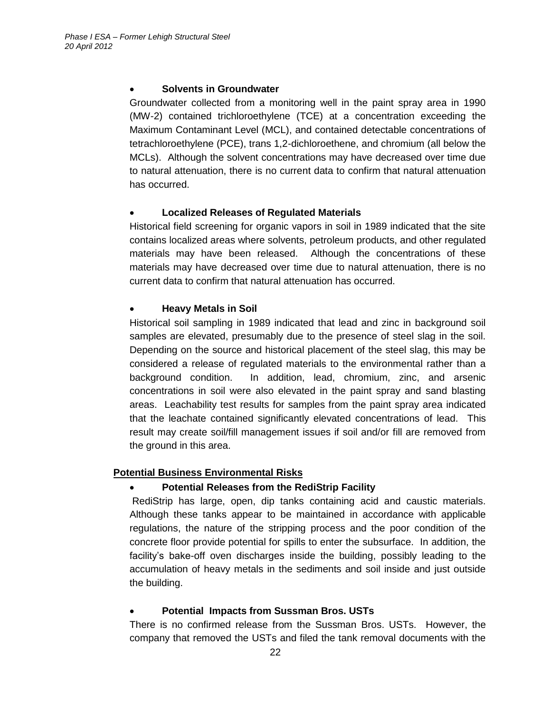#### **Solvents in Groundwater**

Groundwater collected from a monitoring well in the paint spray area in 1990 (MW-2) contained trichloroethylene (TCE) at a concentration exceeding the Maximum Contaminant Level (MCL), and contained detectable concentrations of tetrachloroethylene (PCE), trans 1,2-dichloroethene, and chromium (all below the MCLs). Although the solvent concentrations may have decreased over time due to natural attenuation, there is no current data to confirm that natural attenuation has occurred.

### **Localized Releases of Regulated Materials**

Historical field screening for organic vapors in soil in 1989 indicated that the site contains localized areas where solvents, petroleum products, and other regulated materials may have been released. Although the concentrations of these materials may have decreased over time due to natural attenuation, there is no current data to confirm that natural attenuation has occurred.

### **Heavy Metals in Soil**

Historical soil sampling in 1989 indicated that lead and zinc in background soil samples are elevated, presumably due to the presence of steel slag in the soil. Depending on the source and historical placement of the steel slag, this may be considered a release of regulated materials to the environmental rather than a background condition. In addition, lead, chromium, zinc, and arsenic concentrations in soil were also elevated in the paint spray and sand blasting areas. Leachability test results for samples from the paint spray area indicated that the leachate contained significantly elevated concentrations of lead. This result may create soil/fill management issues if soil and/or fill are removed from the ground in this area.

# **Potential Business Environmental Risks**

#### **Potential Releases from the RediStrip Facility**

RediStrip has large, open, dip tanks containing acid and caustic materials. Although these tanks appear to be maintained in accordance with applicable regulations, the nature of the stripping process and the poor condition of the concrete floor provide potential for spills to enter the subsurface. In addition, the facility's bake-off oven discharges inside the building, possibly leading to the accumulation of heavy metals in the sediments and soil inside and just outside the building.

#### **Potential Impacts from Sussman Bros. USTs**

There is no confirmed release from the Sussman Bros. USTs. However, the company that removed the USTs and filed the tank removal documents with the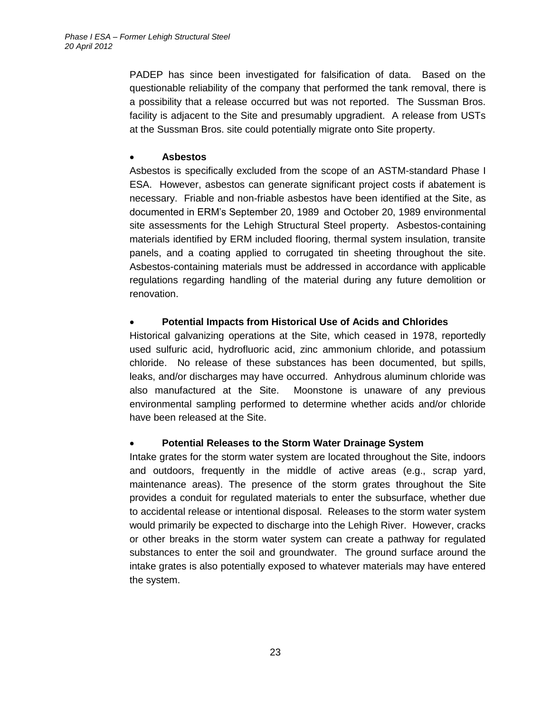PADEP has since been investigated for falsification of data. Based on the questionable reliability of the company that performed the tank removal, there is a possibility that a release occurred but was not reported. The Sussman Bros. facility is adjacent to the Site and presumably upgradient. A release from USTs at the Sussman Bros. site could potentially migrate onto Site property.

### **Asbestos**

Asbestos is specifically excluded from the scope of an ASTM-standard Phase I ESA. However, asbestos can generate significant project costs if abatement is necessary. Friable and non-friable asbestos have been identified at the Site, as documented in ERM's September 20, 1989 and October 20, 1989 environmental site assessments for the Lehigh Structural Steel property. Asbestos-containing materials identified by ERM included flooring, thermal system insulation, transite panels, and a coating applied to corrugated tin sheeting throughout the site. Asbestos-containing materials must be addressed in accordance with applicable regulations regarding handling of the material during any future demolition or renovation.

# **Potential Impacts from Historical Use of Acids and Chlorides**

Historical galvanizing operations at the Site, which ceased in 1978, reportedly used sulfuric acid, hydrofluoric acid, zinc ammonium chloride, and potassium chloride. No release of these substances has been documented, but spills, leaks, and/or discharges may have occurred. Anhydrous aluminum chloride was also manufactured at the Site. Moonstone is unaware of any previous environmental sampling performed to determine whether acids and/or chloride have been released at the Site.

# **Potential Releases to the Storm Water Drainage System**

Intake grates for the storm water system are located throughout the Site, indoors and outdoors, frequently in the middle of active areas (e.g., scrap yard, maintenance areas). The presence of the storm grates throughout the Site provides a conduit for regulated materials to enter the subsurface, whether due to accidental release or intentional disposal. Releases to the storm water system would primarily be expected to discharge into the Lehigh River. However, cracks or other breaks in the storm water system can create a pathway for regulated substances to enter the soil and groundwater. The ground surface around the intake grates is also potentially exposed to whatever materials may have entered the system.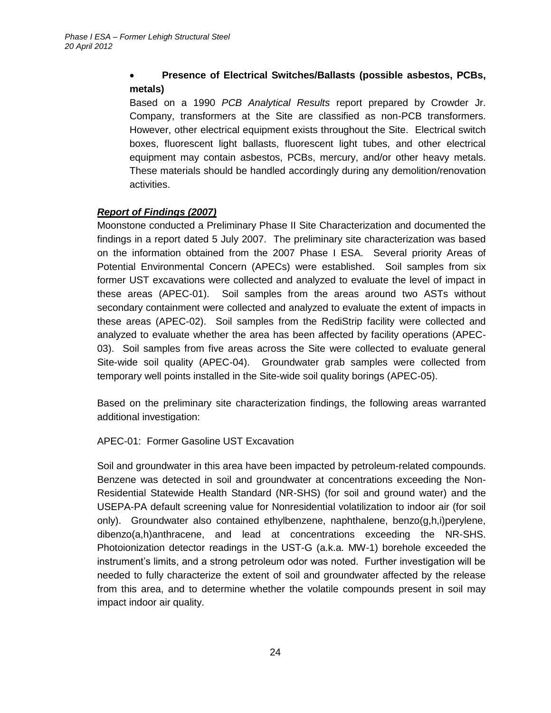# **Presence of Electrical Switches/Ballasts (possible asbestos, PCBs, metals)**

Based on a 1990 *PCB Analytical Results* report prepared by Crowder Jr. Company, transformers at the Site are classified as non-PCB transformers. However, other electrical equipment exists throughout the Site. Electrical switch boxes, fluorescent light ballasts, fluorescent light tubes, and other electrical equipment may contain asbestos, PCBs, mercury, and/or other heavy metals. These materials should be handled accordingly during any demolition/renovation activities.

# *Report of Findings (2007)*

Moonstone conducted a Preliminary Phase II Site Characterization and documented the findings in a report dated 5 July 2007. The preliminary site characterization was based on the information obtained from the 2007 Phase I ESA. Several priority Areas of Potential Environmental Concern (APECs) were established. Soil samples from six former UST excavations were collected and analyzed to evaluate the level of impact in these areas (APEC-01). Soil samples from the areas around two ASTs without secondary containment were collected and analyzed to evaluate the extent of impacts in these areas (APEC-02). Soil samples from the RediStrip facility were collected and analyzed to evaluate whether the area has been affected by facility operations (APEC-03). Soil samples from five areas across the Site were collected to evaluate general Site-wide soil quality (APEC-04). Groundwater grab samples were collected from temporary well points installed in the Site-wide soil quality borings (APEC-05).

Based on the preliminary site characterization findings, the following areas warranted additional investigation:

# APEC-01: Former Gasoline UST Excavation

Soil and groundwater in this area have been impacted by petroleum-related compounds. Benzene was detected in soil and groundwater at concentrations exceeding the Non-Residential Statewide Health Standard (NR-SHS) (for soil and ground water) and the USEPA-PA default screening value for Nonresidential volatilization to indoor air (for soil only). Groundwater also contained ethylbenzene, naphthalene, benzo(g,h,i)perylene, dibenzo(a,h)anthracene, and lead at concentrations exceeding the NR-SHS. Photoionization detector readings in the UST-G (a.k.a. MW-1) borehole exceeded the instrument's limits, and a strong petroleum odor was noted. Further investigation will be needed to fully characterize the extent of soil and groundwater affected by the release from this area, and to determine whether the volatile compounds present in soil may impact indoor air quality.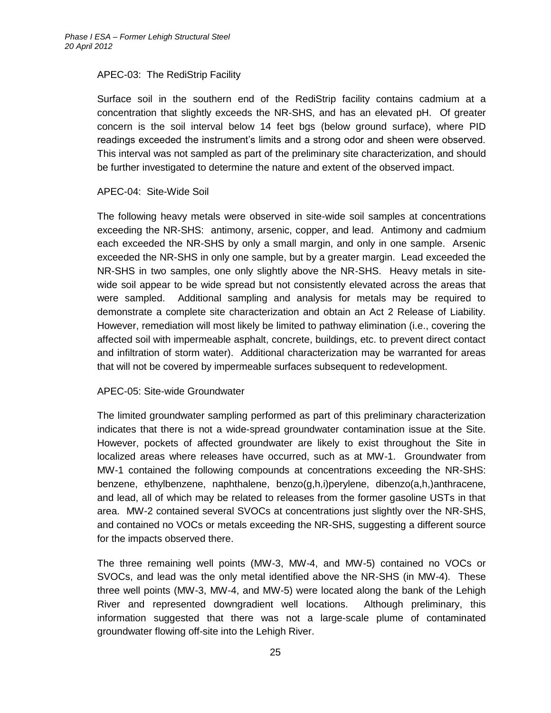#### APEC-03: The RediStrip Facility

Surface soil in the southern end of the RediStrip facility contains cadmium at a concentration that slightly exceeds the NR-SHS, and has an elevated pH. Of greater concern is the soil interval below 14 feet bgs (below ground surface), where PID readings exceeded the instrument's limits and a strong odor and sheen were observed. This interval was not sampled as part of the preliminary site characterization, and should be further investigated to determine the nature and extent of the observed impact.

#### APEC-04: Site-Wide Soil

The following heavy metals were observed in site-wide soil samples at concentrations exceeding the NR-SHS: antimony, arsenic, copper, and lead. Antimony and cadmium each exceeded the NR-SHS by only a small margin, and only in one sample. Arsenic exceeded the NR-SHS in only one sample, but by a greater margin. Lead exceeded the NR-SHS in two samples, one only slightly above the NR-SHS. Heavy metals in sitewide soil appear to be wide spread but not consistently elevated across the areas that were sampled. Additional sampling and analysis for metals may be required to demonstrate a complete site characterization and obtain an Act 2 Release of Liability. However, remediation will most likely be limited to pathway elimination (i.e., covering the affected soil with impermeable asphalt, concrete, buildings, etc. to prevent direct contact and infiltration of storm water). Additional characterization may be warranted for areas that will not be covered by impermeable surfaces subsequent to redevelopment.

#### APEC-05: Site-wide Groundwater

The limited groundwater sampling performed as part of this preliminary characterization indicates that there is not a wide-spread groundwater contamination issue at the Site. However, pockets of affected groundwater are likely to exist throughout the Site in localized areas where releases have occurred, such as at MW-1. Groundwater from MW-1 contained the following compounds at concentrations exceeding the NR-SHS: benzene, ethylbenzene, naphthalene, benzo(g,h,i)perylene, dibenzo(a,h,)anthracene, and lead, all of which may be related to releases from the former gasoline USTs in that area. MW-2 contained several SVOCs at concentrations just slightly over the NR-SHS, and contained no VOCs or metals exceeding the NR-SHS, suggesting a different source for the impacts observed there.

The three remaining well points (MW-3, MW-4, and MW-5) contained no VOCs or SVOCs, and lead was the only metal identified above the NR-SHS (in MW-4). These three well points (MW-3, MW-4, and MW-5) were located along the bank of the Lehigh River and represented downgradient well locations. Although preliminary, this information suggested that there was not a large-scale plume of contaminated groundwater flowing off-site into the Lehigh River.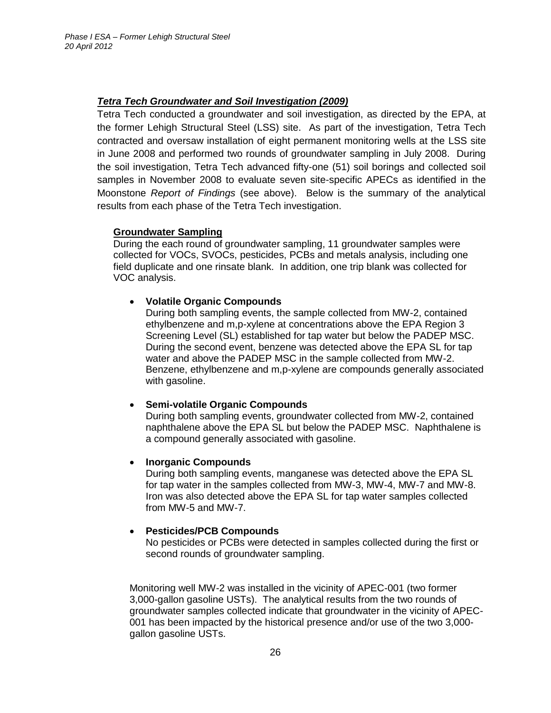#### *Tetra Tech Groundwater and Soil Investigation (2009)*

Tetra Tech conducted a groundwater and soil investigation, as directed by the EPA, at the former Lehigh Structural Steel (LSS) site. As part of the investigation, Tetra Tech contracted and oversaw installation of eight permanent monitoring wells at the LSS site in June 2008 and performed two rounds of groundwater sampling in July 2008. During the soil investigation, Tetra Tech advanced fifty-one (51) soil borings and collected soil samples in November 2008 to evaluate seven site-specific APECs as identified in the Moonstone *Report of Findings* (see above). Below is the summary of the analytical results from each phase of the Tetra Tech investigation.

#### **Groundwater Sampling**

During the each round of groundwater sampling, 11 groundwater samples were collected for VOCs, SVOCs, pesticides, PCBs and metals analysis, including one field duplicate and one rinsate blank. In addition, one trip blank was collected for VOC analysis.

#### **Volatile Organic Compounds**

During both sampling events, the sample collected from MW-2, contained ethylbenzene and m,p-xylene at concentrations above the EPA Region 3 Screening Level (SL) established for tap water but below the PADEP MSC. During the second event, benzene was detected above the EPA SL for tap water and above the PADEP MSC in the sample collected from MW-2. Benzene, ethylbenzene and m,p-xylene are compounds generally associated with gasoline.

#### **Semi-volatile Organic Compounds**

During both sampling events, groundwater collected from MW-2, contained naphthalene above the EPA SL but below the PADEP MSC. Naphthalene is a compound generally associated with gasoline.

#### **Inorganic Compounds**

During both sampling events, manganese was detected above the EPA SL for tap water in the samples collected from MW-3, MW-4, MW-7 and MW-8. Iron was also detected above the EPA SL for tap water samples collected from MW-5 and MW-7.

#### **Pesticides/PCB Compounds**

No pesticides or PCBs were detected in samples collected during the first or second rounds of groundwater sampling.

Monitoring well MW-2 was installed in the vicinity of APEC-001 (two former 3,000-gallon gasoline USTs). The analytical results from the two rounds of groundwater samples collected indicate that groundwater in the vicinity of APEC-001 has been impacted by the historical presence and/or use of the two 3,000 gallon gasoline USTs.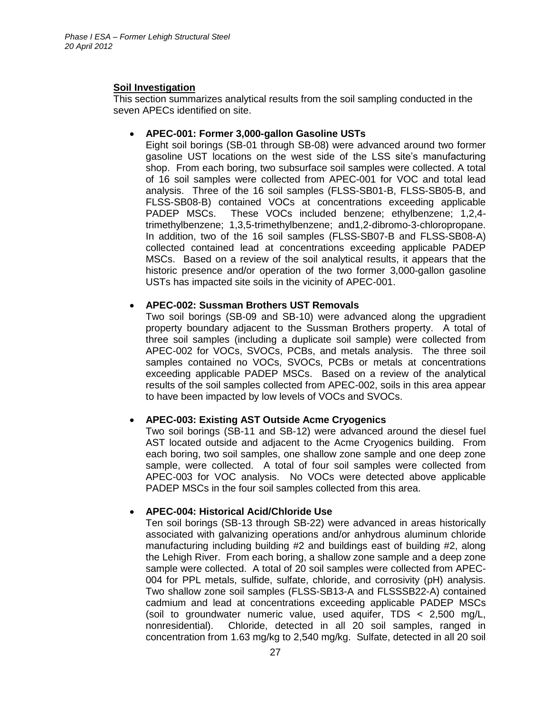#### **Soil Investigation**

This section summarizes analytical results from the soil sampling conducted in the seven APECs identified on site.

#### **APEC-001: Former 3,000-gallon Gasoline USTs**

Eight soil borings (SB-01 through SB-08) were advanced around two former gasoline UST locations on the west side of the LSS site's manufacturing shop. From each boring, two subsurface soil samples were collected. A total of 16 soil samples were collected from APEC-001 for VOC and total lead analysis. Three of the 16 soil samples (FLSS-SB01-B, FLSS-SB05-B, and FLSS-SB08-B) contained VOCs at concentrations exceeding applicable PADEP MSCs. These VOCs included benzene; ethylbenzene; 1,2,4 trimethylbenzene; 1,3,5-trimethylbenzene; and1,2-dibromo-3-chloropropane. In addition, two of the 16 soil samples (FLSS-SB07-B and FLSS-SB08-A) collected contained lead at concentrations exceeding applicable PADEP MSCs. Based on a review of the soil analytical results, it appears that the historic presence and/or operation of the two former 3,000-gallon gasoline USTs has impacted site soils in the vicinity of APEC-001.

#### **APEC-002: Sussman Brothers UST Removals**

Two soil borings (SB-09 and SB-10) were advanced along the upgradient property boundary adjacent to the Sussman Brothers property. A total of three soil samples (including a duplicate soil sample) were collected from APEC-002 for VOCs, SVOCs, PCBs, and metals analysis. The three soil samples contained no VOCs, SVOCs, PCBs or metals at concentrations exceeding applicable PADEP MSCs. Based on a review of the analytical results of the soil samples collected from APEC-002, soils in this area appear to have been impacted by low levels of VOCs and SVOCs.

#### **APEC-003: Existing AST Outside Acme Cryogenics**

Two soil borings (SB-11 and SB-12) were advanced around the diesel fuel AST located outside and adjacent to the Acme Cryogenics building. From each boring, two soil samples, one shallow zone sample and one deep zone sample, were collected. A total of four soil samples were collected from APEC-003 for VOC analysis. No VOCs were detected above applicable PADEP MSCs in the four soil samples collected from this area.

#### **APEC-004: Historical Acid/Chloride Use**

Ten soil borings (SB-13 through SB-22) were advanced in areas historically associated with galvanizing operations and/or anhydrous aluminum chloride manufacturing including building #2 and buildings east of building #2, along the Lehigh River. From each boring, a shallow zone sample and a deep zone sample were collected. A total of 20 soil samples were collected from APEC-004 for PPL metals, sulfide, sulfate, chloride, and corrosivity (pH) analysis. Two shallow zone soil samples (FLSS-SB13-A and FLSSSB22-A) contained cadmium and lead at concentrations exceeding applicable PADEP MSCs (soil to groundwater numeric value, used aquifer, TDS < 2,500 mg/L, nonresidential). Chloride, detected in all 20 soil samples, ranged in concentration from 1.63 mg/kg to 2,540 mg/kg. Sulfate, detected in all 20 soil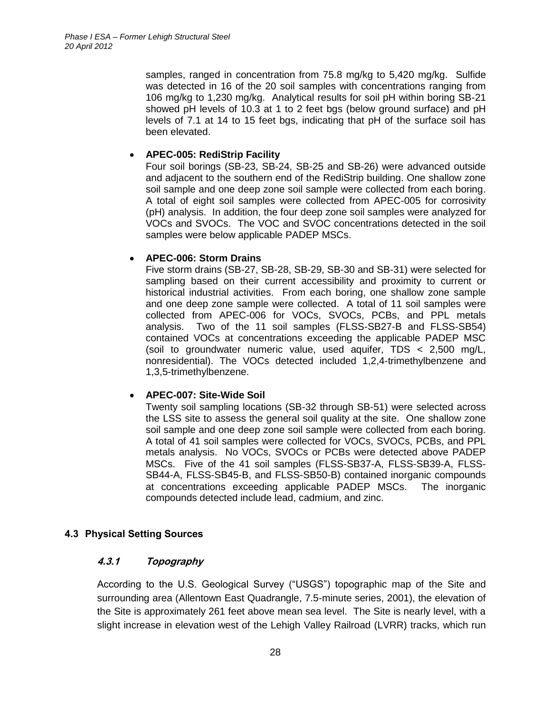samples, ranged in concentration from 75.8 mg/kg to 5,420 mg/kg. Sulfide was detected in 16 of the 20 soil samples with concentrations ranging from 106 mg/kg to 1,230 mg/kg. Analytical results for soil pH within boring SB-21 showed pH levels of 10.3 at 1 to 2 feet bgs (below ground surface) and pH levels of 7.1 at 14 to 15 feet bgs, indicating that pH of the surface soil has been elevated.

#### **APEC-005: RediStrip Facility**

Four soil borings (SB-23, SB-24, SB-25 and SB-26) were advanced outside and adjacent to the southern end of the RediStrip building. One shallow zone soil sample and one deep zone soil sample were collected from each boring. A total of eight soil samples were collected from APEC-005 for corrosivity (pH) analysis. In addition, the four deep zone soil samples were analyzed for VOCs and SVOCs. The VOC and SVOC concentrations detected in the soil samples were below applicable PADEP MSCs.

#### **APEC-006: Storm Drains**

Five storm drains (SB-27, SB-28, SB-29, SB-30 and SB-31) were selected for sampling based on their current accessibility and proximity to current or historical industrial activities. From each boring, one shallow zone sample and one deep zone sample were collected. A total of 11 soil samples were collected from APEC-006 for VOCs, SVOCs, PCBs, and PPL metals analysis. Two of the 11 soil samples (FLSS-SB27-B and FLSS-SB54) contained VOCs at concentrations exceeding the applicable PADEP MSC (soil to groundwater numeric value, used aquifer, TDS < 2,500 mg/L, nonresidential). The VOCs detected included 1,2,4-trimethylbenzene and 1,3,5-trimethylbenzene.

#### **APEC-007: Site-Wide Soil**

Twenty soil sampling locations (SB-32 through SB-51) were selected across the LSS site to assess the general soil quality at the site. One shallow zone soil sample and one deep zone soil sample were collected from each boring. A total of 41 soil samples were collected for VOCs, SVOCs, PCBs, and PPL metals analysis. No VOCs, SVOCs or PCBs were detected above PADEP MSCs. Five of the 41 soil samples (FLSS-SB37-A, FLSS-SB39-A, FLSS-SB44-A, FLSS-SB45-B, and FLSS-SB50-B) contained inorganic compounds at concentrations exceeding applicable PADEP MSCs. The inorganic compounds detected include lead, cadmium, and zinc.

#### <span id="page-35-1"></span><span id="page-35-0"></span>**4.3 Physical Setting Sources**

#### **4.3.1 Topography**

According to the U.S. Geological Survey ("USGS") topographic map of the Site and surrounding area (Allentown East Quadrangle, 7.5-minute series, 2001), the elevation of the Site is approximately 261 feet above mean sea level. The Site is nearly level, with a slight increase in elevation west of the Lehigh Valley Railroad (LVRR) tracks, which run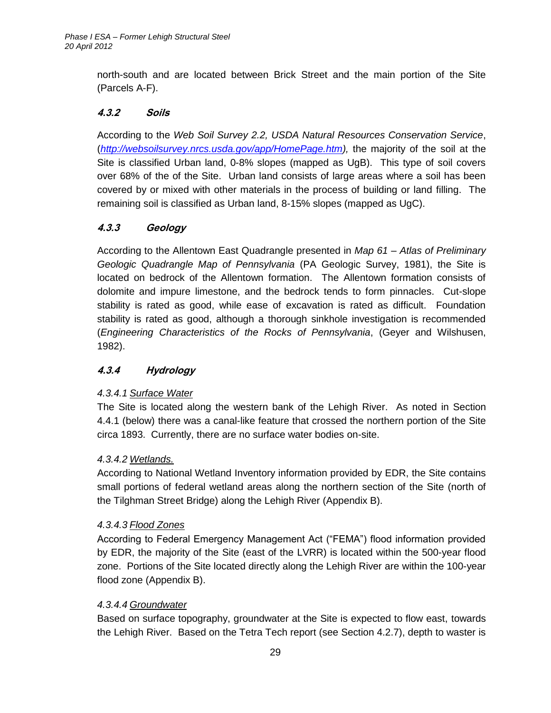north-south and are located between Brick Street and the main portion of the Site (Parcels A-F).

# <span id="page-36-0"></span>**4.3.2 Soils**

According to the *Web Soil Survey 2.2, USDA Natural Resources Conservation Service*, (*[http://websoilsurvey.nrcs.usda.gov/app/HomePage.htm\)](http://websoilsurvey.nrcs.usda.gov/app/HomePage.htm),* the majority of the soil at the Site is classified Urban land, 0-8% slopes (mapped as UgB). This type of soil covers over 68% of the of the Site. Urban land consists of large areas where a soil has been covered by or mixed with other materials in the process of building or land filling. The remaining soil is classified as Urban land, 8-15% slopes (mapped as UgC).

# <span id="page-36-1"></span>**4.3.3 Geology**

According to the Allentown East Quadrangle presented in *Map 61 – Atlas of Preliminary Geologic Quadrangle Map of Pennsylvania* (PA Geologic Survey, 1981), the Site is located on bedrock of the Allentown formation. The Allentown formation consists of dolomite and impure limestone, and the bedrock tends to form pinnacles. Cut-slope stability is rated as good, while ease of excavation is rated as difficult. Foundation stability is rated as good, although a thorough sinkhole investigation is recommended (*Engineering Characteristics of the Rocks of Pennsylvania*, (Geyer and Wilshusen, 1982).

# <span id="page-36-2"></span>**4.3.4 Hydrology**

# *4.3.4.1 Surface Water*

The Site is located along the western bank of the Lehigh River. As noted in Section 4.4.1 (below) there was a canal-like feature that crossed the northern portion of the Site circa 1893. Currently, there are no surface water bodies on-site.

# *4.3.4.2 Wetlands.*

According to National Wetland Inventory information provided by EDR, the Site contains small portions of federal wetland areas along the northern section of the Site (north of the Tilghman Street Bridge) along the Lehigh River (Appendix B).

# *4.3.4.3 Flood Zones*

According to Federal Emergency Management Act ("FEMA") flood information provided by EDR, the majority of the Site (east of the LVRR) is located within the 500-year flood zone. Portions of the Site located directly along the Lehigh River are within the 100-year flood zone (Appendix B).

# *4.3.4.4 Groundwater*

Based on surface topography, groundwater at the Site is expected to flow east, towards the Lehigh River. Based on the Tetra Tech report (see Section 4.2.7), depth to waster is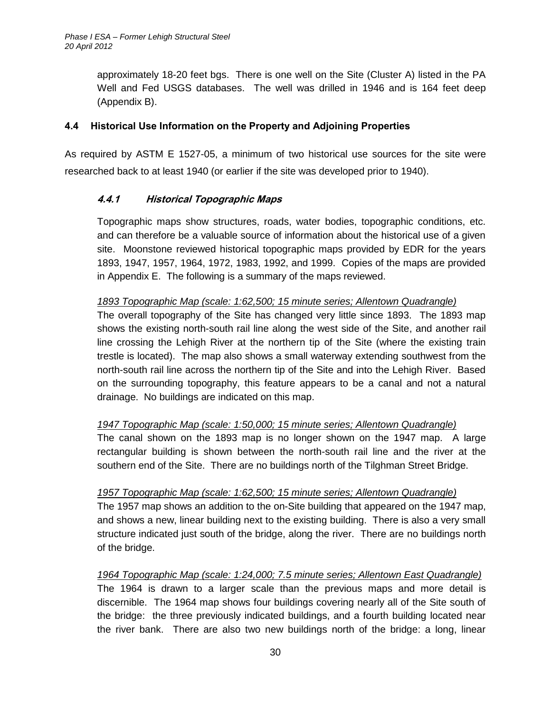approximately 18-20 feet bgs. There is one well on the Site (Cluster A) listed in the PA Well and Fed USGS databases. The well was drilled in 1946 and is 164 feet deep (Appendix B).

### <span id="page-37-0"></span>**4.4 Historical Use Information on the Property and Adjoining Properties**

<span id="page-37-1"></span>As required by ASTM E 1527-05, a minimum of two historical use sources for the site were researched back to at least 1940 (or earlier if the site was developed prior to 1940).

# **4.4.1 Historical Topographic Maps**

Topographic maps show structures, roads, water bodies, topographic conditions, etc. and can therefore be a valuable source of information about the historical use of a given site. Moonstone reviewed historical topographic maps provided by EDR for the years 1893, 1947, 1957, 1964, 1972, 1983, 1992, and 1999. Copies of the maps are provided in Appendix E. The following is a summary of the maps reviewed.

### *1893 Topographic Map (scale: 1:62,500; 15 minute series; Allentown Quadrangle)*

The overall topography of the Site has changed very little since 1893. The 1893 map shows the existing north-south rail line along the west side of the Site, and another rail line crossing the Lehigh River at the northern tip of the Site (where the existing train trestle is located). The map also shows a small waterway extending southwest from the north-south rail line across the northern tip of the Site and into the Lehigh River. Based on the surrounding topography, this feature appears to be a canal and not a natural drainage. No buildings are indicated on this map.

# *1947 Topographic Map (scale: 1:50,000; 15 minute series; Allentown Quadrangle)*

The canal shown on the 1893 map is no longer shown on the 1947 map. A large rectangular building is shown between the north-south rail line and the river at the southern end of the Site. There are no buildings north of the Tilghman Street Bridge.

# *1957 Topographic Map (scale: 1:62,500; 15 minute series; Allentown Quadrangle)*

The 1957 map shows an addition to the on-Site building that appeared on the 1947 map, and shows a new, linear building next to the existing building. There is also a very small structure indicated just south of the bridge, along the river. There are no buildings north of the bridge.

# *1964 Topographic Map (scale: 1:24,000; 7.5 minute series; Allentown East Quadrangle)*

The 1964 is drawn to a larger scale than the previous maps and more detail is discernible. The 1964 map shows four buildings covering nearly all of the Site south of the bridge: the three previously indicated buildings, and a fourth building located near the river bank. There are also two new buildings north of the bridge: a long, linear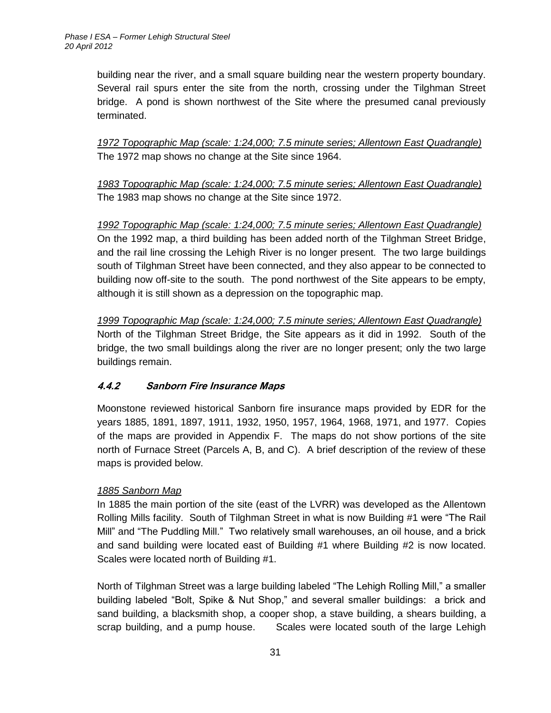building near the river, and a small square building near the western property boundary. Several rail spurs enter the site from the north, crossing under the Tilghman Street bridge. A pond is shown northwest of the Site where the presumed canal previously terminated.

*1972 Topographic Map (scale: 1:24,000; 7.5 minute series; Allentown East Quadrangle)* The 1972 map shows no change at the Site since 1964.

*1983 Topographic Map (scale: 1:24,000; 7.5 minute series; Allentown East Quadrangle)* The 1983 map shows no change at the Site since 1972.

*1992 Topographic Map (scale: 1:24,000; 7.5 minute series; Allentown East Quadrangle)* On the 1992 map, a third building has been added north of the Tilghman Street Bridge, and the rail line crossing the Lehigh River is no longer present. The two large buildings south of Tilghman Street have been connected, and they also appear to be connected to building now off-site to the south. The pond northwest of the Site appears to be empty, although it is still shown as a depression on the topographic map.

*1999 Topographic Map (scale: 1:24,000; 7.5 minute series; Allentown East Quadrangle)* North of the Tilghman Street Bridge, the Site appears as it did in 1992. South of the bridge, the two small buildings along the river are no longer present; only the two large buildings remain.

# <span id="page-38-0"></span>**4.4.2 Sanborn Fire Insurance Maps**

Moonstone reviewed historical Sanborn fire insurance maps provided by EDR for the years 1885, 1891, 1897, 1911, 1932, 1950, 1957, 1964, 1968, 1971, and 1977. Copies of the maps are provided in Appendix F. The maps do not show portions of the site north of Furnace Street (Parcels A, B, and C). A brief description of the review of these maps is provided below.

# *1885 Sanborn Map*

In 1885 the main portion of the site (east of the LVRR) was developed as the Allentown Rolling Mills facility. South of Tilghman Street in what is now Building #1 were "The Rail Mill" and "The Puddling Mill." Two relatively small warehouses, an oil house, and a brick and sand building were located east of Building #1 where Building #2 is now located. Scales were located north of Building #1.

North of Tilghman Street was a large building labeled "The Lehigh Rolling Mill," a smaller building labeled "Bolt, Spike & Nut Shop," and several smaller buildings: a brick and sand building, a blacksmith shop, a cooper shop, a stave building, a shears building, a scrap building, and a pump house. Scales were located south of the large Lehigh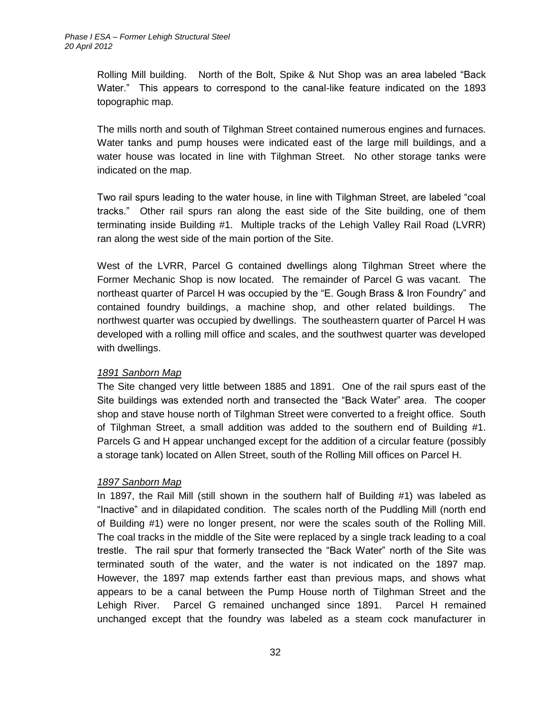Rolling Mill building. North of the Bolt, Spike & Nut Shop was an area labeled "Back Water." This appears to correspond to the canal-like feature indicated on the 1893 topographic map.

The mills north and south of Tilghman Street contained numerous engines and furnaces. Water tanks and pump houses were indicated east of the large mill buildings, and a water house was located in line with Tilghman Street. No other storage tanks were indicated on the map.

Two rail spurs leading to the water house, in line with Tilghman Street, are labeled "coal tracks." Other rail spurs ran along the east side of the Site building, one of them terminating inside Building #1. Multiple tracks of the Lehigh Valley Rail Road (LVRR) ran along the west side of the main portion of the Site.

West of the LVRR, Parcel G contained dwellings along Tilghman Street where the Former Mechanic Shop is now located. The remainder of Parcel G was vacant. The northeast quarter of Parcel H was occupied by the "E. Gough Brass & Iron Foundry" and contained foundry buildings, a machine shop, and other related buildings. The northwest quarter was occupied by dwellings. The southeastern quarter of Parcel H was developed with a rolling mill office and scales, and the southwest quarter was developed with dwellings.

#### *1891 Sanborn Map*

The Site changed very little between 1885 and 1891. One of the rail spurs east of the Site buildings was extended north and transected the "Back Water" area. The cooper shop and stave house north of Tilghman Street were converted to a freight office. South of Tilghman Street, a small addition was added to the southern end of Building #1. Parcels G and H appear unchanged except for the addition of a circular feature (possibly a storage tank) located on Allen Street, south of the Rolling Mill offices on Parcel H.

#### *1897 Sanborn Map*

In 1897, the Rail Mill (still shown in the southern half of Building #1) was labeled as "Inactive" and in dilapidated condition. The scales north of the Puddling Mill (north end of Building #1) were no longer present, nor were the scales south of the Rolling Mill. The coal tracks in the middle of the Site were replaced by a single track leading to a coal trestle. The rail spur that formerly transected the "Back Water" north of the Site was terminated south of the water, and the water is not indicated on the 1897 map. However, the 1897 map extends farther east than previous maps, and shows what appears to be a canal between the Pump House north of Tilghman Street and the Lehigh River. Parcel G remained unchanged since 1891. Parcel H remained unchanged except that the foundry was labeled as a steam cock manufacturer in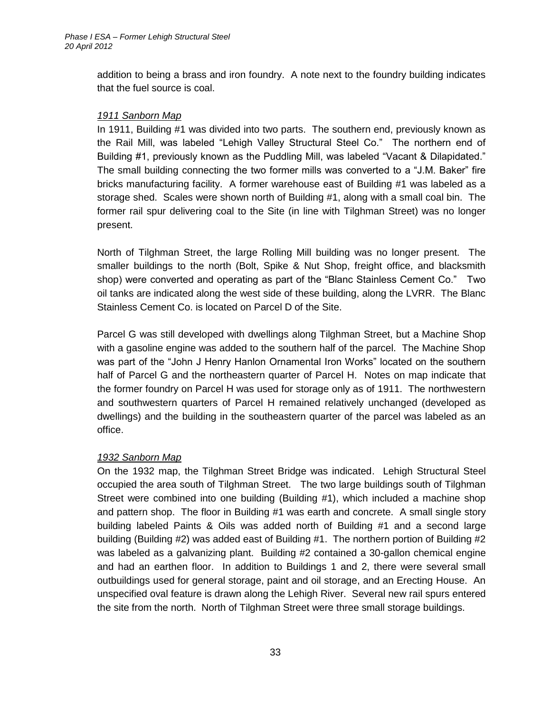addition to being a brass and iron foundry. A note next to the foundry building indicates that the fuel source is coal.

#### *1911 Sanborn Map*

In 1911, Building #1 was divided into two parts. The southern end, previously known as the Rail Mill, was labeled "Lehigh Valley Structural Steel Co." The northern end of Building #1, previously known as the Puddling Mill, was labeled "Vacant & Dilapidated." The small building connecting the two former mills was converted to a "J.M. Baker" fire bricks manufacturing facility. A former warehouse east of Building #1 was labeled as a storage shed. Scales were shown north of Building #1, along with a small coal bin. The former rail spur delivering coal to the Site (in line with Tilghman Street) was no longer present.

North of Tilghman Street, the large Rolling Mill building was no longer present. The smaller buildings to the north (Bolt, Spike & Nut Shop, freight office, and blacksmith shop) were converted and operating as part of the "Blanc Stainless Cement Co." Two oil tanks are indicated along the west side of these building, along the LVRR. The Blanc Stainless Cement Co. is located on Parcel D of the Site.

Parcel G was still developed with dwellings along Tilghman Street, but a Machine Shop with a gasoline engine was added to the southern half of the parcel. The Machine Shop was part of the "John J Henry Hanlon Ornamental Iron Works" located on the southern half of Parcel G and the northeastern quarter of Parcel H. Notes on map indicate that the former foundry on Parcel H was used for storage only as of 1911. The northwestern and southwestern quarters of Parcel H remained relatively unchanged (developed as dwellings) and the building in the southeastern quarter of the parcel was labeled as an office.

#### *1932 Sanborn Map*

On the 1932 map, the Tilghman Street Bridge was indicated. Lehigh Structural Steel occupied the area south of Tilghman Street. The two large buildings south of Tilghman Street were combined into one building (Building #1), which included a machine shop and pattern shop. The floor in Building #1 was earth and concrete. A small single story building labeled Paints & Oils was added north of Building #1 and a second large building (Building #2) was added east of Building #1. The northern portion of Building #2 was labeled as a galvanizing plant. Building #2 contained a 30-gallon chemical engine and had an earthen floor. In addition to Buildings 1 and 2, there were several small outbuildings used for general storage, paint and oil storage, and an Erecting House. An unspecified oval feature is drawn along the Lehigh River. Several new rail spurs entered the site from the north. North of Tilghman Street were three small storage buildings.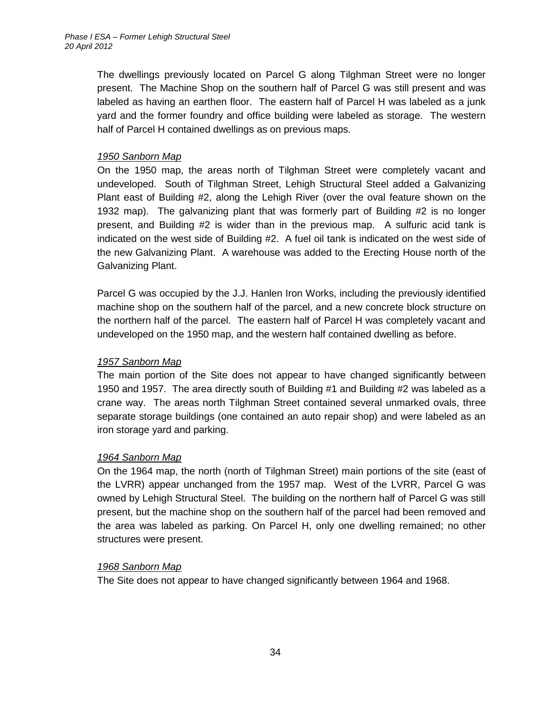The dwellings previously located on Parcel G along Tilghman Street were no longer present. The Machine Shop on the southern half of Parcel G was still present and was labeled as having an earthen floor. The eastern half of Parcel H was labeled as a junk yard and the former foundry and office building were labeled as storage. The western half of Parcel H contained dwellings as on previous maps.

### *1950 Sanborn Map*

On the 1950 map, the areas north of Tilghman Street were completely vacant and undeveloped. South of Tilghman Street, Lehigh Structural Steel added a Galvanizing Plant east of Building #2, along the Lehigh River (over the oval feature shown on the 1932 map). The galvanizing plant that was formerly part of Building #2 is no longer present, and Building #2 is wider than in the previous map. A sulfuric acid tank is indicated on the west side of Building #2. A fuel oil tank is indicated on the west side of the new Galvanizing Plant. A warehouse was added to the Erecting House north of the Galvanizing Plant.

Parcel G was occupied by the J.J. Hanlen Iron Works, including the previously identified machine shop on the southern half of the parcel, and a new concrete block structure on the northern half of the parcel. The eastern half of Parcel H was completely vacant and undeveloped on the 1950 map, and the western half contained dwelling as before.

#### *1957 Sanborn Map*

The main portion of the Site does not appear to have changed significantly between 1950 and 1957. The area directly south of Building #1 and Building #2 was labeled as a crane way. The areas north Tilghman Street contained several unmarked ovals, three separate storage buildings (one contained an auto repair shop) and were labeled as an iron storage yard and parking.

#### *1964 Sanborn Map*

On the 1964 map, the north (north of Tilghman Street) main portions of the site (east of the LVRR) appear unchanged from the 1957 map. West of the LVRR, Parcel G was owned by Lehigh Structural Steel. The building on the northern half of Parcel G was still present, but the machine shop on the southern half of the parcel had been removed and the area was labeled as parking. On Parcel H, only one dwelling remained; no other structures were present.

#### *1968 Sanborn Map*

The Site does not appear to have changed significantly between 1964 and 1968.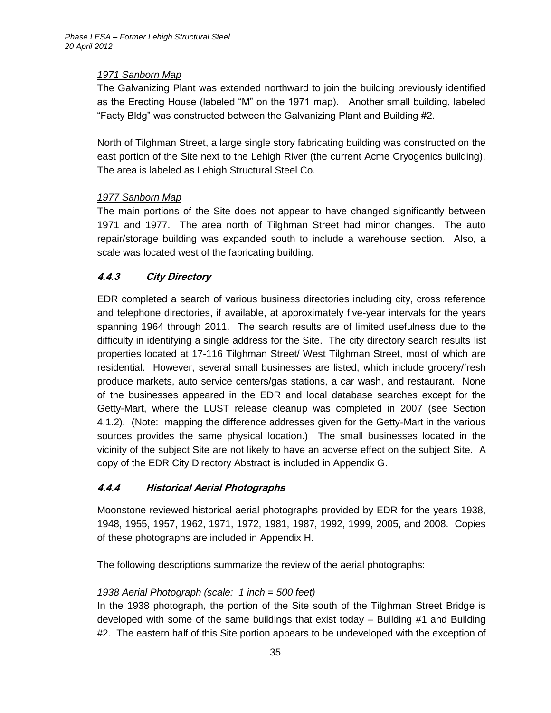# *1971 Sanborn Map*

The Galvanizing Plant was extended northward to join the building previously identified as the Erecting House (labeled "M" on the 1971 map). Another small building, labeled "Facty Bldg" was constructed between the Galvanizing Plant and Building #2.

North of Tilghman Street, a large single story fabricating building was constructed on the east portion of the Site next to the Lehigh River (the current Acme Cryogenics building). The area is labeled as Lehigh Structural Steel Co.

### *1977 Sanborn Map*

The main portions of the Site does not appear to have changed significantly between 1971 and 1977. The area north of Tilghman Street had minor changes. The auto repair/storage building was expanded south to include a warehouse section. Also, a scale was located west of the fabricating building.

# <span id="page-42-0"></span>**4.4.3 City Directory**

EDR completed a search of various business directories including city, cross reference and telephone directories, if available, at approximately five-year intervals for the years spanning 1964 through 2011. The search results are of limited usefulness due to the difficulty in identifying a single address for the Site. The city directory search results list properties located at 17-116 Tilghman Street/ West Tilghman Street, most of which are residential. However, several small businesses are listed, which include grocery/fresh produce markets, auto service centers/gas stations, a car wash, and restaurant. None of the businesses appeared in the EDR and local database searches except for the Getty-Mart, where the LUST release cleanup was completed in 2007 (see Section 4.1.2). (Note: mapping the difference addresses given for the Getty-Mart in the various sources provides the same physical location.) The small businesses located in the vicinity of the subject Site are not likely to have an adverse effect on the subject Site. A copy of the EDR City Directory Abstract is included in Appendix G.

# <span id="page-42-1"></span>**4.4.4 Historical Aerial Photographs**

Moonstone reviewed historical aerial photographs provided by EDR for the years 1938, 1948, 1955, 1957, 1962, 1971, 1972, 1981, 1987, 1992, 1999, 2005, and 2008. Copies of these photographs are included in Appendix H.

The following descriptions summarize the review of the aerial photographs:

# *1938 Aerial Photograph (scale: 1 inch = 500 feet)*

In the 1938 photograph, the portion of the Site south of the Tilghman Street Bridge is developed with some of the same buildings that exist today – Building #1 and Building #2. The eastern half of this Site portion appears to be undeveloped with the exception of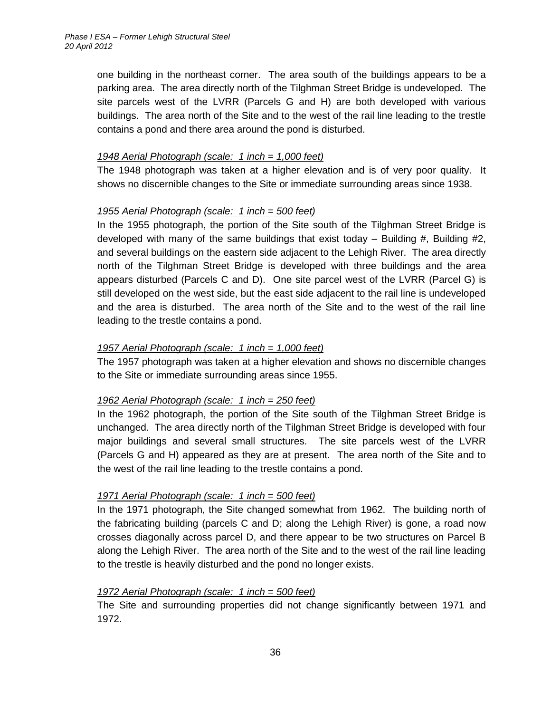one building in the northeast corner. The area south of the buildings appears to be a parking area. The area directly north of the Tilghman Street Bridge is undeveloped. The site parcels west of the LVRR (Parcels G and H) are both developed with various buildings. The area north of the Site and to the west of the rail line leading to the trestle contains a pond and there area around the pond is disturbed.

#### *1948 Aerial Photograph (scale: 1 inch = 1,000 feet)*

The 1948 photograph was taken at a higher elevation and is of very poor quality. It shows no discernible changes to the Site or immediate surrounding areas since 1938.

# *1955 Aerial Photograph (scale: 1 inch = 500 feet)*

In the 1955 photograph, the portion of the Site south of the Tilghman Street Bridge is developed with many of the same buildings that exist today  $-$  Building  $#$ , Building  $#2$ , and several buildings on the eastern side adjacent to the Lehigh River. The area directly north of the Tilghman Street Bridge is developed with three buildings and the area appears disturbed (Parcels C and D). One site parcel west of the LVRR (Parcel G) is still developed on the west side, but the east side adjacent to the rail line is undeveloped and the area is disturbed. The area north of the Site and to the west of the rail line leading to the trestle contains a pond.

### *1957 Aerial Photograph (scale: 1 inch = 1,000 feet)*

The 1957 photograph was taken at a higher elevation and shows no discernible changes to the Site or immediate surrounding areas since 1955.

# *1962 Aerial Photograph (scale: 1 inch = 250 feet)*

In the 1962 photograph, the portion of the Site south of the Tilghman Street Bridge is unchanged. The area directly north of the Tilghman Street Bridge is developed with four major buildings and several small structures. The site parcels west of the LVRR (Parcels G and H) appeared as they are at present. The area north of the Site and to the west of the rail line leading to the trestle contains a pond.

# *1971 Aerial Photograph (scale: 1 inch = 500 feet)*

In the 1971 photograph, the Site changed somewhat from 1962. The building north of the fabricating building (parcels C and D; along the Lehigh River) is gone, a road now crosses diagonally across parcel D, and there appear to be two structures on Parcel B along the Lehigh River. The area north of the Site and to the west of the rail line leading to the trestle is heavily disturbed and the pond no longer exists.

# *1972 Aerial Photograph (scale: 1 inch = 500 feet)*

The Site and surrounding properties did not change significantly between 1971 and 1972.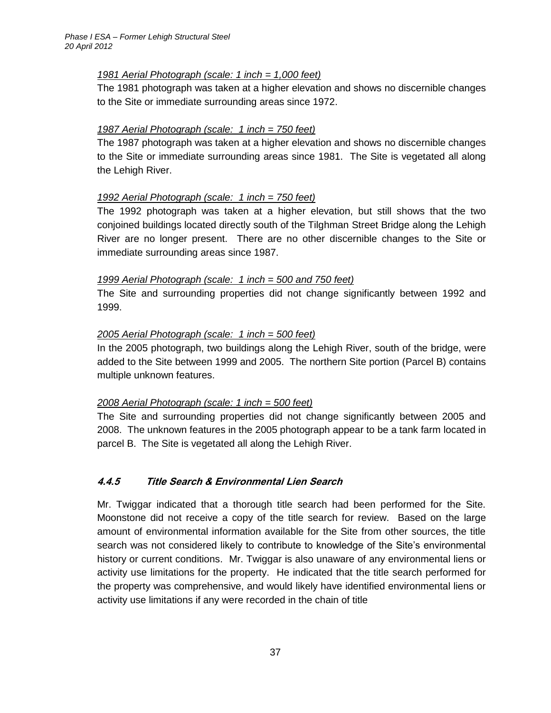### *1981 Aerial Photograph (scale: 1 inch = 1,000 feet)*

The 1981 photograph was taken at a higher elevation and shows no discernible changes to the Site or immediate surrounding areas since 1972.

### *1987 Aerial Photograph (scale: 1 inch = 750 feet)*

The 1987 photograph was taken at a higher elevation and shows no discernible changes to the Site or immediate surrounding areas since 1981. The Site is vegetated all along the Lehigh River.

### *1992 Aerial Photograph (scale: 1 inch = 750 feet)*

The 1992 photograph was taken at a higher elevation, but still shows that the two conjoined buildings located directly south of the Tilghman Street Bridge along the Lehigh River are no longer present. There are no other discernible changes to the Site or immediate surrounding areas since 1987.

#### *1999 Aerial Photograph (scale: 1 inch = 500 and 750 feet)*

The Site and surrounding properties did not change significantly between 1992 and 1999.

### *2005 Aerial Photograph (scale: 1 inch = 500 feet)*

In the 2005 photograph, two buildings along the Lehigh River, south of the bridge, were added to the Site between 1999 and 2005. The northern Site portion (Parcel B) contains multiple unknown features.

# *2008 Aerial Photograph (scale: 1 inch = 500 feet)*

The Site and surrounding properties did not change significantly between 2005 and 2008. The unknown features in the 2005 photograph appear to be a tank farm located in parcel B. The Site is vegetated all along the Lehigh River.

# <span id="page-44-0"></span>**4.4.5 Title Search & Environmental Lien Search**

Mr. Twiggar indicated that a thorough title search had been performed for the Site. Moonstone did not receive a copy of the title search for review. Based on the large amount of environmental information available for the Site from other sources, the title search was not considered likely to contribute to knowledge of the Site's environmental history or current conditions. Mr. Twiggar is also unaware of any environmental liens or activity use limitations for the property. He indicated that the title search performed for the property was comprehensive, and would likely have identified environmental liens or activity use limitations if any were recorded in the chain of title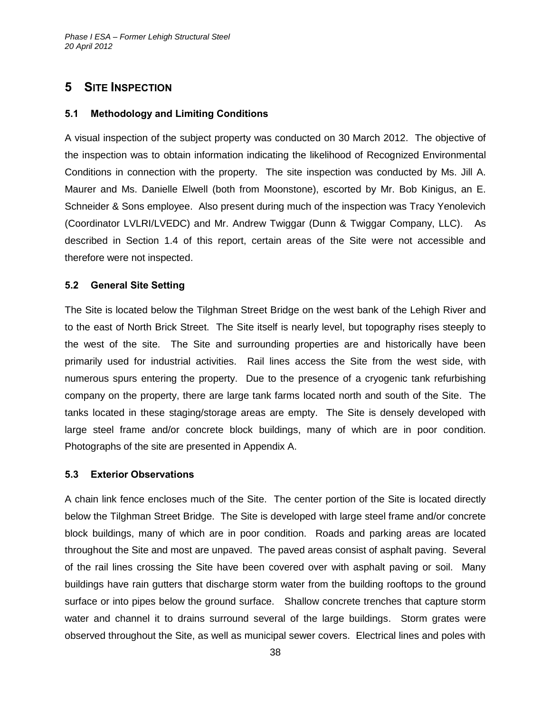# <span id="page-45-0"></span>**5 SITE INSPECTION**

#### <span id="page-45-1"></span>**5.1 Methodology and Limiting Conditions**

A visual inspection of the subject property was conducted on 30 March 2012. The objective of the inspection was to obtain information indicating the likelihood of Recognized Environmental Conditions in connection with the property. The site inspection was conducted by Ms. Jill A. Maurer and Ms. Danielle Elwell (both from Moonstone), escorted by Mr. Bob Kinigus, an E. Schneider & Sons employee. Also present during much of the inspection was Tracy Yenolevich (Coordinator LVLRI/LVEDC) and Mr. Andrew Twiggar (Dunn & Twiggar Company, LLC). As described in Section 1.4 of this report, certain areas of the Site were not accessible and therefore were not inspected.

#### <span id="page-45-2"></span>**5.2 General Site Setting**

The Site is located below the Tilghman Street Bridge on the west bank of the Lehigh River and to the east of North Brick Street. The Site itself is nearly level, but topography rises steeply to the west of the site. The Site and surrounding properties are and historically have been primarily used for industrial activities. Rail lines access the Site from the west side, with numerous spurs entering the property. Due to the presence of a cryogenic tank refurbishing company on the property, there are large tank farms located north and south of the Site. The tanks located in these staging/storage areas are empty. The Site is densely developed with large steel frame and/or concrete block buildings, many of which are in poor condition. Photographs of the site are presented in Appendix A.

#### <span id="page-45-3"></span>**5.3 Exterior Observations**

A chain link fence encloses much of the Site. The center portion of the Site is located directly below the Tilghman Street Bridge. The Site is developed with large steel frame and/or concrete block buildings, many of which are in poor condition. Roads and parking areas are located throughout the Site and most are unpaved. The paved areas consist of asphalt paving. Several of the rail lines crossing the Site have been covered over with asphalt paving or soil. Many buildings have rain gutters that discharge storm water from the building rooftops to the ground surface or into pipes below the ground surface. Shallow concrete trenches that capture storm water and channel it to drains surround several of the large buildings. Storm grates were observed throughout the Site, as well as municipal sewer covers. Electrical lines and poles with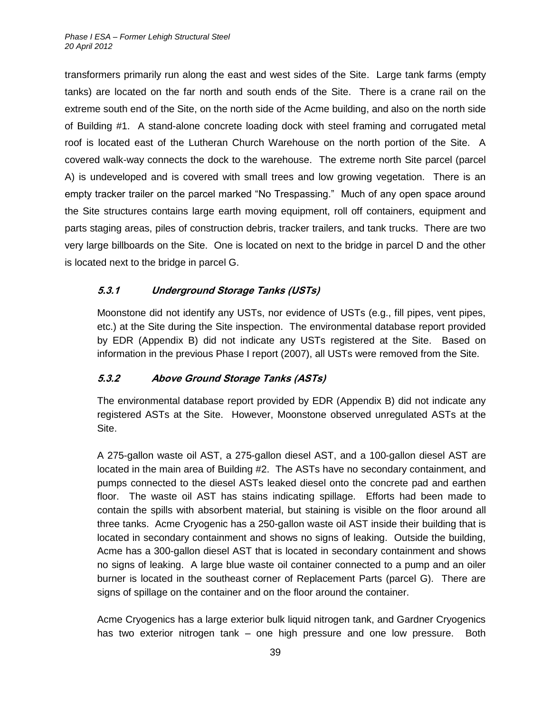transformers primarily run along the east and west sides of the Site. Large tank farms (empty tanks) are located on the far north and south ends of the Site. There is a crane rail on the extreme south end of the Site, on the north side of the Acme building, and also on the north side of Building #1. A stand-alone concrete loading dock with steel framing and corrugated metal roof is located east of the Lutheran Church Warehouse on the north portion of the Site. A covered walk-way connects the dock to the warehouse. The extreme north Site parcel (parcel A) is undeveloped and is covered with small trees and low growing vegetation. There is an empty tracker trailer on the parcel marked "No Trespassing." Much of any open space around the Site structures contains large earth moving equipment, roll off containers, equipment and parts staging areas, piles of construction debris, tracker trailers, and tank trucks. There are two very large billboards on the Site. One is located on next to the bridge in parcel D and the other is located next to the bridge in parcel G.

# <span id="page-46-0"></span>**5.3.1 Underground Storage Tanks (USTs)**

Moonstone did not identify any USTs, nor evidence of USTs (e.g., fill pipes, vent pipes, etc.) at the Site during the Site inspection. The environmental database report provided by EDR (Appendix B) did not indicate any USTs registered at the Site. Based on information in the previous Phase I report (2007), all USTs were removed from the Site.

# <span id="page-46-1"></span>**5.3.2 Above Ground Storage Tanks (ASTs)**

The environmental database report provided by EDR (Appendix B) did not indicate any registered ASTs at the Site. However, Moonstone observed unregulated ASTs at the Site.

A 275-gallon waste oil AST, a 275-gallon diesel AST, and a 100-gallon diesel AST are located in the main area of Building #2. The ASTs have no secondary containment, and pumps connected to the diesel ASTs leaked diesel onto the concrete pad and earthen floor. The waste oil AST has stains indicating spillage. Efforts had been made to contain the spills with absorbent material, but staining is visible on the floor around all three tanks. Acme Cryogenic has a 250-gallon waste oil AST inside their building that is located in secondary containment and shows no signs of leaking. Outside the building, Acme has a 300-gallon diesel AST that is located in secondary containment and shows no signs of leaking. A large blue waste oil container connected to a pump and an oiler burner is located in the southeast corner of Replacement Parts (parcel G). There are signs of spillage on the container and on the floor around the container.

Acme Cryogenics has a large exterior bulk liquid nitrogen tank, and Gardner Cryogenics has two exterior nitrogen tank – one high pressure and one low pressure. Both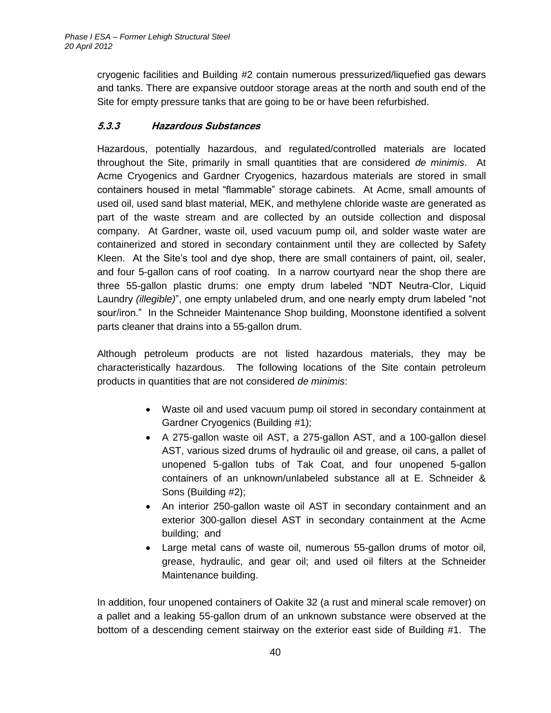cryogenic facilities and Building #2 contain numerous pressurized/liquefied gas dewars and tanks. There are expansive outdoor storage areas at the north and south end of the Site for empty pressure tanks that are going to be or have been refurbished.

# <span id="page-47-0"></span>**5.3.3 Hazardous Substances**

Hazardous, potentially hazardous, and regulated/controlled materials are located throughout the Site, primarily in small quantities that are considered *de minimis*. At Acme Cryogenics and Gardner Cryogenics, hazardous materials are stored in small containers housed in metal "flammable" storage cabinets. At Acme, small amounts of used oil, used sand blast material, MEK, and methylene chloride waste are generated as part of the waste stream and are collected by an outside collection and disposal company. At Gardner, waste oil, used vacuum pump oil, and solder waste water are containerized and stored in secondary containment until they are collected by Safety Kleen. At the Site's tool and dye shop, there are small containers of paint, oil, sealer, and four 5-gallon cans of roof coating. In a narrow courtyard near the shop there are three 55-gallon plastic drums: one empty drum labeled "NDT Neutra-Clor, Liquid Laundry *(illegible)*", one empty unlabeled drum, and one nearly empty drum labeled "not sour/iron." In the Schneider Maintenance Shop building, Moonstone identified a solvent parts cleaner that drains into a 55-gallon drum.

Although petroleum products are not listed hazardous materials, they may be characteristically hazardous. The following locations of the Site contain petroleum products in quantities that are not considered *de minimis*:

- Waste oil and used vacuum pump oil stored in secondary containment at Gardner Cryogenics (Building #1);
- A 275-gallon waste oil AST, a 275-gallon AST, and a 100-gallon diesel AST, various sized drums of hydraulic oil and grease, oil cans, a pallet of unopened 5-gallon tubs of Tak Coat, and four unopened 5-gallon containers of an unknown/unlabeled substance all at E. Schneider & Sons (Building #2);
- An interior 250-gallon waste oil AST in secondary containment and an exterior 300-gallon diesel AST in secondary containment at the Acme building; and
- Large metal cans of waste oil, numerous 55-gallon drums of motor oil, grease, hydraulic, and gear oil; and used oil filters at the Schneider Maintenance building.

In addition, four unopened containers of Oakite 32 (a rust and mineral scale remover) on a pallet and a leaking 55-gallon drum of an unknown substance were observed at the bottom of a descending cement stairway on the exterior east side of Building #1. The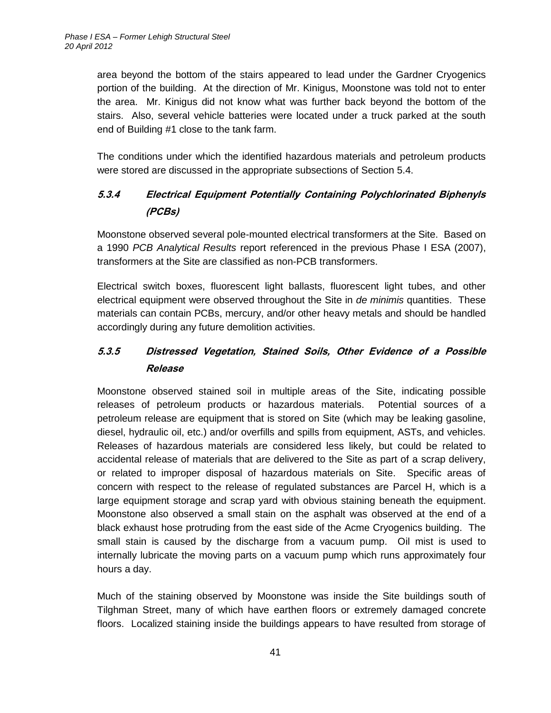area beyond the bottom of the stairs appeared to lead under the Gardner Cryogenics portion of the building. At the direction of Mr. Kinigus, Moonstone was told not to enter the area. Mr. Kinigus did not know what was further back beyond the bottom of the stairs. Also, several vehicle batteries were located under a truck parked at the south end of Building #1 close to the tank farm.

The conditions under which the identified hazardous materials and petroleum products were stored are discussed in the appropriate subsections of Section 5.4.

# <span id="page-48-0"></span>**5.3.4 Electrical Equipment Potentially Containing Polychlorinated Biphenyls (PCBs)**

Moonstone observed several pole-mounted electrical transformers at the Site. Based on a 1990 *PCB Analytical Results* report referenced in the previous Phase I ESA (2007), transformers at the Site are classified as non-PCB transformers.

Electrical switch boxes, fluorescent light ballasts, fluorescent light tubes, and other electrical equipment were observed throughout the Site in *de minimis* quantities. These materials can contain PCBs, mercury, and/or other heavy metals and should be handled accordingly during any future demolition activities.

# <span id="page-48-1"></span>**5.3.5 Distressed Vegetation, Stained Soils, Other Evidence of a Possible Release**

Moonstone observed stained soil in multiple areas of the Site, indicating possible releases of petroleum products or hazardous materials. Potential sources of a petroleum release are equipment that is stored on Site (which may be leaking gasoline, diesel, hydraulic oil, etc.) and/or overfills and spills from equipment, ASTs, and vehicles. Releases of hazardous materials are considered less likely, but could be related to accidental release of materials that are delivered to the Site as part of a scrap delivery, or related to improper disposal of hazardous materials on Site. Specific areas of concern with respect to the release of regulated substances are Parcel H, which is a large equipment storage and scrap yard with obvious staining beneath the equipment. Moonstone also observed a small stain on the asphalt was observed at the end of a black exhaust hose protruding from the east side of the Acme Cryogenics building. The small stain is caused by the discharge from a vacuum pump. Oil mist is used to internally lubricate the moving parts on a vacuum pump which runs approximately four hours a day.

Much of the staining observed by Moonstone was inside the Site buildings south of Tilghman Street, many of which have earthen floors or extremely damaged concrete floors. Localized staining inside the buildings appears to have resulted from storage of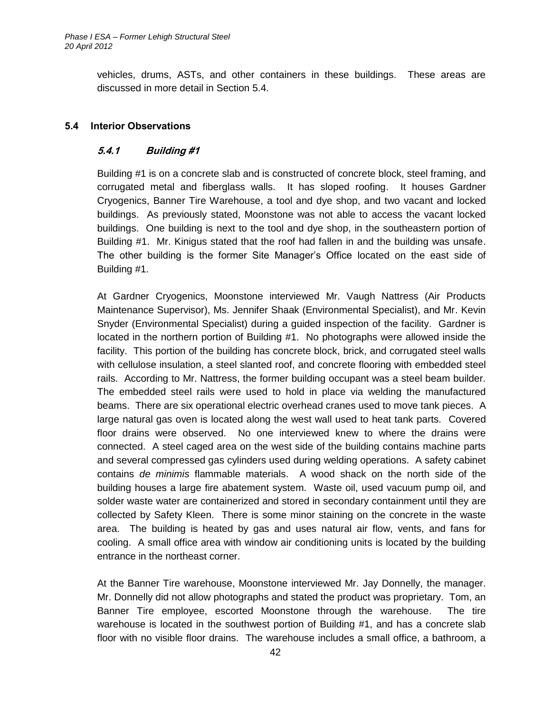vehicles, drums, ASTs, and other containers in these buildings. These areas are discussed in more detail in Section 5.4.

### <span id="page-49-1"></span><span id="page-49-0"></span>**5.4 Interior Observations**

#### **5.4.1 Building #1**

Building #1 is on a concrete slab and is constructed of concrete block, steel framing, and corrugated metal and fiberglass walls. It has sloped roofing. It houses Gardner Cryogenics, Banner Tire Warehouse, a tool and dye shop, and two vacant and locked buildings. As previously stated, Moonstone was not able to access the vacant locked buildings. One building is next to the tool and dye shop, in the southeastern portion of Building #1. Mr. Kinigus stated that the roof had fallen in and the building was unsafe. The other building is the former Site Manager's Office located on the east side of Building #1.

At Gardner Cryogenics, Moonstone interviewed Mr. Vaugh Nattress (Air Products Maintenance Supervisor), Ms. Jennifer Shaak (Environmental Specialist), and Mr. Kevin Snyder (Environmental Specialist) during a guided inspection of the facility. Gardner is located in the northern portion of Building #1. No photographs were allowed inside the facility. This portion of the building has concrete block, brick, and corrugated steel walls with cellulose insulation, a steel slanted roof, and concrete flooring with embedded steel rails. According to Mr. Nattress, the former building occupant was a steel beam builder. The embedded steel rails were used to hold in place via welding the manufactured beams. There are six operational electric overhead cranes used to move tank pieces. A large natural gas oven is located along the west wall used to heat tank parts. Covered floor drains were observed. No one interviewed knew to where the drains were connected. A steel caged area on the west side of the building contains machine parts and several compressed gas cylinders used during welding operations. A safety cabinet contains *de minimis* flammable materials. A wood shack on the north side of the building houses a large fire abatement system. Waste oil, used vacuum pump oil, and solder waste water are containerized and stored in secondary containment until they are collected by Safety Kleen. There is some minor staining on the concrete in the waste area. The building is heated by gas and uses natural air flow, vents, and fans for cooling. A small office area with window air conditioning units is located by the building entrance in the northeast corner.

At the Banner Tire warehouse, Moonstone interviewed Mr. Jay Donnelly, the manager. Mr. Donnelly did not allow photographs and stated the product was proprietary. Tom, an Banner Tire employee, escorted Moonstone through the warehouse. The tire warehouse is located in the southwest portion of Building #1, and has a concrete slab floor with no visible floor drains. The warehouse includes a small office, a bathroom, a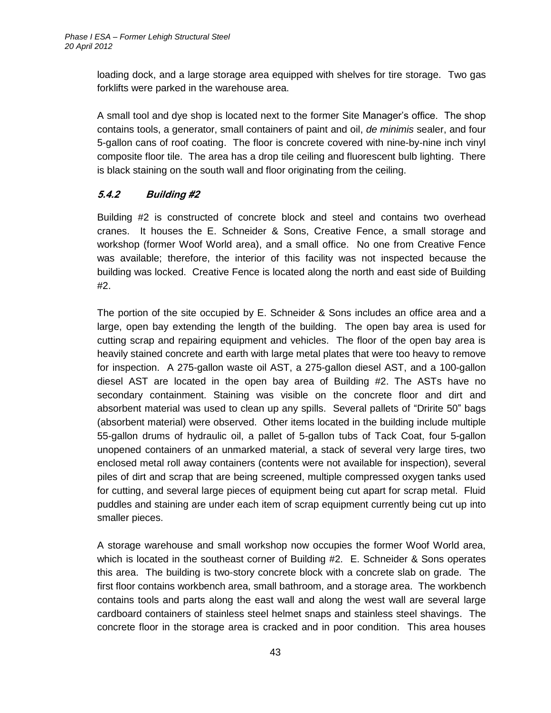loading dock, and a large storage area equipped with shelves for tire storage. Two gas forklifts were parked in the warehouse area.

A small tool and dye shop is located next to the former Site Manager's office. The shop contains tools, a generator, small containers of paint and oil, *de minimis* sealer, and four 5-gallon cans of roof coating. The floor is concrete covered with nine-by-nine inch vinyl composite floor tile. The area has a drop tile ceiling and fluorescent bulb lighting. There is black staining on the south wall and floor originating from the ceiling.

# <span id="page-50-0"></span>**5.4.2 Building #2**

Building #2 is constructed of concrete block and steel and contains two overhead cranes. It houses the E. Schneider & Sons, Creative Fence, a small storage and workshop (former Woof World area), and a small office. No one from Creative Fence was available; therefore, the interior of this facility was not inspected because the building was locked. Creative Fence is located along the north and east side of Building #2.

The portion of the site occupied by E. Schneider & Sons includes an office area and a large, open bay extending the length of the building. The open bay area is used for cutting scrap and repairing equipment and vehicles. The floor of the open bay area is heavily stained concrete and earth with large metal plates that were too heavy to remove for inspection. A 275-gallon waste oil AST, a 275-gallon diesel AST, and a 100-gallon diesel AST are located in the open bay area of Building #2. The ASTs have no secondary containment. Staining was visible on the concrete floor and dirt and absorbent material was used to clean up any spills. Several pallets of "Dririte 50" bags (absorbent material) were observed. Other items located in the building include multiple 55-gallon drums of hydraulic oil, a pallet of 5-gallon tubs of Tack Coat, four 5-gallon unopened containers of an unmarked material, a stack of several very large tires, two enclosed metal roll away containers (contents were not available for inspection), several piles of dirt and scrap that are being screened, multiple compressed oxygen tanks used for cutting, and several large pieces of equipment being cut apart for scrap metal. Fluid puddles and staining are under each item of scrap equipment currently being cut up into smaller pieces.

A storage warehouse and small workshop now occupies the former Woof World area, which is located in the southeast corner of Building #2. E. Schneider & Sons operates this area. The building is two-story concrete block with a concrete slab on grade. The first floor contains workbench area, small bathroom, and a storage area. The workbench contains tools and parts along the east wall and along the west wall are several large cardboard containers of stainless steel helmet snaps and stainless steel shavings. The concrete floor in the storage area is cracked and in poor condition. This area houses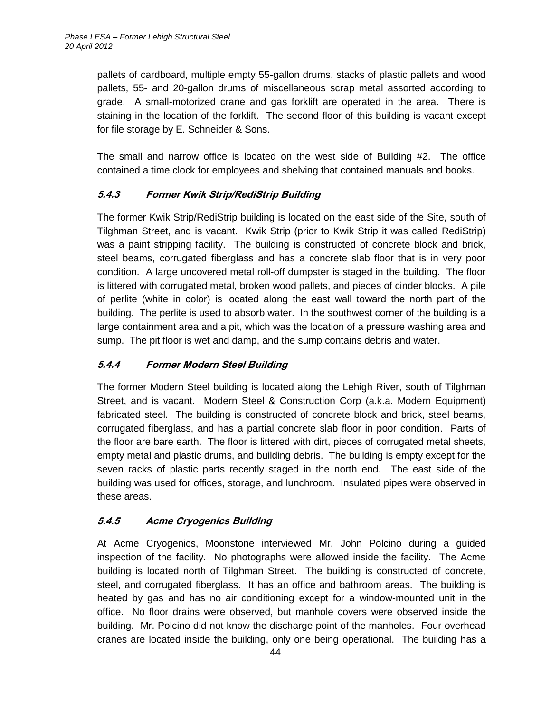pallets of cardboard, multiple empty 55-gallon drums, stacks of plastic pallets and wood pallets, 55- and 20-gallon drums of miscellaneous scrap metal assorted according to grade. A small-motorized crane and gas forklift are operated in the area. There is staining in the location of the forklift. The second floor of this building is vacant except for file storage by E. Schneider & Sons.

The small and narrow office is located on the west side of Building #2. The office contained a time clock for employees and shelving that contained manuals and books.

# <span id="page-51-0"></span>**5.4.3 Former Kwik Strip/RediStrip Building**

The former Kwik Strip/RediStrip building is located on the east side of the Site, south of Tilghman Street, and is vacant. Kwik Strip (prior to Kwik Strip it was called RediStrip) was a paint stripping facility. The building is constructed of concrete block and brick, steel beams, corrugated fiberglass and has a concrete slab floor that is in very poor condition. A large uncovered metal roll-off dumpster is staged in the building. The floor is littered with corrugated metal, broken wood pallets, and pieces of cinder blocks. A pile of perlite (white in color) is located along the east wall toward the north part of the building. The perlite is used to absorb water. In the southwest corner of the building is a large containment area and a pit, which was the location of a pressure washing area and sump. The pit floor is wet and damp, and the sump contains debris and water.

# <span id="page-51-1"></span>**5.4.4 Former Modern Steel Building**

The former Modern Steel building is located along the Lehigh River, south of Tilghman Street, and is vacant. Modern Steel & Construction Corp (a.k.a. Modern Equipment) fabricated steel. The building is constructed of concrete block and brick, steel beams, corrugated fiberglass, and has a partial concrete slab floor in poor condition. Parts of the floor are bare earth. The floor is littered with dirt, pieces of corrugated metal sheets, empty metal and plastic drums, and building debris. The building is empty except for the seven racks of plastic parts recently staged in the north end. The east side of the building was used for offices, storage, and lunchroom. Insulated pipes were observed in these areas.

# <span id="page-51-2"></span>**5.4.5 Acme Cryogenics Building**

At Acme Cryogenics, Moonstone interviewed Mr. John Polcino during a guided inspection of the facility. No photographs were allowed inside the facility. The Acme building is located north of Tilghman Street. The building is constructed of concrete, steel, and corrugated fiberglass. It has an office and bathroom areas. The building is heated by gas and has no air conditioning except for a window-mounted unit in the office. No floor drains were observed, but manhole covers were observed inside the building. Mr. Polcino did not know the discharge point of the manholes. Four overhead cranes are located inside the building, only one being operational. The building has a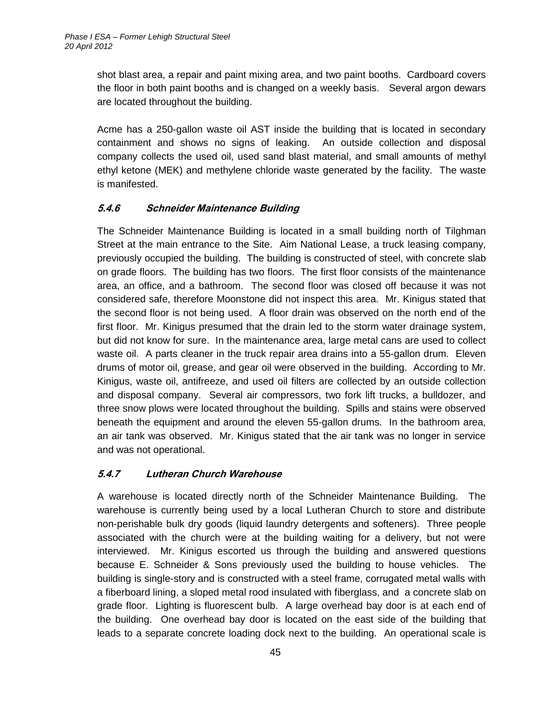shot blast area, a repair and paint mixing area, and two paint booths. Cardboard covers the floor in both paint booths and is changed on a weekly basis. Several argon dewars are located throughout the building.

Acme has a 250-gallon waste oil AST inside the building that is located in secondary containment and shows no signs of leaking. An outside collection and disposal company collects the used oil, used sand blast material, and small amounts of methyl ethyl ketone (MEK) and methylene chloride waste generated by the facility. The waste is manifested.

# <span id="page-52-0"></span>**5.4.6 Schneider Maintenance Building**

The Schneider Maintenance Building is located in a small building north of Tilghman Street at the main entrance to the Site. Aim National Lease, a truck leasing company, previously occupied the building. The building is constructed of steel, with concrete slab on grade floors. The building has two floors. The first floor consists of the maintenance area, an office, and a bathroom. The second floor was closed off because it was not considered safe, therefore Moonstone did not inspect this area. Mr. Kinigus stated that the second floor is not being used. A floor drain was observed on the north end of the first floor. Mr. Kinigus presumed that the drain led to the storm water drainage system, but did not know for sure. In the maintenance area, large metal cans are used to collect waste oil. A parts cleaner in the truck repair area drains into a 55-gallon drum. Eleven drums of motor oil, grease, and gear oil were observed in the building. According to Mr. Kinigus, waste oil, antifreeze, and used oil filters are collected by an outside collection and disposal company. Several air compressors, two fork lift trucks, a bulldozer, and three snow plows were located throughout the building. Spills and stains were observed beneath the equipment and around the eleven 55-gallon drums. In the bathroom area, an air tank was observed. Mr. Kinigus stated that the air tank was no longer in service and was not operational.

# <span id="page-52-1"></span>**5.4.7 Lutheran Church Warehouse**

A warehouse is located directly north of the Schneider Maintenance Building. The warehouse is currently being used by a local Lutheran Church to store and distribute non-perishable bulk dry goods (liquid laundry detergents and softeners). Three people associated with the church were at the building waiting for a delivery, but not were interviewed. Mr. Kinigus escorted us through the building and answered questions because E. Schneider & Sons previously used the building to house vehicles. The building is single-story and is constructed with a steel frame, corrugated metal walls with a fiberboard lining, a sloped metal rood insulated with fiberglass, and a concrete slab on grade floor. Lighting is fluorescent bulb. A large overhead bay door is at each end of the building. One overhead bay door is located on the east side of the building that leads to a separate concrete loading dock next to the building. An operational scale is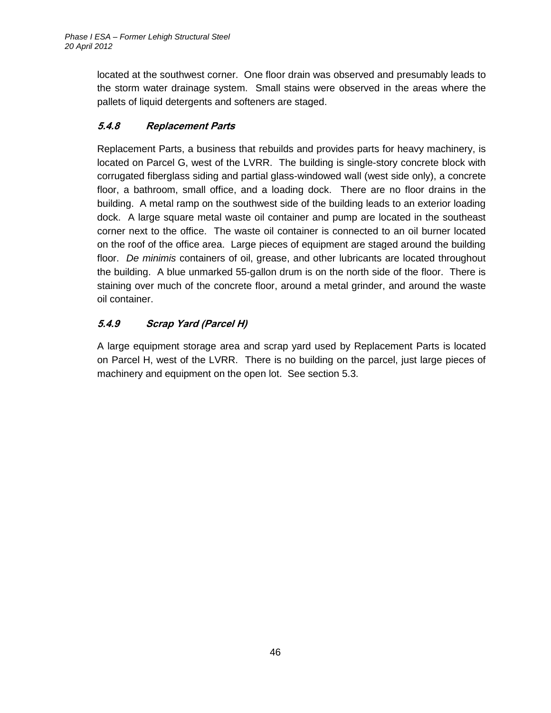located at the southwest corner. One floor drain was observed and presumably leads to the storm water drainage system. Small stains were observed in the areas where the pallets of liquid detergents and softeners are staged.

# <span id="page-53-0"></span>**5.4.8 Replacement Parts**

Replacement Parts, a business that rebuilds and provides parts for heavy machinery, is located on Parcel G, west of the LVRR. The building is single-story concrete block with corrugated fiberglass siding and partial glass-windowed wall (west side only), a concrete floor, a bathroom, small office, and a loading dock. There are no floor drains in the building. A metal ramp on the southwest side of the building leads to an exterior loading dock. A large square metal waste oil container and pump are located in the southeast corner next to the office. The waste oil container is connected to an oil burner located on the roof of the office area. Large pieces of equipment are staged around the building floor. *De minimis* containers of oil, grease, and other lubricants are located throughout the building. A blue unmarked 55-gallon drum is on the north side of the floor. There is staining over much of the concrete floor, around a metal grinder, and around the waste oil container.

# <span id="page-53-1"></span>**5.4.9 Scrap Yard (Parcel H)**

A large equipment storage area and scrap yard used by Replacement Parts is located on Parcel H, west of the LVRR. There is no building on the parcel, just large pieces of machinery and equipment on the open lot. See section 5.3.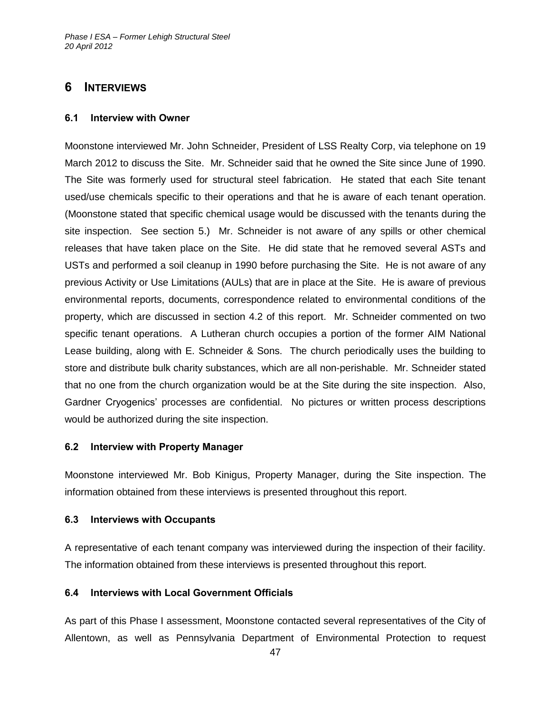# <span id="page-54-0"></span>**6 INTERVIEWS**

#### <span id="page-54-1"></span>**6.1 Interview with Owner**

Moonstone interviewed Mr. John Schneider, President of LSS Realty Corp, via telephone on 19 March 2012 to discuss the Site. Mr. Schneider said that he owned the Site since June of 1990. The Site was formerly used for structural steel fabrication. He stated that each Site tenant used/use chemicals specific to their operations and that he is aware of each tenant operation. (Moonstone stated that specific chemical usage would be discussed with the tenants during the site inspection. See section 5.) Mr. Schneider is not aware of any spills or other chemical releases that have taken place on the Site. He did state that he removed several ASTs and USTs and performed a soil cleanup in 1990 before purchasing the Site. He is not aware of any previous Activity or Use Limitations (AULs) that are in place at the Site. He is aware of previous environmental reports, documents, correspondence related to environmental conditions of the property, which are discussed in section 4.2 of this report. Mr. Schneider commented on two specific tenant operations. A Lutheran church occupies a portion of the former AIM National Lease building, along with E. Schneider & Sons. The church periodically uses the building to store and distribute bulk charity substances, which are all non-perishable. Mr. Schneider stated that no one from the church organization would be at the Site during the site inspection. Also, Gardner Cryogenics' processes are confidential. No pictures or written process descriptions would be authorized during the site inspection.

#### <span id="page-54-2"></span>**6.2 Interview with Property Manager**

Moonstone interviewed Mr. Bob Kinigus, Property Manager, during the Site inspection. The information obtained from these interviews is presented throughout this report.

#### <span id="page-54-3"></span>**6.3 Interviews with Occupants**

A representative of each tenant company was interviewed during the inspection of their facility. The information obtained from these interviews is presented throughout this report.

#### <span id="page-54-4"></span>**6.4 Interviews with Local Government Officials**

As part of this Phase I assessment, Moonstone contacted several representatives of the City of Allentown, as well as Pennsylvania Department of Environmental Protection to request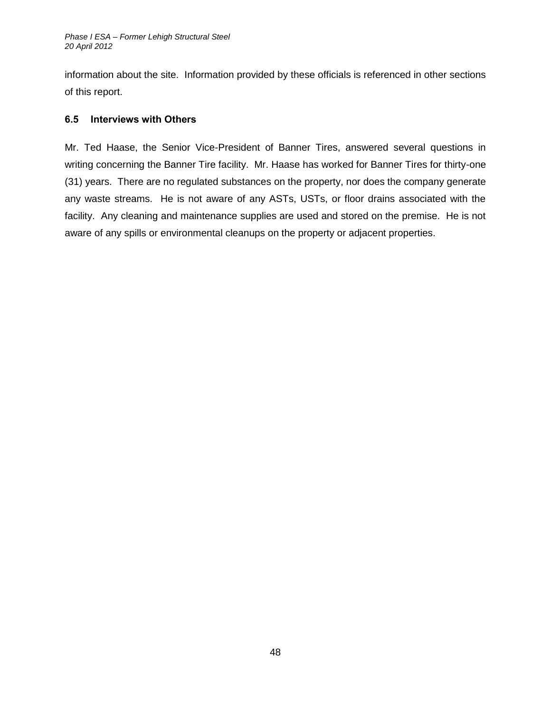information about the site. Information provided by these officials is referenced in other sections of this report.

### <span id="page-55-0"></span>**6.5 Interviews with Others**

Mr. Ted Haase, the Senior Vice-President of Banner Tires, answered several questions in writing concerning the Banner Tire facility. Mr. Haase has worked for Banner Tires for thirty-one (31) years. There are no regulated substances on the property, nor does the company generate any waste streams. He is not aware of any ASTs, USTs, or floor drains associated with the facility. Any cleaning and maintenance supplies are used and stored on the premise. He is not aware of any spills or environmental cleanups on the property or adjacent properties.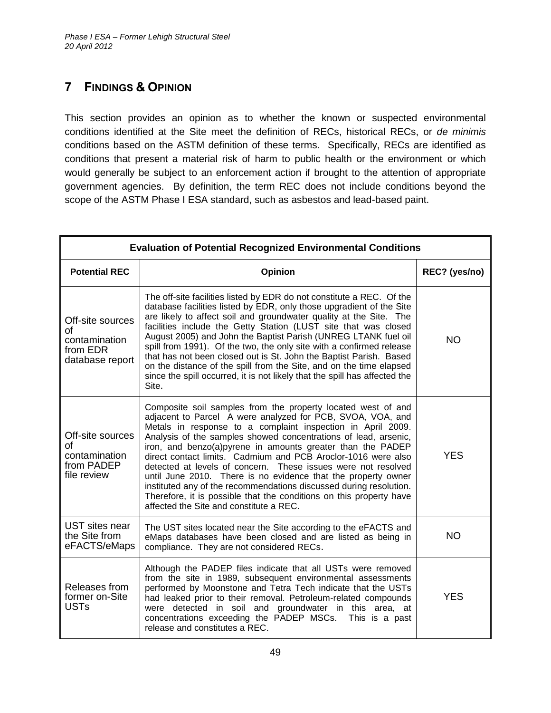# <span id="page-56-0"></span>**7 FINDINGS & OPINION**

This section provides an opinion as to whether the known or suspected environmental conditions identified at the Site meet the definition of RECs, historical RECs, or *de minimis* conditions based on the ASTM definition of these terms. Specifically, RECs are identified as conditions that present a material risk of harm to public health or the environment or which would generally be subject to an enforcement action if brought to the attention of appropriate government agencies. By definition, the term REC does not include conditions beyond the scope of the ASTM Phase I ESA standard, such as asbestos and lead-based paint.

| <b>Evaluation of Potential Recognized Environmental Conditions</b>     |                                                                                                                                                                                                                                                                                                                                                                                                                                                                                                                                                                                                                                                                                                                       |               |
|------------------------------------------------------------------------|-----------------------------------------------------------------------------------------------------------------------------------------------------------------------------------------------------------------------------------------------------------------------------------------------------------------------------------------------------------------------------------------------------------------------------------------------------------------------------------------------------------------------------------------------------------------------------------------------------------------------------------------------------------------------------------------------------------------------|---------------|
| <b>Potential REC</b>                                                   | <b>Opinion</b>                                                                                                                                                                                                                                                                                                                                                                                                                                                                                                                                                                                                                                                                                                        | REC? (yes/no) |
| Off-site sources<br>of<br>contamination<br>from EDR<br>database report | The off-site facilities listed by EDR do not constitute a REC. Of the<br>database facilities listed by EDR, only those upgradient of the Site<br>are likely to affect soil and groundwater quality at the Site. The<br>facilities include the Getty Station (LUST site that was closed<br>August 2005) and John the Baptist Parish (UNREG LTANK fuel oil<br>spill from 1991). Of the two, the only site with a confirmed release<br>that has not been closed out is St. John the Baptist Parish. Based<br>on the distance of the spill from the Site, and on the time elapsed<br>since the spill occurred, it is not likely that the spill has affected the<br>Site.                                                  | <b>NO</b>     |
| Off-site sources<br>οf<br>contamination<br>from PADEP<br>file review   | Composite soil samples from the property located west of and<br>adjacent to Parcel A were analyzed for PCB, SVOA, VOA, and<br>Metals in response to a complaint inspection in April 2009.<br>Analysis of the samples showed concentrations of lead, arsenic,<br>iron, and benzo(a)pyrene in amounts greater than the PADEP<br>direct contact limits. Cadmium and PCB Aroclor-1016 were also<br>detected at levels of concern. These issues were not resolved<br>until June 2010. There is no evidence that the property owner<br>instituted any of the recommendations discussed during resolution.<br>Therefore, it is possible that the conditions on this property have<br>affected the Site and constitute a REC. | <b>YES</b>    |
| UST sites near<br>the Site from<br>eFACTS/eMaps                        | The UST sites located near the Site according to the eFACTS and<br>eMaps databases have been closed and are listed as being in<br>compliance. They are not considered RECs.                                                                                                                                                                                                                                                                                                                                                                                                                                                                                                                                           | <b>NO</b>     |
| Releases from<br>former on-Site<br><b>USTs</b>                         | Although the PADEP files indicate that all USTs were removed<br>from the site in 1989, subsequent environmental assessments<br>performed by Moonstone and Tetra Tech indicate that the USTs<br>had leaked prior to their removal. Petroleum-related compounds<br>were detected in soil and groundwater in this area, at<br>concentrations exceeding the PADEP MSCs.<br>This is a past<br>release and constitutes a REC.                                                                                                                                                                                                                                                                                               | <b>YES</b>    |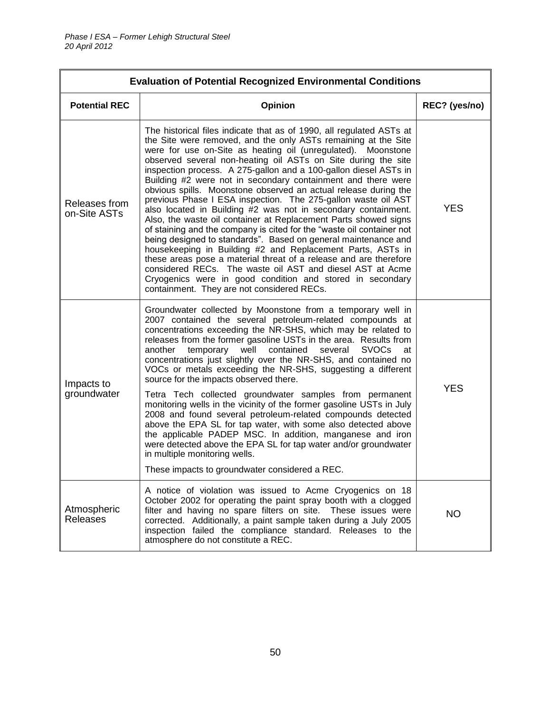| <b>Evaluation of Potential Recognized Environmental Conditions</b> |                                                                                                                                                                                                                                                                                                                                                                                                                                                                                                                                                                                                                                                                                                                                                                                                                                                                                                                                                                                                                                                                                                                                           |               |
|--------------------------------------------------------------------|-------------------------------------------------------------------------------------------------------------------------------------------------------------------------------------------------------------------------------------------------------------------------------------------------------------------------------------------------------------------------------------------------------------------------------------------------------------------------------------------------------------------------------------------------------------------------------------------------------------------------------------------------------------------------------------------------------------------------------------------------------------------------------------------------------------------------------------------------------------------------------------------------------------------------------------------------------------------------------------------------------------------------------------------------------------------------------------------------------------------------------------------|---------------|
| <b>Potential REC</b>                                               | Opinion                                                                                                                                                                                                                                                                                                                                                                                                                                                                                                                                                                                                                                                                                                                                                                                                                                                                                                                                                                                                                                                                                                                                   | REC? (yes/no) |
| Releases from<br>on-Site ASTs                                      | The historical files indicate that as of 1990, all regulated ASTs at<br>the Site were removed, and the only ASTs remaining at the Site<br>were for use on-Site as heating oil (unregulated). Moonstone<br>observed several non-heating oil ASTs on Site during the site<br>inspection process. A 275-gallon and a 100-gallon diesel ASTs in<br>Building #2 were not in secondary containment and there were<br>obvious spills. Moonstone observed an actual release during the<br>previous Phase I ESA inspection. The 275-gallon waste oil AST<br>also located in Building #2 was not in secondary containment.<br>Also, the waste oil container at Replacement Parts showed signs<br>of staining and the company is cited for the "waste oil container not<br>being designed to standards". Based on general maintenance and<br>housekeeping in Building #2 and Replacement Parts, ASTs in<br>these areas pose a material threat of a release and are therefore<br>considered RECs. The waste oil AST and diesel AST at Acme<br>Cryogenics were in good condition and stored in secondary<br>containment. They are not considered RECs. | <b>YES</b>    |
| Impacts to<br>groundwater                                          | Groundwater collected by Moonstone from a temporary well in<br>2007 contained the several petroleum-related compounds at<br>concentrations exceeding the NR-SHS, which may be related to<br>releases from the former gasoline USTs in the area. Results from<br>temporary well<br>contained<br><b>SVOCs</b><br>another<br>several<br>at<br>concentrations just slightly over the NR-SHS, and contained no<br>VOCs or metals exceeding the NR-SHS, suggesting a different<br>source for the impacts observed there.<br>Tetra Tech collected groundwater samples from permanent<br>monitoring wells in the vicinity of the former gasoline USTs in July<br>2008 and found several petroleum-related compounds detected<br>above the EPA SL for tap water, with some also detected above<br>the applicable PADEP MSC. In addition, manganese and iron<br>were detected above the EPA SL for tap water and/or groundwater<br>in multiple monitoring wells.<br>These impacts to groundwater considered a REC.                                                                                                                                  | <b>YES</b>    |
| Atmospheric<br><b>Releases</b>                                     | A notice of violation was issued to Acme Cryogenics on 18<br>October 2002 for operating the paint spray booth with a clogged<br>filter and having no spare filters on site. These issues were<br>corrected. Additionally, a paint sample taken during a July 2005<br>inspection failed the compliance standard. Releases to the<br>atmosphere do not constitute a REC.                                                                                                                                                                                                                                                                                                                                                                                                                                                                                                                                                                                                                                                                                                                                                                    | <b>NO</b>     |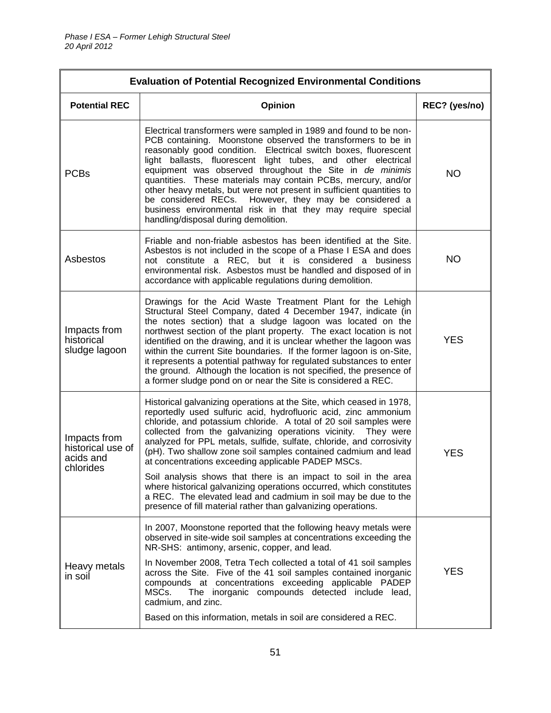| <b>Evaluation of Potential Recognized Environmental Conditions</b> |                                                                                                                                                                                                                                                                                                                                                                                                                                                                                                                                                                                                                                                                                                                                                            |               |
|--------------------------------------------------------------------|------------------------------------------------------------------------------------------------------------------------------------------------------------------------------------------------------------------------------------------------------------------------------------------------------------------------------------------------------------------------------------------------------------------------------------------------------------------------------------------------------------------------------------------------------------------------------------------------------------------------------------------------------------------------------------------------------------------------------------------------------------|---------------|
| <b>Potential REC</b>                                               | Opinion                                                                                                                                                                                                                                                                                                                                                                                                                                                                                                                                                                                                                                                                                                                                                    | REC? (yes/no) |
| <b>PCBs</b>                                                        | Electrical transformers were sampled in 1989 and found to be non-<br>PCB containing. Moonstone observed the transformers to be in<br>reasonably good condition. Electrical switch boxes, fluorescent<br>light ballasts, fluorescent light tubes, and other electrical<br>equipment was observed throughout the Site in de minimis<br>quantities. These materials may contain PCBs, mercury, and/or<br>other heavy metals, but were not present in sufficient quantities to<br>be considered RECs. However, they may be considered a<br>business environmental risk in that they may require special<br>handling/disposal during demolition.                                                                                                                | <b>NO</b>     |
| Asbestos                                                           | Friable and non-friable asbestos has been identified at the Site.<br>Asbestos is not included in the scope of a Phase I ESA and does<br>not constitute a REC, but it is considered a business<br>environmental risk. Asbestos must be handled and disposed of in<br>accordance with applicable regulations during demolition.                                                                                                                                                                                                                                                                                                                                                                                                                              | <b>NO</b>     |
| Impacts from<br>historical<br>sludge lagoon                        | Drawings for the Acid Waste Treatment Plant for the Lehigh<br>Structural Steel Company, dated 4 December 1947, indicate (in<br>the notes section) that a sludge lagoon was located on the<br>northwest section of the plant property. The exact location is not<br>identified on the drawing, and it is unclear whether the lagoon was<br>within the current Site boundaries. If the former lagoon is on-Site,<br>it represents a potential pathway for regulated substances to enter<br>the ground. Although the location is not specified, the presence of<br>a former sludge pond on or near the Site is considered a REC.                                                                                                                              | <b>YES</b>    |
| Impacts from<br>historical use of<br>acids and<br>chlorides        | Historical galvanizing operations at the Site, which ceased in 1978,<br>reportedly used sulfuric acid, hydrofluoric acid, zinc ammonium<br>chloride, and potassium chloride. A total of 20 soil samples were<br>collected from the galvanizing operations vicinity. They were<br>analyzed for PPL metals, sulfide, sulfate, chloride, and corrosivity<br>(pH). Two shallow zone soil samples contained cadmium and lead<br>at concentrations exceeding applicable PADEP MSCs.<br>Soil analysis shows that there is an impact to soil in the area<br>where historical galvanizing operations occurred, which constitutes<br>a REC. The elevated lead and cadmium in soil may be due to the<br>presence of fill material rather than galvanizing operations. | <b>YES</b>    |
| Heavy metals<br>in soil                                            | In 2007, Moonstone reported that the following heavy metals were<br>observed in site-wide soil samples at concentrations exceeding the<br>NR-SHS: antimony, arsenic, copper, and lead.<br>In November 2008, Tetra Tech collected a total of 41 soil samples<br>across the Site. Five of the 41 soil samples contained inorganic<br>compounds at concentrations exceeding applicable PADEP<br>The inorganic compounds detected include lead,<br>MSCs.<br>cadmium, and zinc.<br>Based on this information, metals in soil are considered a REC.                                                                                                                                                                                                              | <b>YES</b>    |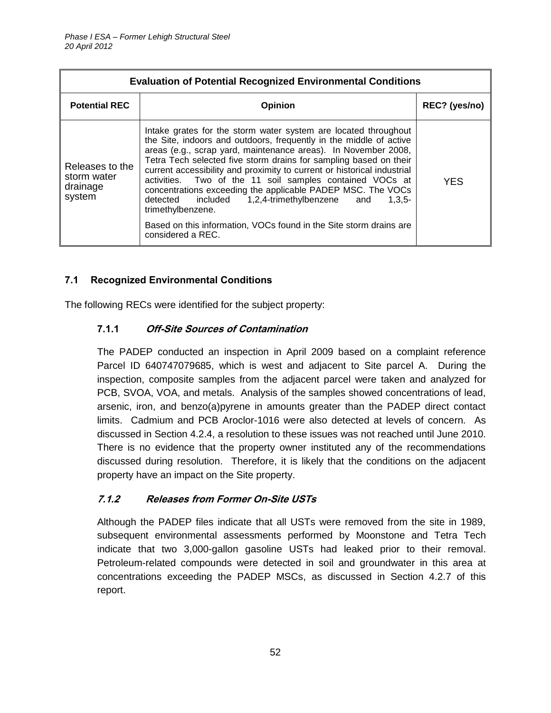| <b>Evaluation of Potential Recognized Environmental Conditions</b> |                                                                                                                                                                                                                                                                                                                                                                                                                                                                                                                                                                                                                                                                 |               |
|--------------------------------------------------------------------|-----------------------------------------------------------------------------------------------------------------------------------------------------------------------------------------------------------------------------------------------------------------------------------------------------------------------------------------------------------------------------------------------------------------------------------------------------------------------------------------------------------------------------------------------------------------------------------------------------------------------------------------------------------------|---------------|
| <b>Potential REC</b>                                               | Opinion                                                                                                                                                                                                                                                                                                                                                                                                                                                                                                                                                                                                                                                         | REC? (yes/no) |
| Releases to the<br>storm water<br>drainage<br>system               | Intake grates for the storm water system are located throughout<br>the Site, indoors and outdoors, frequently in the middle of active<br>areas (e.g., scrap yard, maintenance areas). In November 2008,<br>Tetra Tech selected five storm drains for sampling based on their<br>current accessibility and proximity to current or historical industrial<br>activities. Two of the 11 soil samples contained VOCs at<br>concentrations exceeding the applicable PADEP MSC. The VOCs<br>detected included 1,2,4-trimethylbenzene and<br>$1.3.5 -$<br>trimethylbenzene.<br>Based on this information, VOCs found in the Site storm drains are<br>considered a REC. | <b>YES</b>    |

# <span id="page-59-0"></span>**7.1 Recognized Environmental Conditions**

<span id="page-59-1"></span>The following RECs were identified for the subject property:

# **7.1.1 Off-Site Sources of Contamination**

The PADEP conducted an inspection in April 2009 based on a complaint reference Parcel ID 640747079685, which is west and adjacent to Site parcel A. During the inspection, composite samples from the adjacent parcel were taken and analyzed for PCB, SVOA, VOA, and metals. Analysis of the samples showed concentrations of lead, arsenic, iron, and benzo(a)pyrene in amounts greater than the PADEP direct contact limits. Cadmium and PCB Aroclor-1016 were also detected at levels of concern. As discussed in Section 4.2.4, a resolution to these issues was not reached until June 2010. There is no evidence that the property owner instituted any of the recommendations discussed during resolution. Therefore, it is likely that the conditions on the adjacent property have an impact on the Site property.

# <span id="page-59-2"></span>**7.1.2 Releases from Former On-Site USTs**

Although the PADEP files indicate that all USTs were removed from the site in 1989, subsequent environmental assessments performed by Moonstone and Tetra Tech indicate that two 3,000-gallon gasoline USTs had leaked prior to their removal. Petroleum-related compounds were detected in soil and groundwater in this area at concentrations exceeding the PADEP MSCs, as discussed in Section 4.2.7 of this report.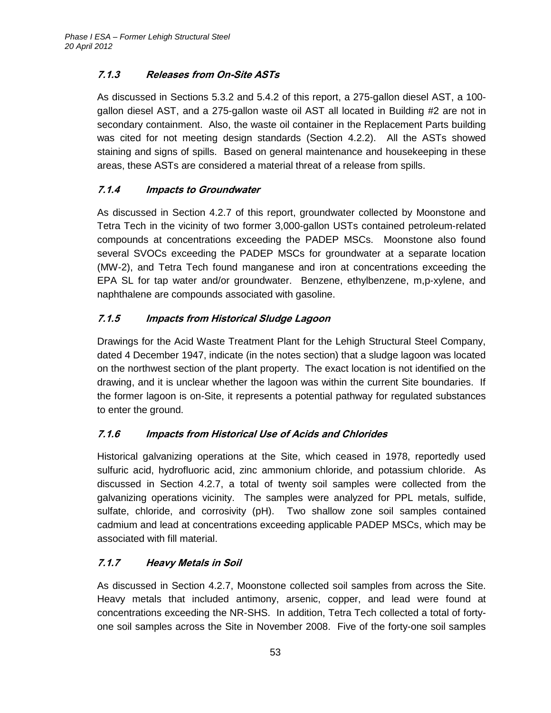# <span id="page-60-0"></span>**7.1.3 Releases from On-Site ASTs**

As discussed in Sections 5.3.2 and 5.4.2 of this report, a 275-gallon diesel AST, a 100 gallon diesel AST, and a 275-gallon waste oil AST all located in Building #2 are not in secondary containment. Also, the waste oil container in the Replacement Parts building was cited for not meeting design standards (Section 4.2.2). All the ASTs showed staining and signs of spills. Based on general maintenance and housekeeping in these areas, these ASTs are considered a material threat of a release from spills.

# <span id="page-60-1"></span>**7.1.4 Impacts to Groundwater**

As discussed in Section 4.2.7 of this report, groundwater collected by Moonstone and Tetra Tech in the vicinity of two former 3,000-gallon USTs contained petroleum-related compounds at concentrations exceeding the PADEP MSCs. Moonstone also found several SVOCs exceeding the PADEP MSCs for groundwater at a separate location (MW-2), and Tetra Tech found manganese and iron at concentrations exceeding the EPA SL for tap water and/or groundwater. Benzene, ethylbenzene, m,p-xylene, and naphthalene are compounds associated with gasoline.

# <span id="page-60-2"></span>**7.1.5 Impacts from Historical Sludge Lagoon**

Drawings for the Acid Waste Treatment Plant for the Lehigh Structural Steel Company, dated 4 December 1947, indicate (in the notes section) that a sludge lagoon was located on the northwest section of the plant property. The exact location is not identified on the drawing, and it is unclear whether the lagoon was within the current Site boundaries. If the former lagoon is on-Site, it represents a potential pathway for regulated substances to enter the ground.

# <span id="page-60-3"></span>**7.1.6 Impacts from Historical Use of Acids and Chlorides**

Historical galvanizing operations at the Site, which ceased in 1978, reportedly used sulfuric acid, hydrofluoric acid, zinc ammonium chloride, and potassium chloride. As discussed in Section 4.2.7, a total of twenty soil samples were collected from the galvanizing operations vicinity. The samples were analyzed for PPL metals, sulfide, sulfate, chloride, and corrosivity (pH). Two shallow zone soil samples contained cadmium and lead at concentrations exceeding applicable PADEP MSCs, which may be associated with fill material.

# <span id="page-60-4"></span>**7.1.7 Heavy Metals in Soil**

As discussed in Section 4.2.7, Moonstone collected soil samples from across the Site. Heavy metals that included antimony, arsenic, copper, and lead were found at concentrations exceeding the NR-SHS. In addition, Tetra Tech collected a total of fortyone soil samples across the Site in November 2008. Five of the forty-one soil samples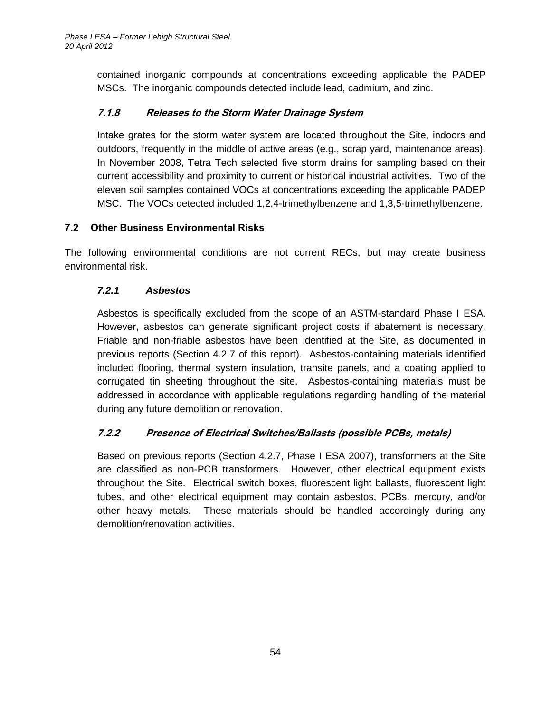contained inorganic compounds at concentrations exceeding applicable the PADEP MSCs. The inorganic compounds detected include lead, cadmium, and zinc.

# <span id="page-61-0"></span>**7.1.8 Releases to the Storm Water Drainage System**

Intake grates for the storm water system are located throughout the Site, indoors and outdoors, frequently in the middle of active areas (e.g., scrap yard, maintenance areas). In November 2008, Tetra Tech selected five storm drains for sampling based on their current accessibility and proximity to current or historical industrial activities. Two of the eleven soil samples contained VOCs at concentrations exceeding the applicable PADEP MSC. The VOCs detected included 1,2,4-trimethylbenzene and 1,3,5-trimethylbenzene.

# <span id="page-61-1"></span>**7.2 Other Business Environmental Risks**

<span id="page-61-2"></span>The following environmental conditions are not current RECs, but may create business environmental risk.

# *7.2.1 Asbestos*

Asbestos is specifically excluded from the scope of an ASTM-standard Phase I ESA. However, asbestos can generate significant project costs if abatement is necessary. Friable and non-friable asbestos have been identified at the Site, as documented in previous reports (Section 4.2.7 of this report). Asbestos-containing materials identified included flooring, thermal system insulation, transite panels, and a coating applied to corrugated tin sheeting throughout the site. Asbestos-containing materials must be addressed in accordance with applicable regulations regarding handling of the material during any future demolition or renovation.

# <span id="page-61-3"></span>**7.2.2 Presence of Electrical Switches/Ballasts (possible PCBs, metals)**

Based on previous reports (Section 4.2.7, Phase I ESA 2007), transformers at the Site are classified as non-PCB transformers. However, other electrical equipment exists throughout the Site. Electrical switch boxes, fluorescent light ballasts, fluorescent light tubes, and other electrical equipment may contain asbestos, PCBs, mercury, and/or other heavy metals. These materials should be handled accordingly during any demolition/renovation activities.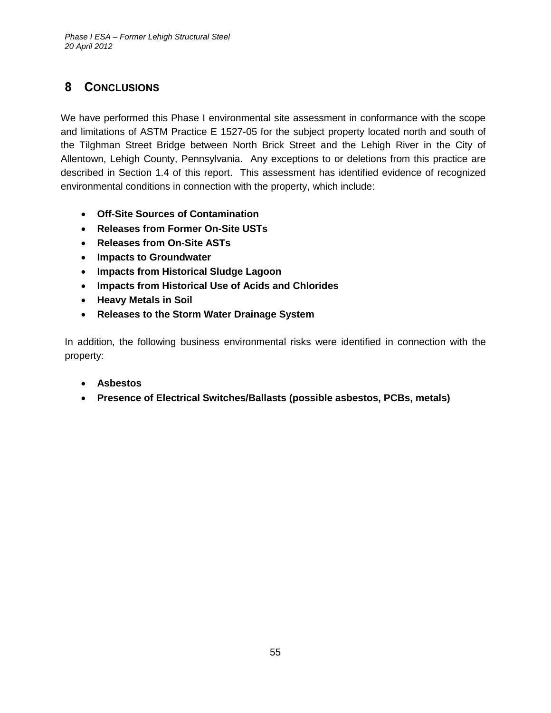# <span id="page-62-0"></span>**8 CONCLUSIONS**

We have performed this Phase I environmental site assessment in conformance with the scope and limitations of ASTM Practice E 1527-05 for the subject property located north and south of the Tilghman Street Bridge between North Brick Street and the Lehigh River in the City of Allentown, Lehigh County, Pennsylvania. Any exceptions to or deletions from this practice are described in Section 1.4 of this report. This assessment has identified evidence of recognized environmental conditions in connection with the property, which include:

- **Off-Site Sources of Contamination**
- **Releases from Former On-Site USTs**
- **Releases from On-Site ASTs**
- **Impacts to Groundwater**
- **Impacts from Historical Sludge Lagoon**
- **Impacts from Historical Use of Acids and Chlorides**
- **Heavy Metals in Soil**
- **Releases to the Storm Water Drainage System**

In addition, the following business environmental risks were identified in connection with the property:

- **Asbestos**
- **Presence of Electrical Switches/Ballasts (possible asbestos, PCBs, metals)**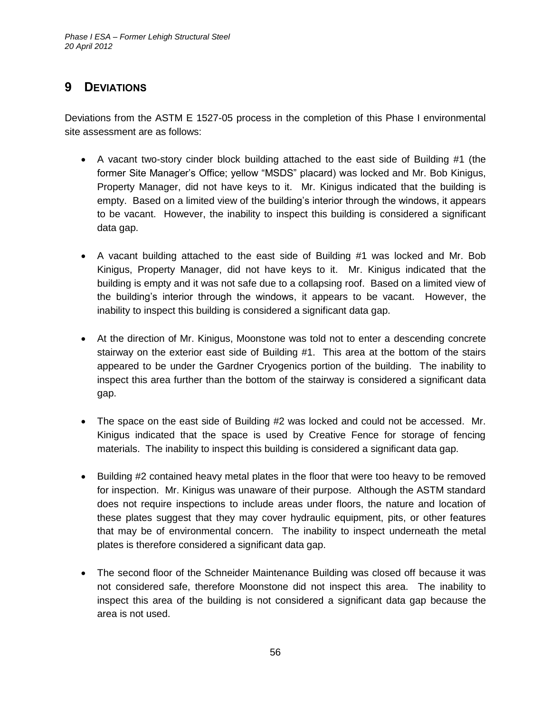# <span id="page-63-0"></span>**9 DEVIATIONS**

Deviations from the ASTM E 1527-05 process in the completion of this Phase I environmental site assessment are as follows:

- A vacant two-story cinder block building attached to the east side of Building #1 (the former Site Manager's Office; yellow "MSDS" placard) was locked and Mr. Bob Kinigus, Property Manager, did not have keys to it. Mr. Kinigus indicated that the building is empty. Based on a limited view of the building's interior through the windows, it appears to be vacant. However, the inability to inspect this building is considered a significant data gap.
- A vacant building attached to the east side of Building #1 was locked and Mr. Bob Kinigus, Property Manager, did not have keys to it. Mr. Kinigus indicated that the building is empty and it was not safe due to a collapsing roof. Based on a limited view of the building's interior through the windows, it appears to be vacant. However, the inability to inspect this building is considered a significant data gap.
- At the direction of Mr. Kinigus, Moonstone was told not to enter a descending concrete stairway on the exterior east side of Building #1. This area at the bottom of the stairs appeared to be under the Gardner Cryogenics portion of the building. The inability to inspect this area further than the bottom of the stairway is considered a significant data gap.
- The space on the east side of Building #2 was locked and could not be accessed. Mr. Kinigus indicated that the space is used by Creative Fence for storage of fencing materials. The inability to inspect this building is considered a significant data gap.
- Building #2 contained heavy metal plates in the floor that were too heavy to be removed for inspection. Mr. Kinigus was unaware of their purpose. Although the ASTM standard does not require inspections to include areas under floors, the nature and location of these plates suggest that they may cover hydraulic equipment, pits, or other features that may be of environmental concern. The inability to inspect underneath the metal plates is therefore considered a significant data gap.
- The second floor of the Schneider Maintenance Building was closed off because it was not considered safe, therefore Moonstone did not inspect this area. The inability to inspect this area of the building is not considered a significant data gap because the area is not used.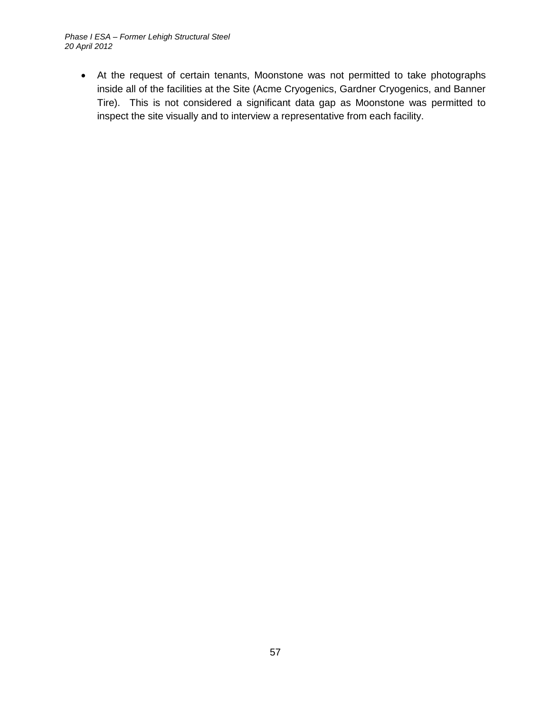*Phase I ESA – Former Lehigh Structural Steel 20 April 2012*

 At the request of certain tenants, Moonstone was not permitted to take photographs inside all of the facilities at the Site (Acme Cryogenics, Gardner Cryogenics, and Banner Tire). This is not considered a significant data gap as Moonstone was permitted to inspect the site visually and to interview a representative from each facility.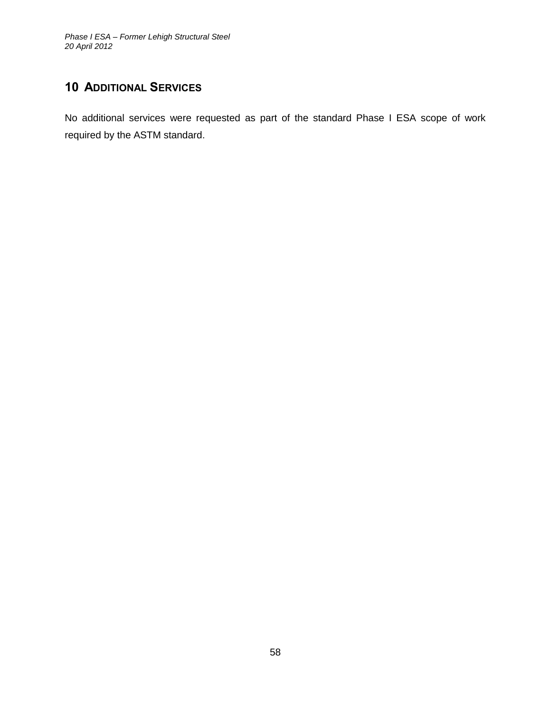# <span id="page-65-0"></span>**10 ADDITIONAL SERVICES**

No additional services were requested as part of the standard Phase I ESA scope of work required by the ASTM standard.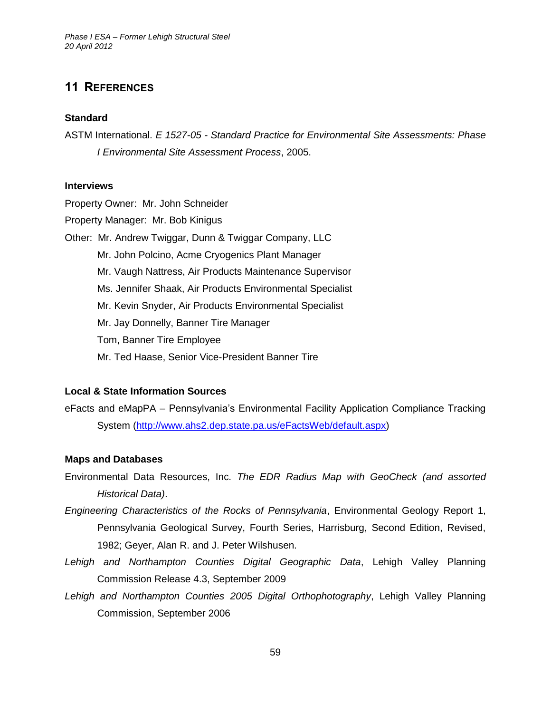# <span id="page-66-0"></span>**11 REFERENCES**

#### **Standard**

ASTM International. *E 1527-05 - Standard Practice for Environmental Site Assessments: Phase I Environmental Site Assessment Process*, 2005.

#### **Interviews**

Property Owner: Mr. John Schneider Property Manager: Mr. Bob Kinigus Other: Mr. Andrew Twiggar, Dunn & Twiggar Company, LLC Mr. John Polcino, Acme Cryogenics Plant Manager Mr. Vaugh Nattress, Air Products Maintenance Supervisor Ms. Jennifer Shaak, Air Products Environmental Specialist Mr. Kevin Snyder, Air Products Environmental Specialist Mr. Jay Donnelly, Banner Tire Manager Tom, Banner Tire Employee Mr. Ted Haase, Senior Vice-President Banner Tire

# **Local & State Information Sources**

eFacts and eMapPA – Pennsylvania's Environmental Facility Application Compliance Tracking System [\(http://www.ahs2.dep.state.pa.us/eFactsWeb/default.aspx\)](http://www.ahs2.dep.state.pa.us/eFactsWeb/default.aspx)

#### **Maps and Databases**

- Environmental Data Resources, Inc. *The EDR Radius Map with GeoCheck (and assorted Historical Data)*.
- *Engineering Characteristics of the Rocks of Pennsylvania*, Environmental Geology Report 1, Pennsylvania Geological Survey, Fourth Series, Harrisburg, Second Edition, Revised, 1982; Geyer, Alan R. and J. Peter Wilshusen.
- *Lehigh and Northampton Counties Digital Geographic Data*, Lehigh Valley Planning Commission Release 4.3, September 2009
- *Lehigh and Northampton Counties 2005 Digital Orthophotography*, Lehigh Valley Planning Commission, September 2006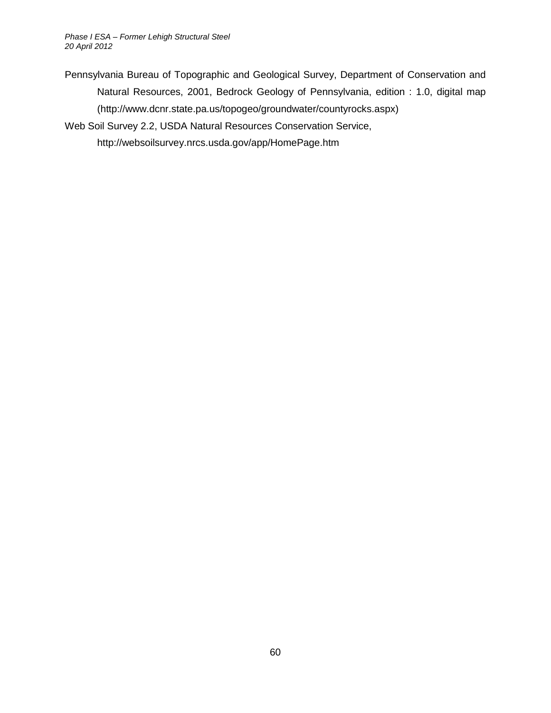*Phase I ESA – Former Lehigh Structural Steel 20 April 2012*

Pennsylvania Bureau of Topographic and Geological Survey, Department of Conservation and Natural Resources, 2001, Bedrock Geology of Pennsylvania, edition : 1.0, digital map (http://www.dcnr.state.pa.us/topogeo/groundwater/countyrocks.aspx)

Web Soil Survey 2.2, USDA Natural Resources Conservation Service,

http://websoilsurvey.nrcs.usda.gov/app/HomePage.htm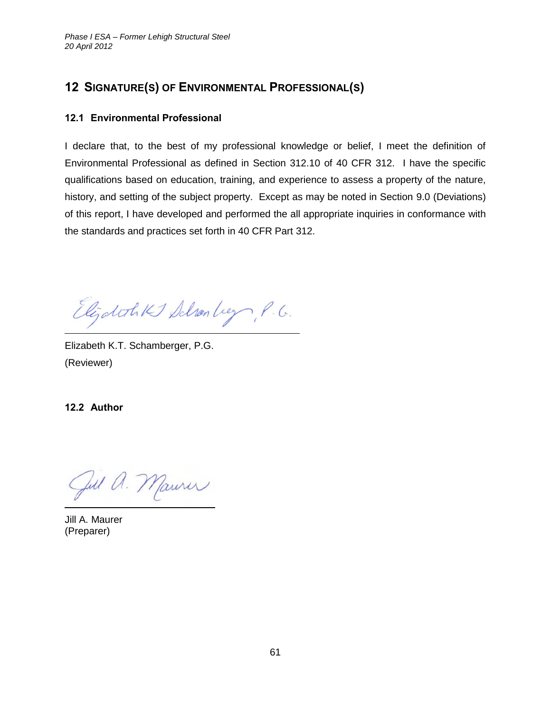# <span id="page-68-0"></span>**12 SIGNATURE(S) OF ENVIRONMENTAL PROFESSIONAL(S)**

### <span id="page-68-1"></span>**12.1 Environmental Professional**

I declare that, to the best of my professional knowledge or belief, I meet the definition of Environmental Professional as defined in Section 312.10 of 40 CFR 312. I have the specific qualifications based on education, training, and experience to assess a property of the nature, history, and setting of the subject property. Except as may be noted in Section 9.0 (Deviations) of this report, I have developed and performed the all appropriate inquiries in conformance with the standards and practices set forth in 40 CFR Part 312.

Elijatotikt Schonbey, P.G.

Elizabeth K.T. Schamberger, P.G. (Reviewer)

<span id="page-68-2"></span>**12.2 Author**

Jul a. Maurer

Jill A. Maurer (Preparer)